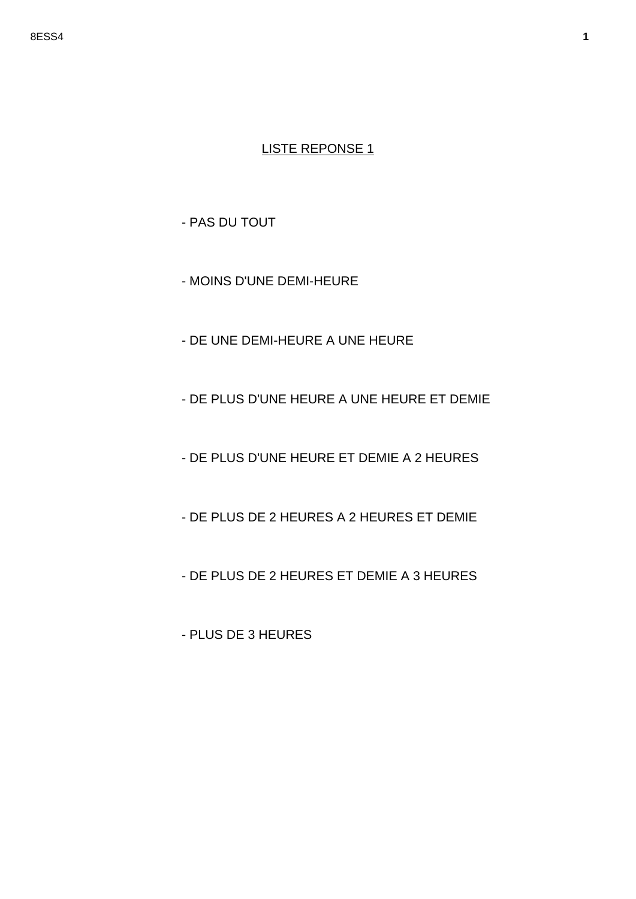- PAS DU TOUT

- MOINS D'UNE DEMI-HEURE

- DE UNE DEMI-HEURE A UNE HEURE

- DE PLUS D'UNE HEURE A UNE HEURE ET DEMIE

- DE PLUS D'UNE HEURE ET DEMIE A 2 HEURES

- DE PLUS DE 2 HEURES A 2 HEURES ET DEMIE

- DE PLUS DE 2 HEURES ET DEMIE A 3 HEURES

- PLUS DE 3 HEURES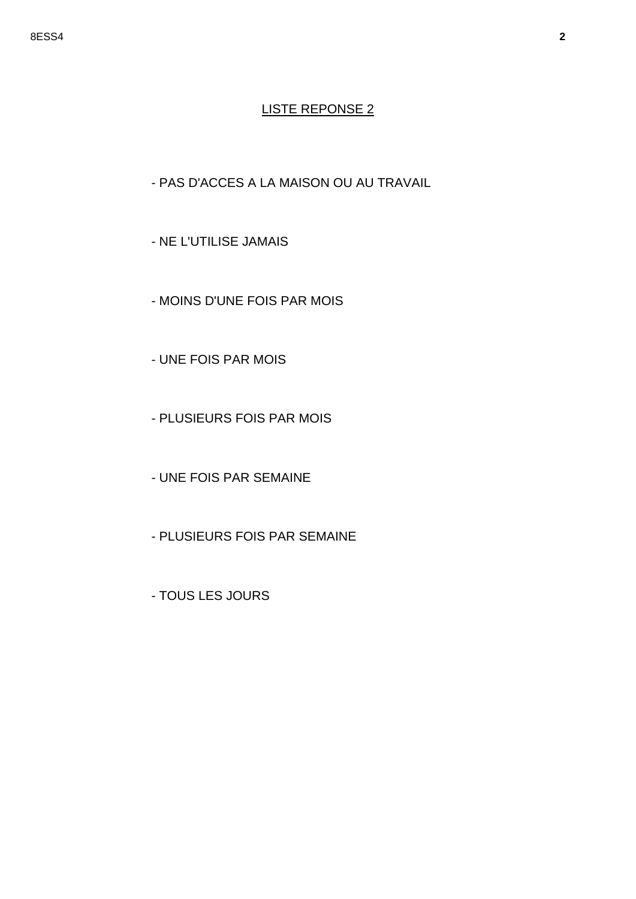- PAS D'ACCES A LA MAISON OU AU TRAVAIL

- NE L'UTILISE JAMAIS
- MOINS D'UNE FOIS PAR MOIS
- UNE FOIS PAR MOIS
- PLUSIEURS FOIS PAR MOIS
- UNE FOIS PAR SEMAINE
- PLUSIEURS FOIS PAR SEMAINE
- TOUS LES JOURS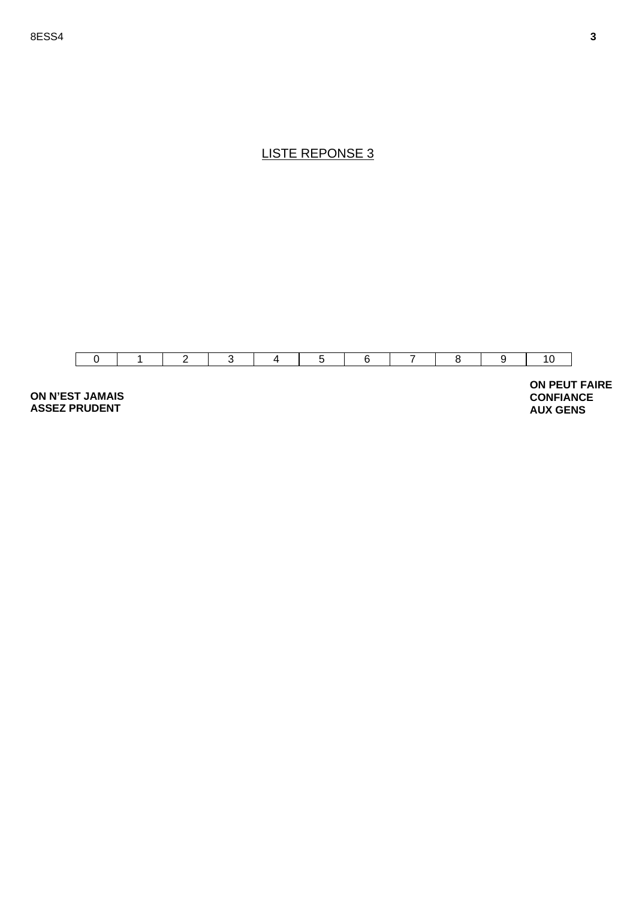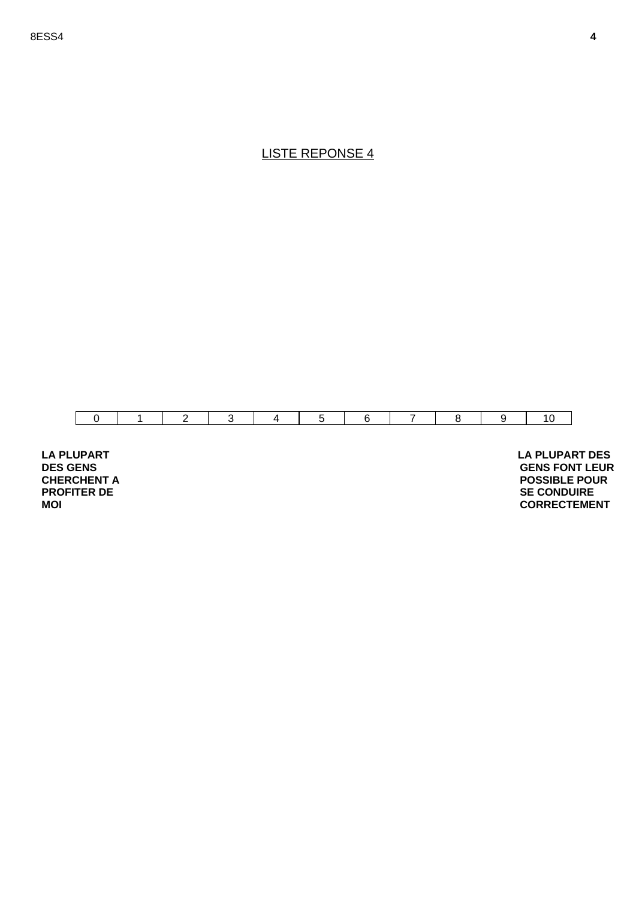

**LA PLUPART DES GENS CHERCHENT A PROFITER DE MOI** 

 **LA PLUPART DES GENS FONT LEUR POSSIBLE POUR SE CONDUIRE CORRECTEMENT**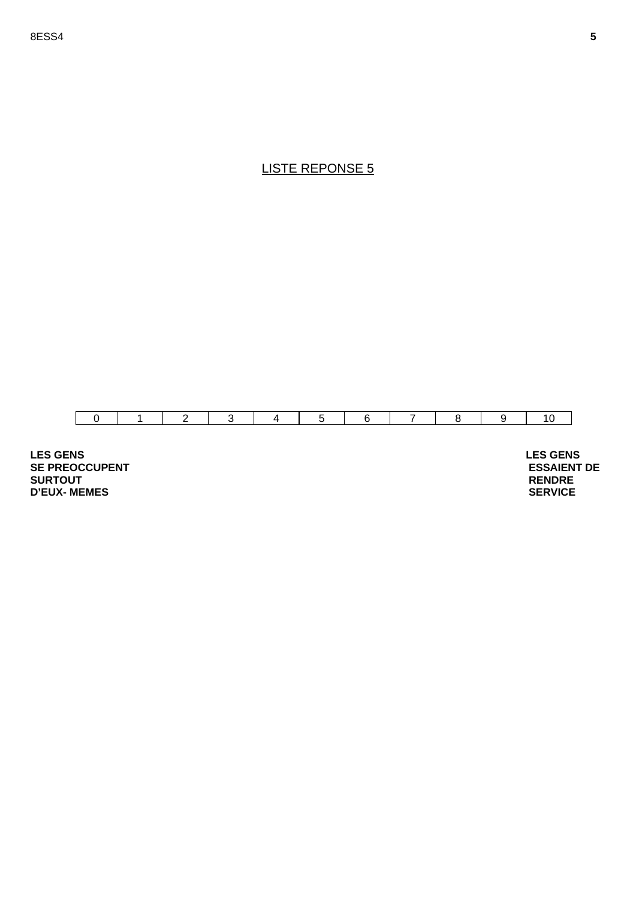

**LES GENS SE PREOCCUPENT SURTOUT D'EUX- MEMES** 

 **LES GENS ESSAIENT DE RENDRE SERVICE**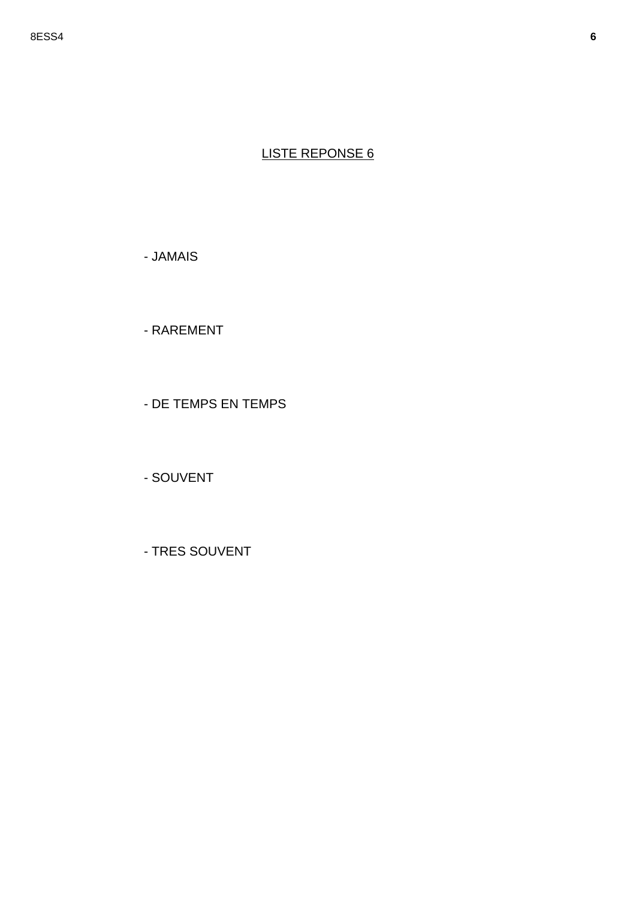- JAMAIS

- RAREMENT

- DE TEMPS EN TEMPS

- SOUVENT

- TRES SOUVENT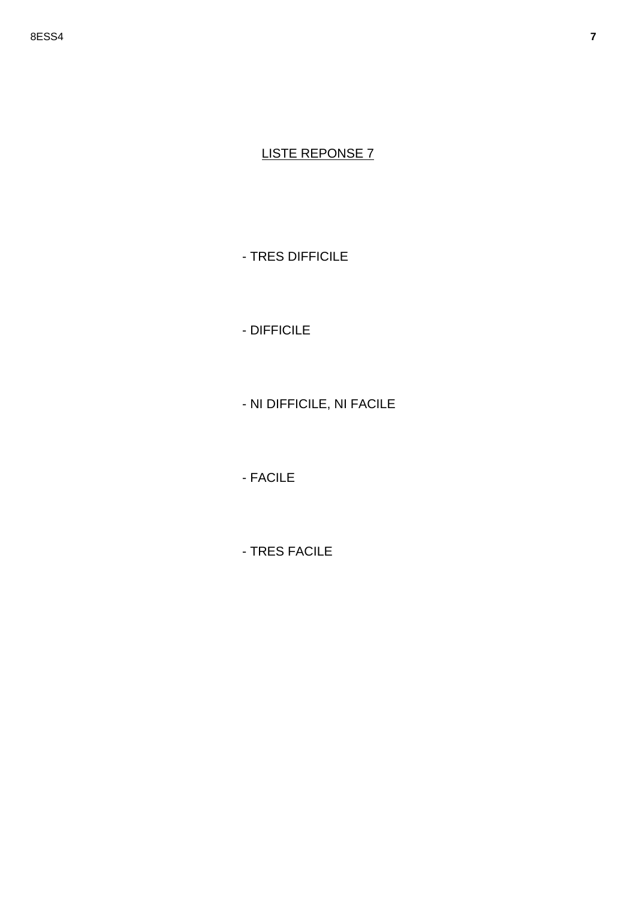- TRES DIFFICILE

- DIFFICILE

- NI DIFFICILE, NI FACILE

- FACILE

- TRES FACILE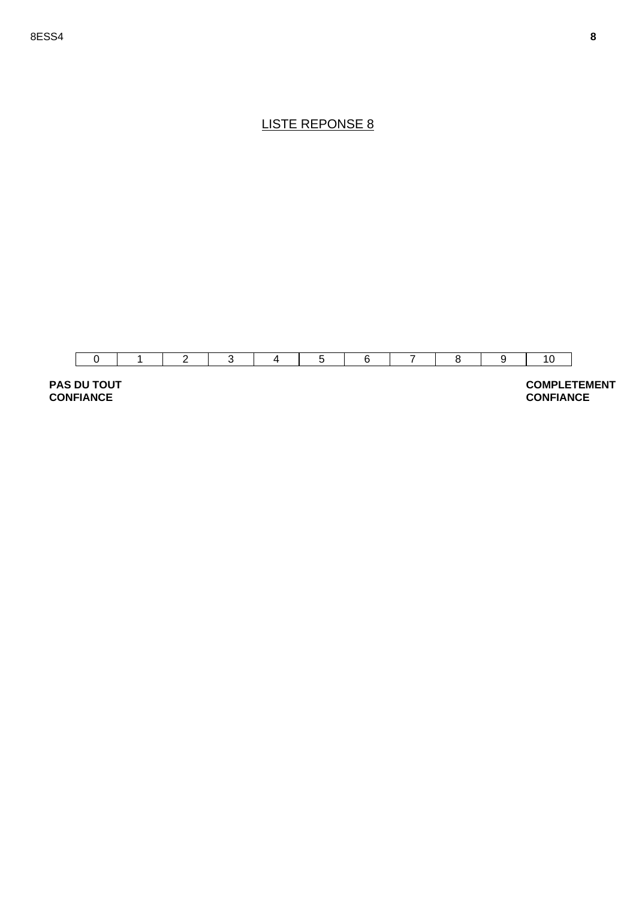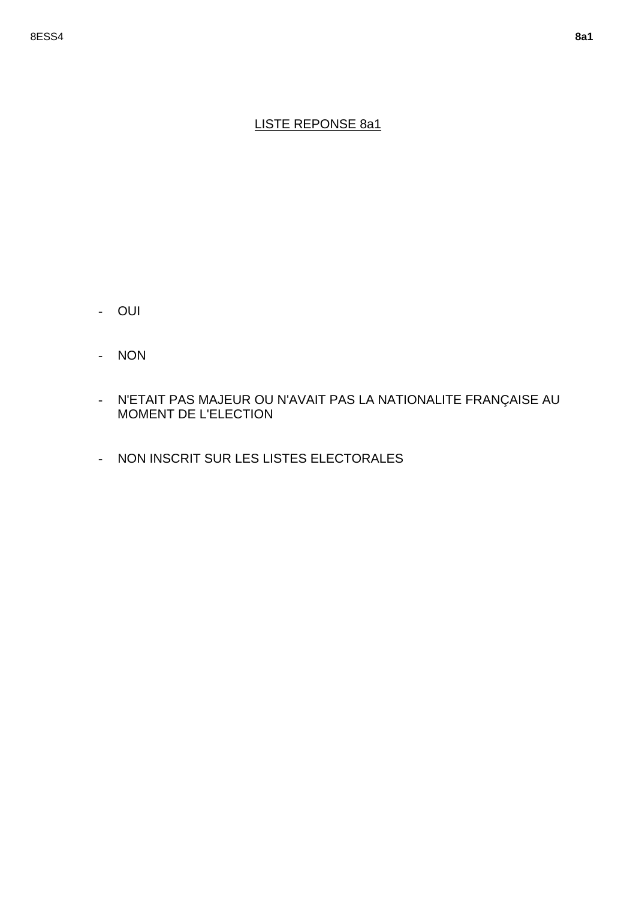### LISTE REPONSE 8a1

- OUI
- NON
- N'ETAIT PAS MAJEUR OU N'AVAIT PAS LA NATIONALITE FRANÇAISE AU MOMENT DE L'ELECTION
- NON INSCRIT SUR LES LISTES ELECTORALES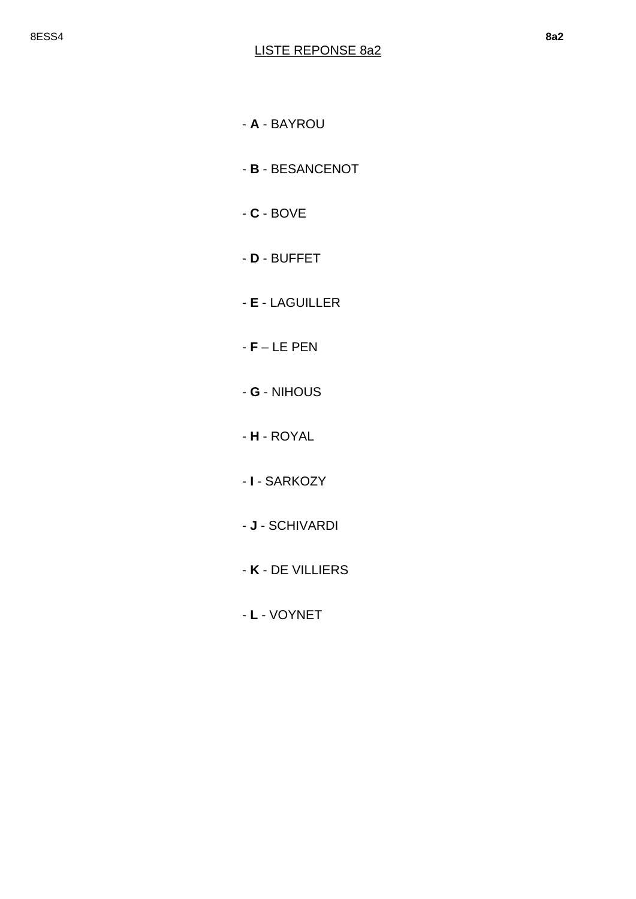- **A** BAYROU
- **B**  BESANCENOT
- **C**  BOVE
- **D** BUFFET
- **E** LAGUILLER
- **F**  LE PEN
- **G** NIHOUS
- **H**  ROYAL
- **I** SARKOZY
- **J** SCHIVARDI
- **K** DE VILLIERS
- **L** VOYNET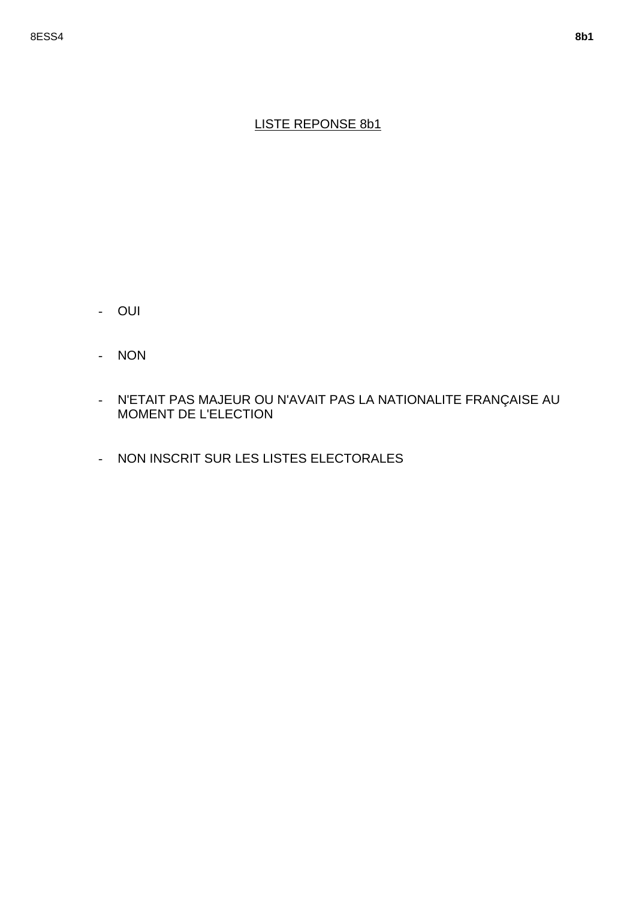### LISTE REPONSE 8b1

- OUI
- NON
- N'ETAIT PAS MAJEUR OU N'AVAIT PAS LA NATIONALITE FRANÇAISE AU MOMENT DE L'ELECTION
- NON INSCRIT SUR LES LISTES ELECTORALES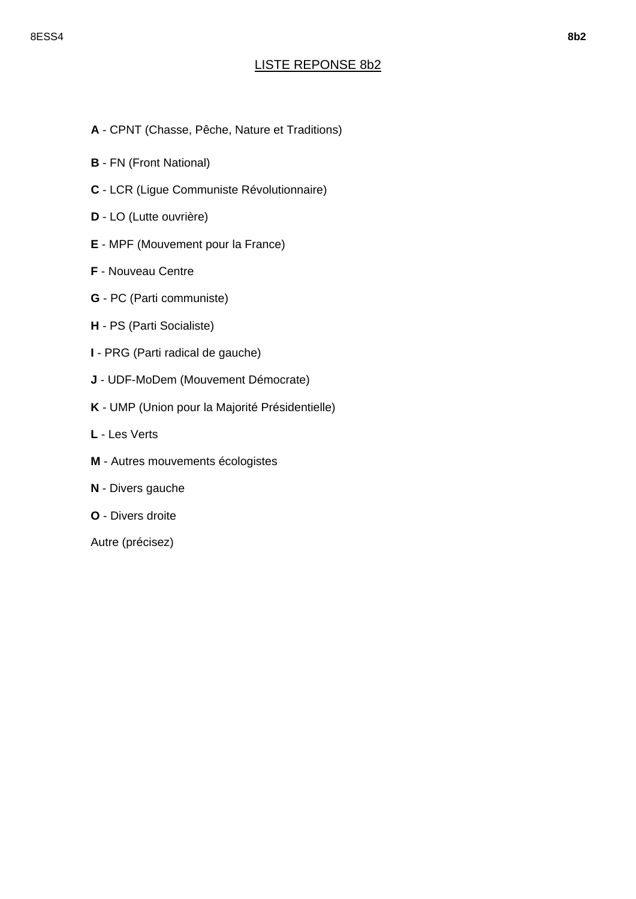### LISTE REPONSE 8b2

- **A** CPNT (Chasse, Pêche, Nature et Traditions)
- **B** FN (Front National)
- **C** LCR (Ligue Communiste Révolutionnaire)
- **D** LO (Lutte ouvrière)
- **E** MPF (Mouvement pour la France)
- **F** Nouveau Centre
- **G** PC (Parti communiste)
- **H** PS (Parti Socialiste)
- **I** PRG (Parti radical de gauche)
- **J** UDF-MoDem (Mouvement Démocrate)
- **K** UMP (Union pour la Majorité Présidentielle)
- **L** Les Verts
- **M** Autres mouvements écologistes
- **N** Divers gauche
- **O** Divers droite

Autre (précisez)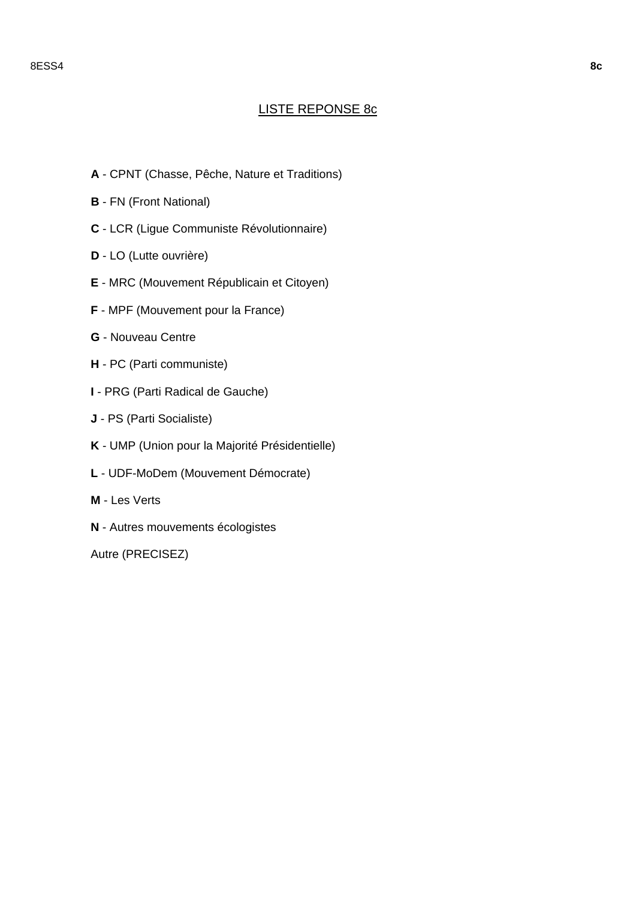#### 8ESS4 **8c**

#### LISTE REPONSE 8c

- **A** CPNT (Chasse, Pêche, Nature et Traditions)
- **B** FN (Front National)
- **C** LCR (Ligue Communiste Révolutionnaire)
- **D** LO (Lutte ouvrière)
- **E** MRC (Mouvement Républicain et Citoyen)
- **F** MPF (Mouvement pour la France)
- **G** Nouveau Centre
- **H** PC (Parti communiste)
- **I**  PRG (Parti Radical de Gauche)
- **J** PS (Parti Socialiste)
- **K** UMP (Union pour la Majorité Présidentielle)
- **L** UDF-MoDem (Mouvement Démocrate)
- **M** Les Verts
- **N** Autres mouvements écologistes

Autre (PRECISEZ)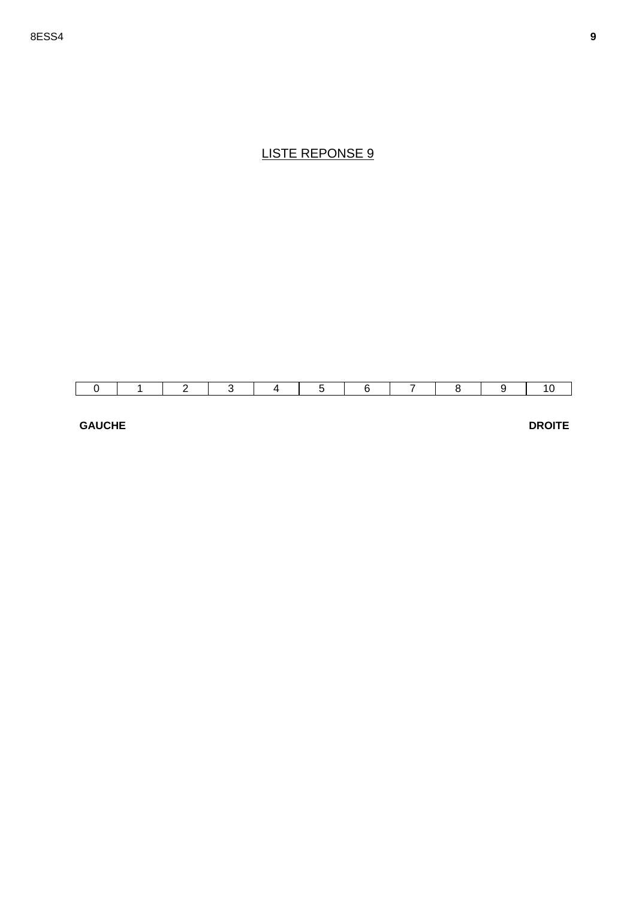#### **GAUCHE**

**DROITE**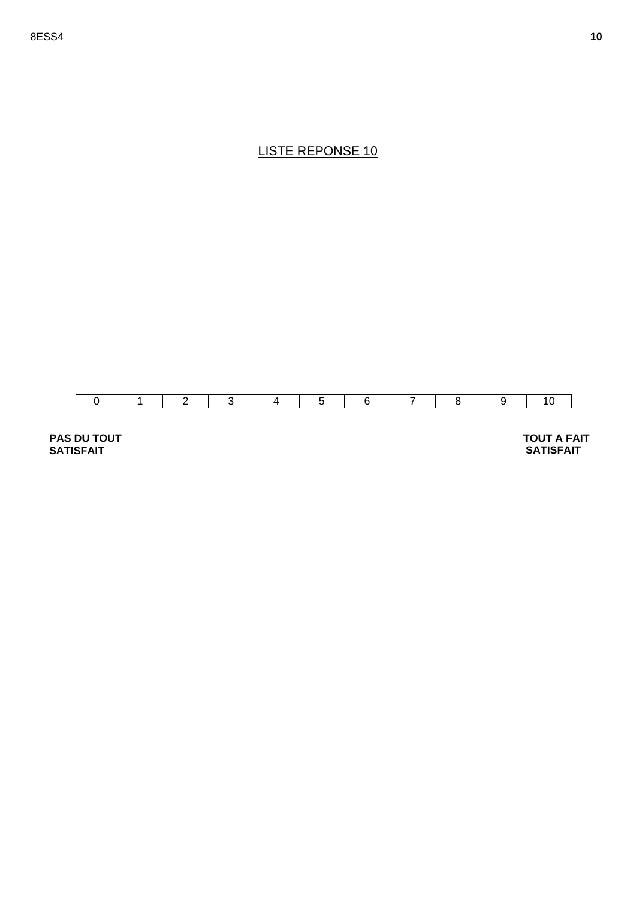

**PAS DU TOUT SATISFAIT** 

 **TOUT A FAIT SATISFAIT**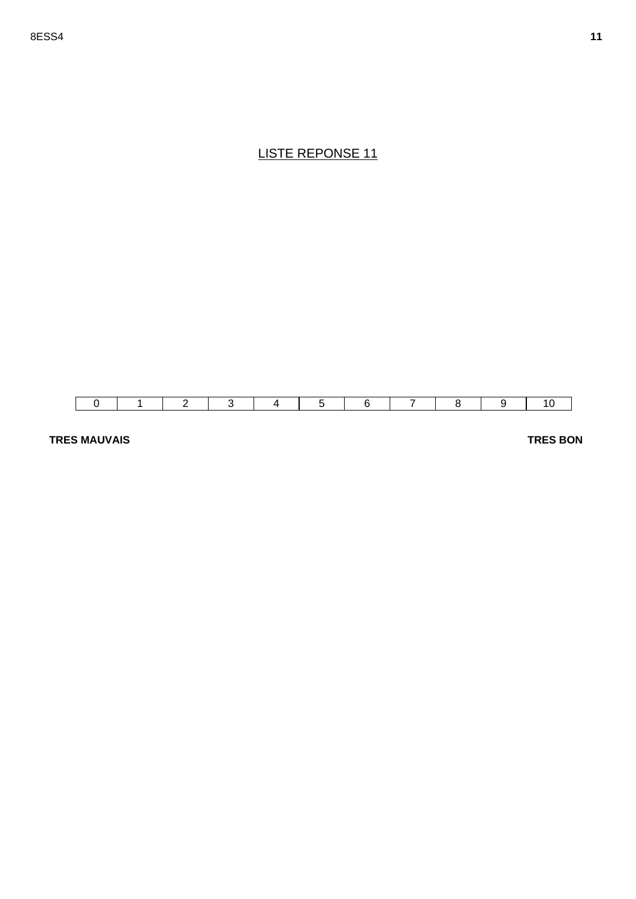

#### **TRES MAUVAIS**

**TRES BON**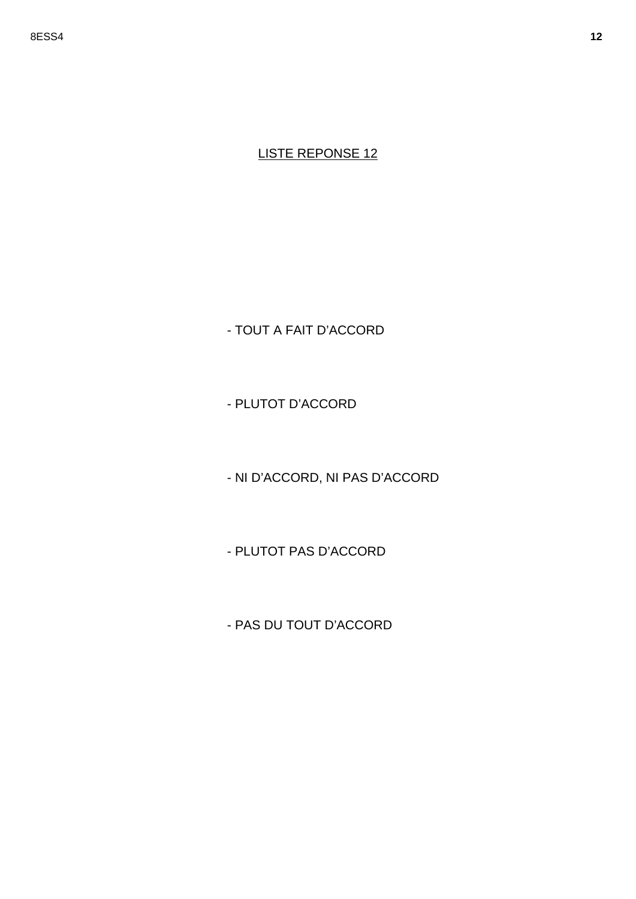- TOUT A FAIT D'ACCORD

- PLUTOT D'ACCORD

- NI D'ACCORD, NI PAS D'ACCORD

- PLUTOT PAS D'ACCORD

- PAS DU TOUT D'ACCORD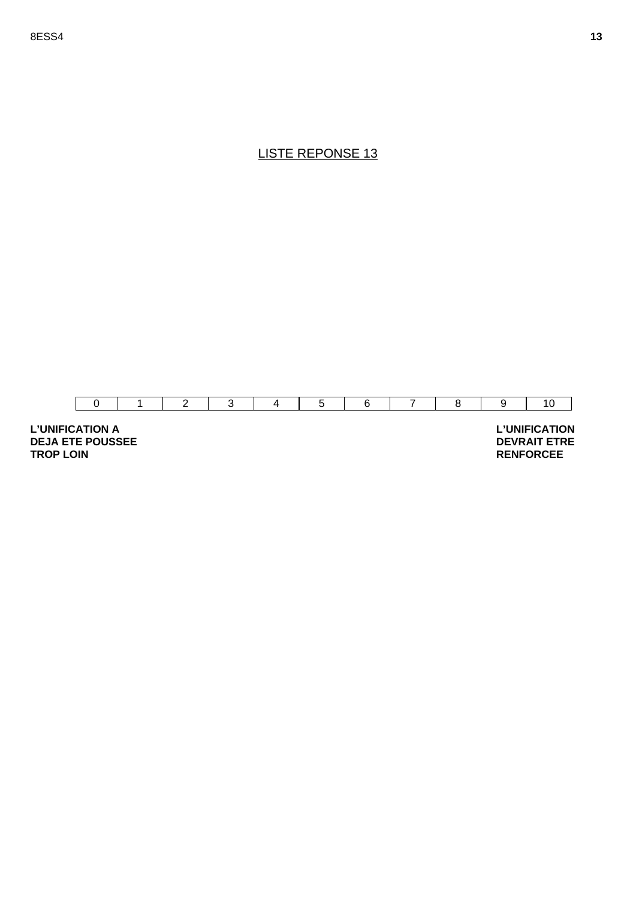

**L'UNIFICATION A DEJA ETE POUSSEE TROP LOIN** 

 **L'UNIFICATION DEVRAIT ETRE RENFORCEE**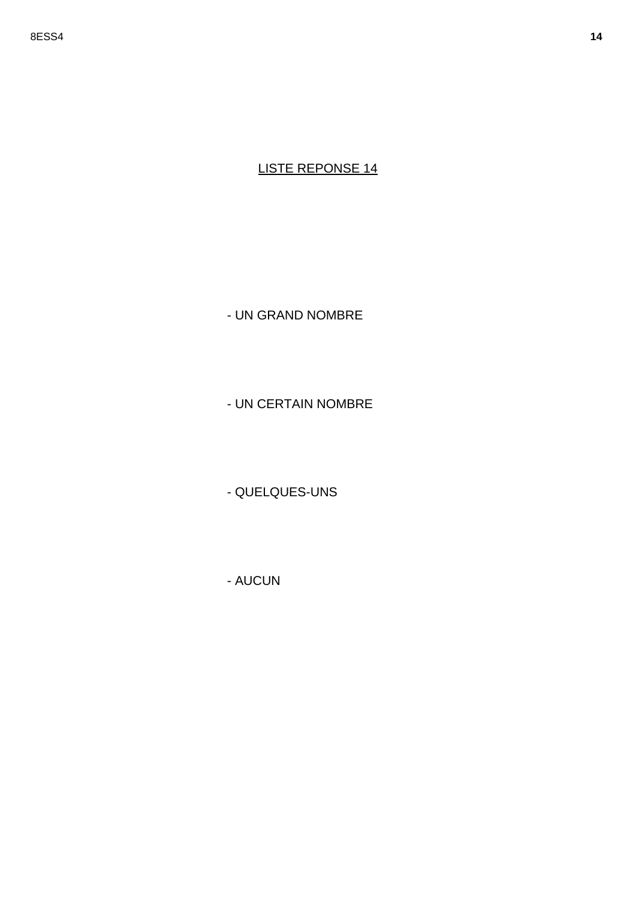- UN GRAND NOMBRE

- UN CERTAIN NOMBRE

- QUELQUES-UNS

- AUCUN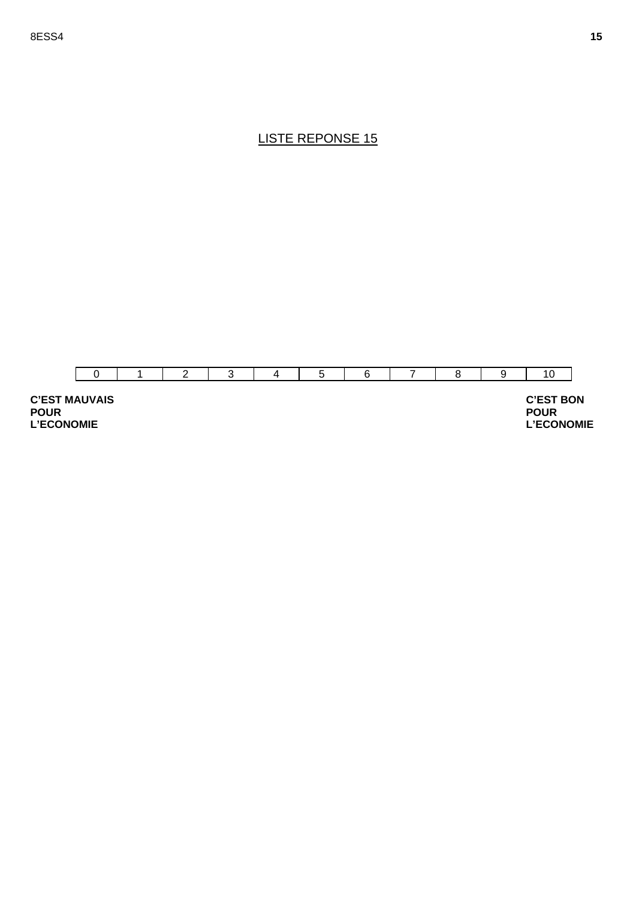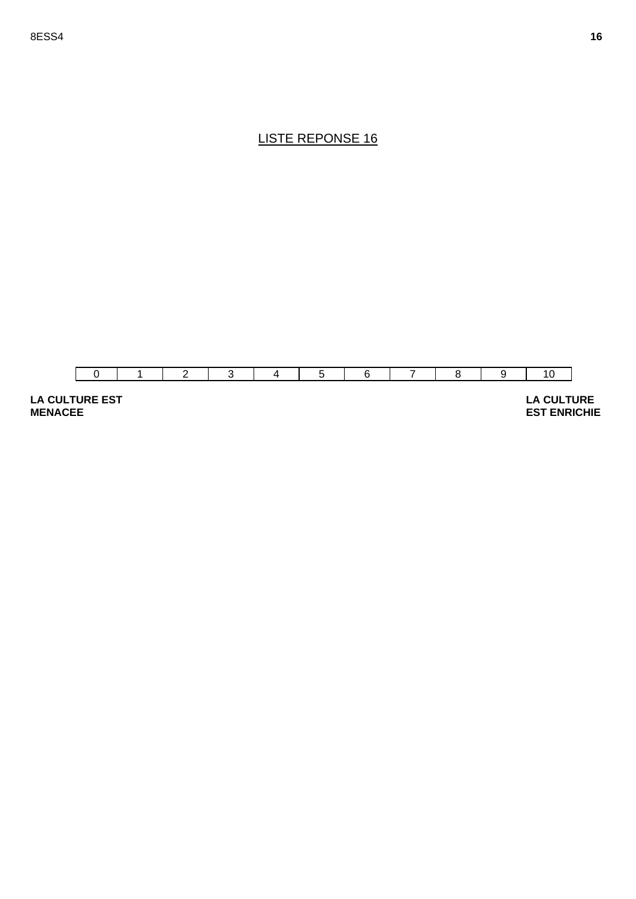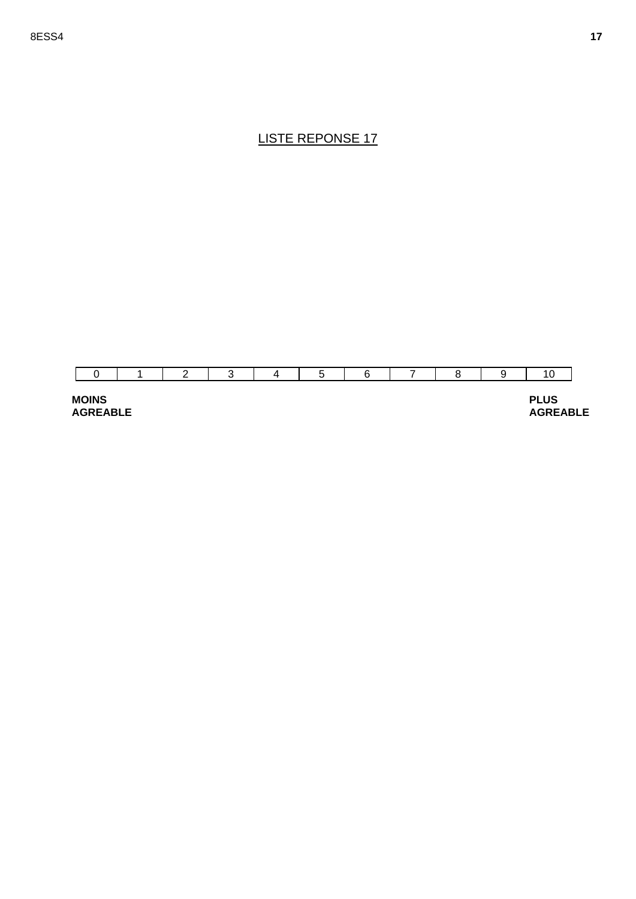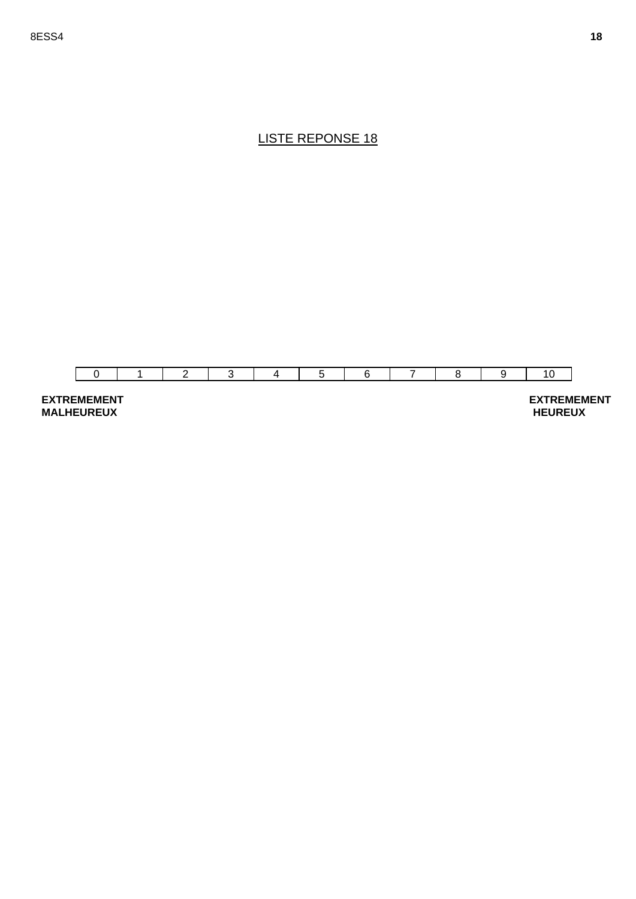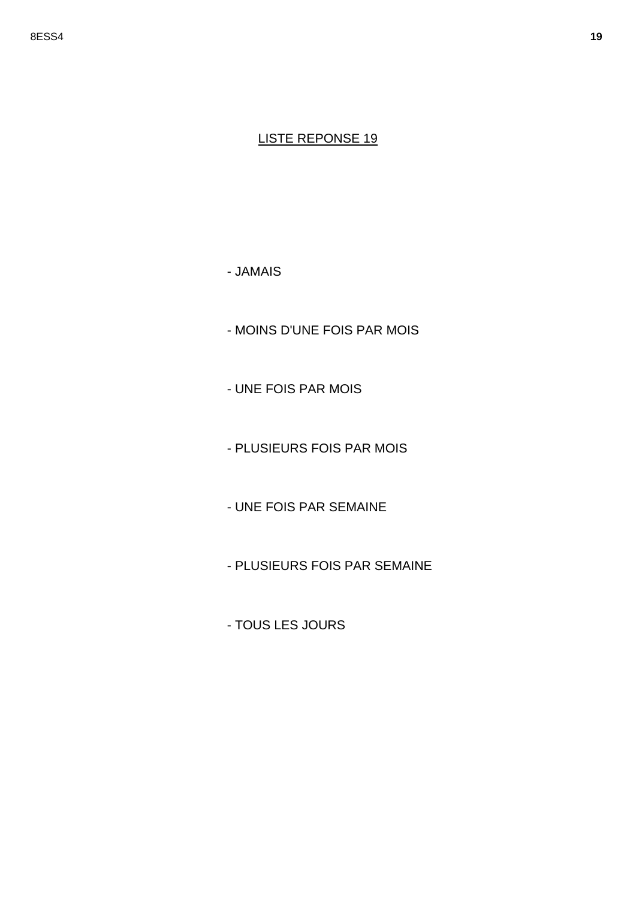- JAMAIS

- MOINS D'UNE FOIS PAR MOIS

- UNE FOIS PAR MOIS

- PLUSIEURS FOIS PAR MOIS

- UNE FOIS PAR SEMAINE

- PLUSIEURS FOIS PAR SEMAINE

- TOUS LES JOURS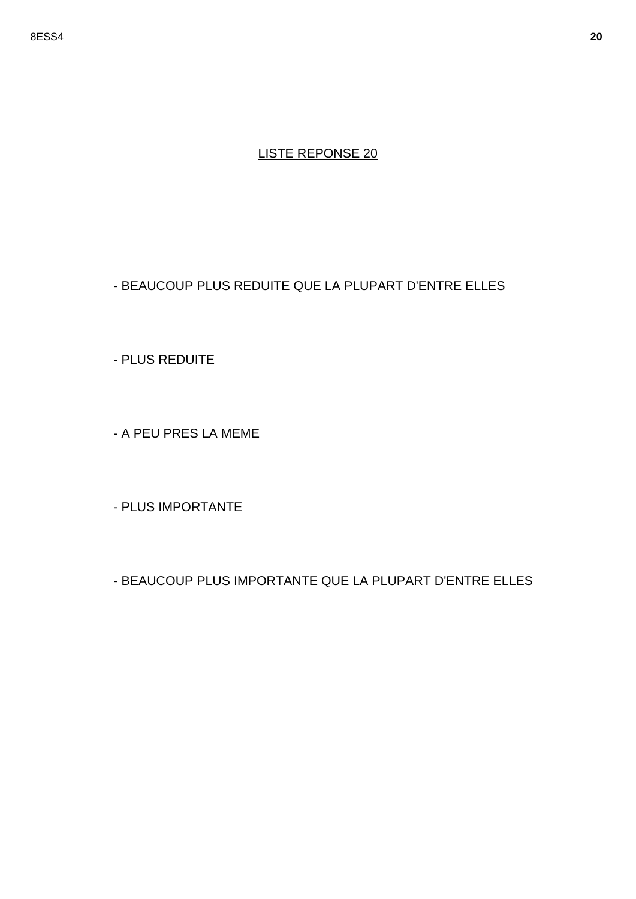#### - BEAUCOUP PLUS REDUITE QUE LA PLUPART D'ENTRE ELLES

- PLUS REDUITE

- A PEU PRES LA MEME

- PLUS IMPORTANTE

- BEAUCOUP PLUS IMPORTANTE QUE LA PLUPART D'ENTRE ELLES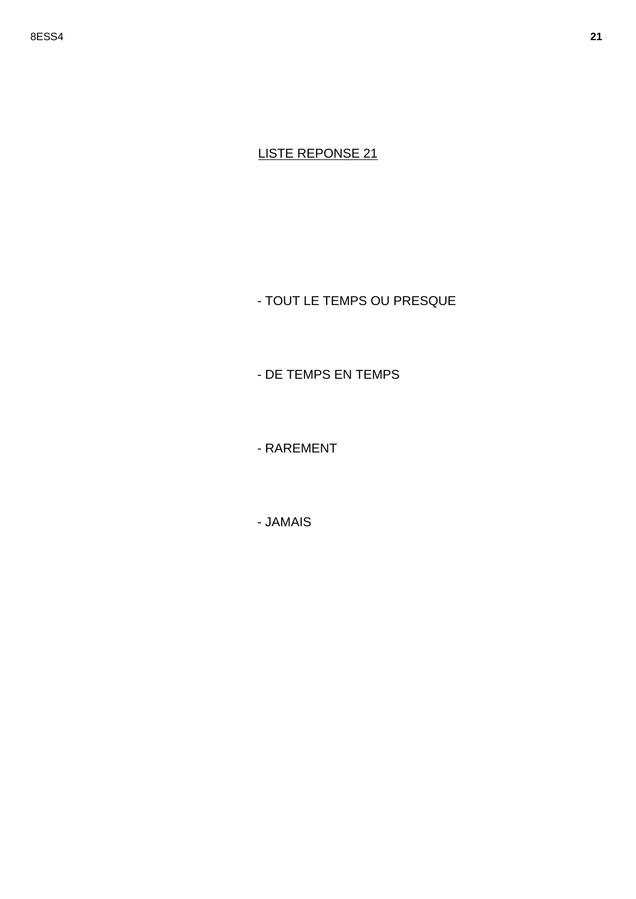- TOUT LE TEMPS OU PRESQUE

- DE TEMPS EN TEMPS

- RAREMENT

- JAMAIS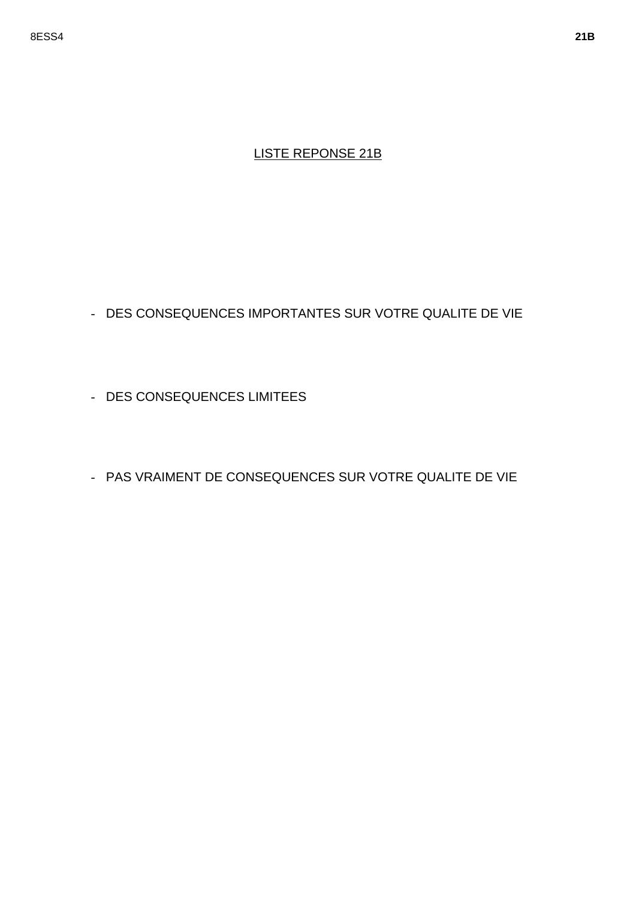### LISTE REPONSE 21B

- DES CONSEQUENCES IMPORTANTES SUR VOTRE QUALITE DE VIE
- DES CONSEQUENCES LIMITEES
- PAS VRAIMENT DE CONSEQUENCES SUR VOTRE QUALITE DE VIE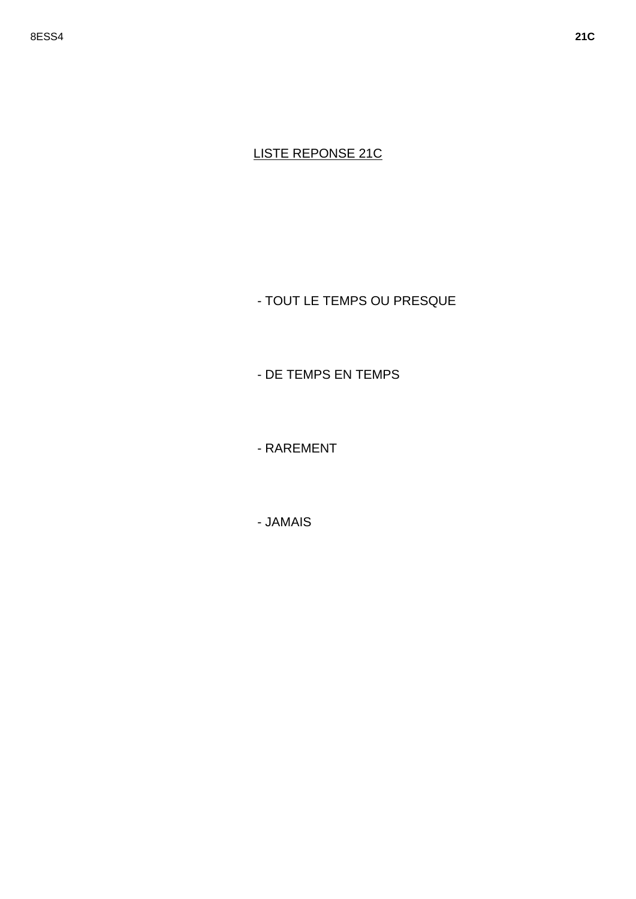# **LISTE REPONSE 21C**

- TOUT LE TEMPS OU PRESQUE

- DE TEMPS EN TEMPS

- RAREMENT

- JAMAIS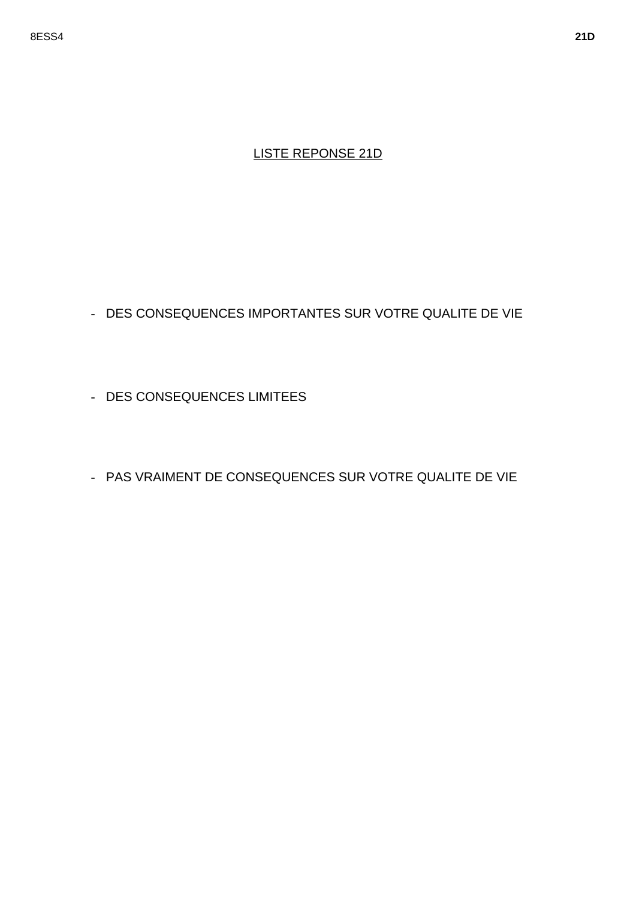### LISTE REPONSE 21D

- DES CONSEQUENCES IMPORTANTES SUR VOTRE QUALITE DE VIE

- DES CONSEQUENCES LIMITEES

- PAS VRAIMENT DE CONSEQUENCES SUR VOTRE QUALITE DE VIE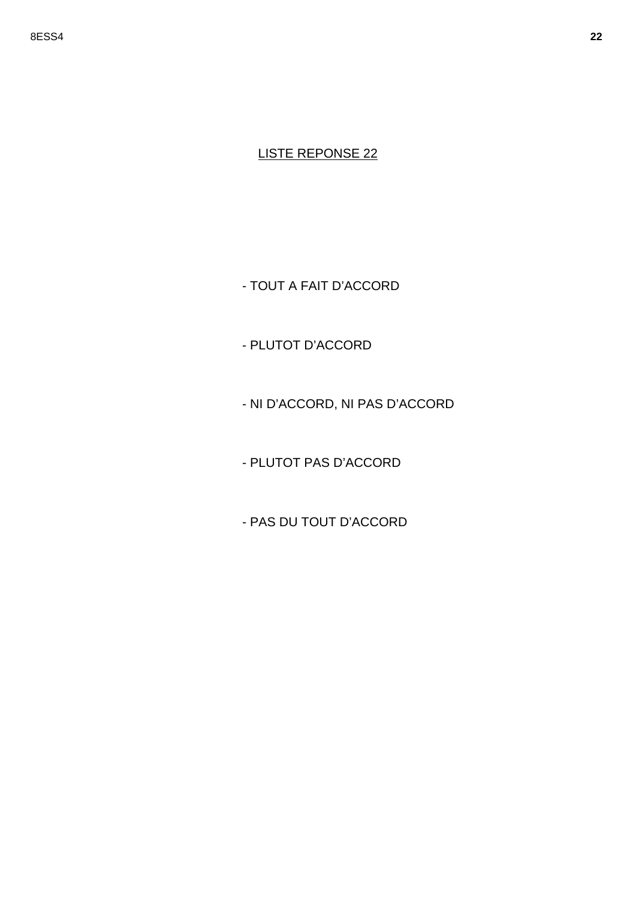- TOUT A FAIT D'ACCORD

- PLUTOT D'ACCORD

- NI D'ACCORD, NI PAS D'ACCORD

- PLUTOT PAS D'ACCORD

- PAS DU TOUT D'ACCORD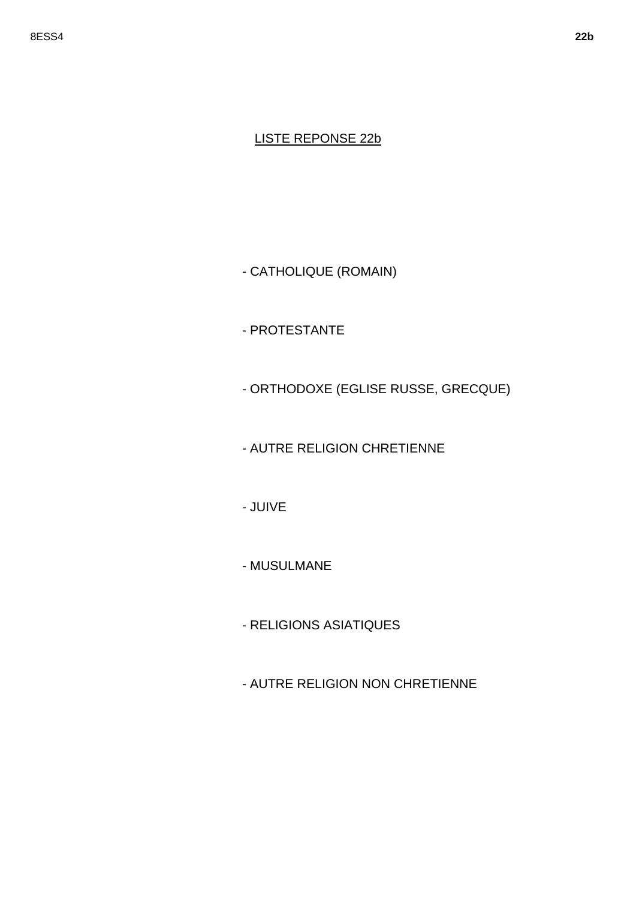#### LISTE REPONSE 22b

- CATHOLIQUE (ROMAIN)

- PROTESTANTE

- ORTHODOXE (EGLISE RUSSE, GRECQUE)

- AUTRE RELIGION CHRETIENNE

- JUIVE

- MUSULMANE

- RELIGIONS ASIATIQUES

- AUTRE RELIGION NON CHRETIENNE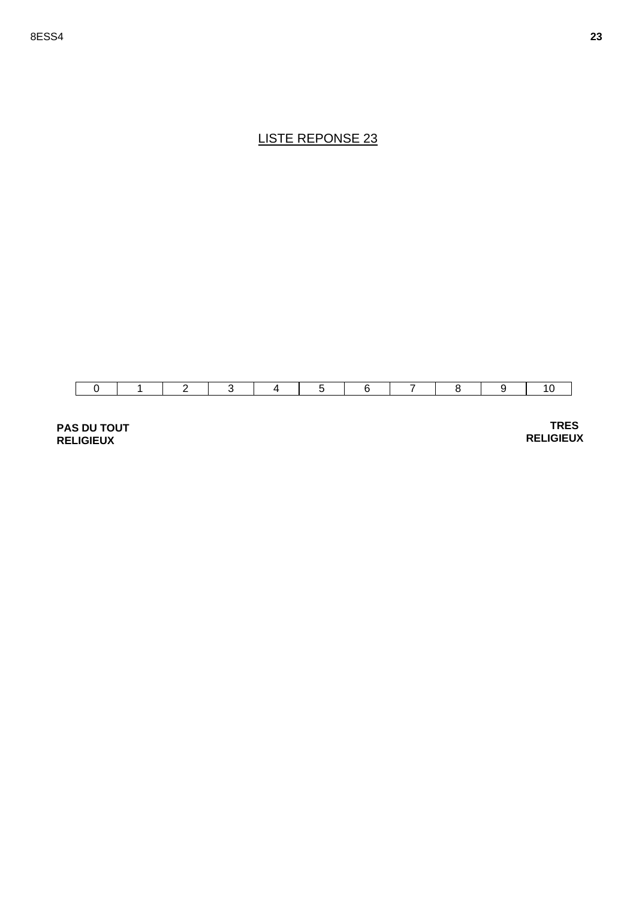

**PAS DU TOUT RELIGIEUX** 

 **TRES RELIGIEUX**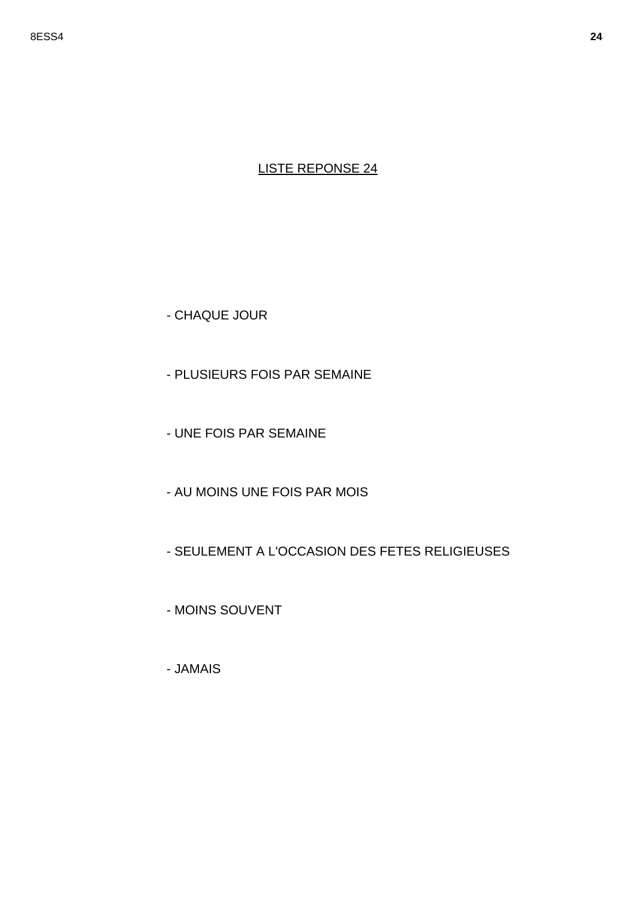- CHAQUE JOUR

- PLUSIEURS FOIS PAR SEMAINE
- UNE FOIS PAR SEMAINE
- AU MOINS UNE FOIS PAR MOIS
- SEULEMENT A L'OCCASION DES FETES RELIGIEUSES
- MOINS SOUVENT
- JAMAIS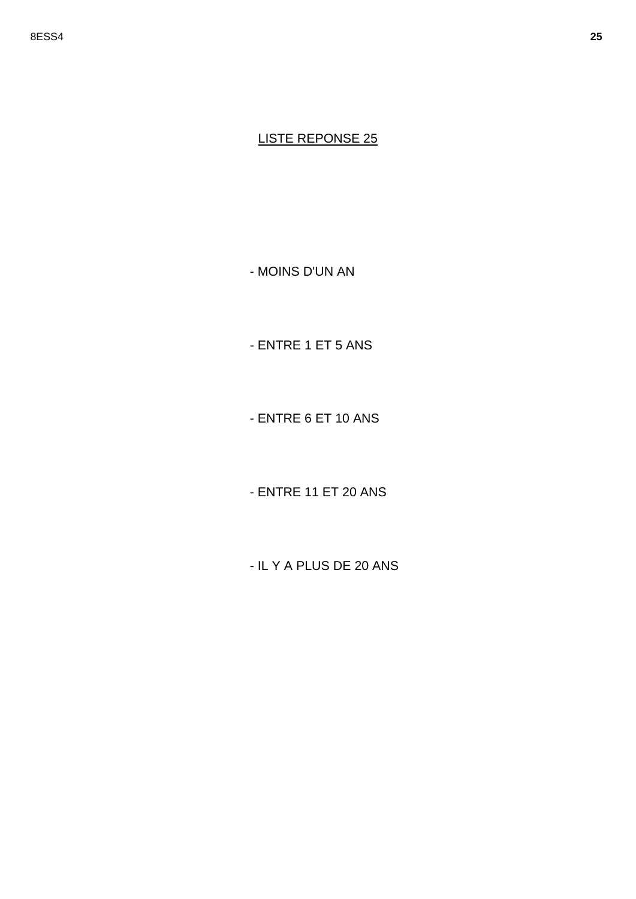- MOINS D'UN AN

- ENTRE 1 ET 5 ANS

- ENTRE 6 ET 10 ANS

- ENTRE 11 ET 20 ANS

- IL Y A PLUS DE 20 ANS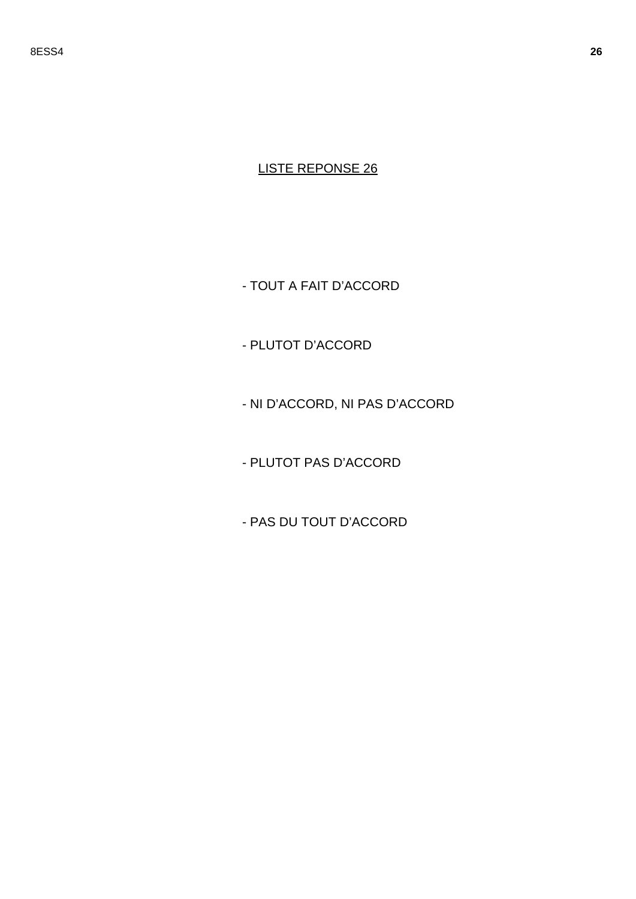- TOUT A FAIT D'ACCORD

- PLUTOT D'ACCORD

- NI D'ACCORD, NI PAS D'ACCORD

- PLUTOT PAS D'ACCORD

- PAS DU TOUT D'ACCORD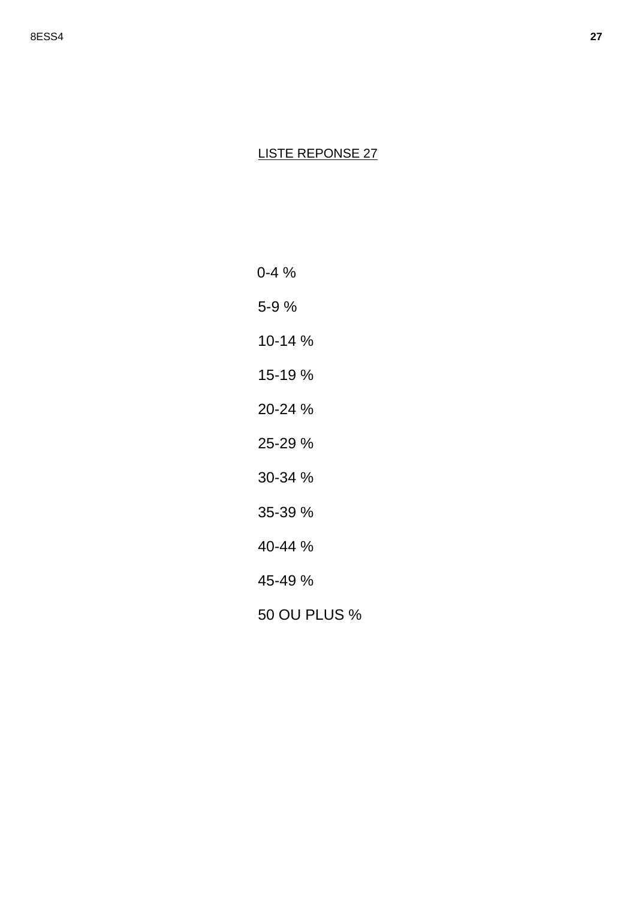0-4 % 5-9 % 10-14 % 15-19 % 20-24 % 25-29 % 30-34 % 35-39 % 40-44 % 45-49 % 50 OU PLUS %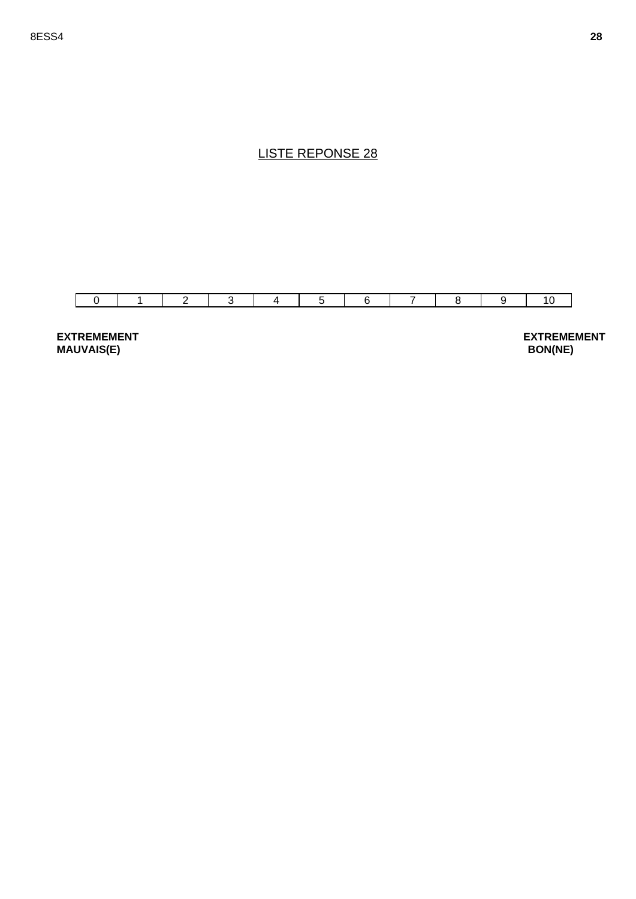

**EXTREMEMENT MAUVAIS(E)**

**EXTREMEMENT BON(NE)**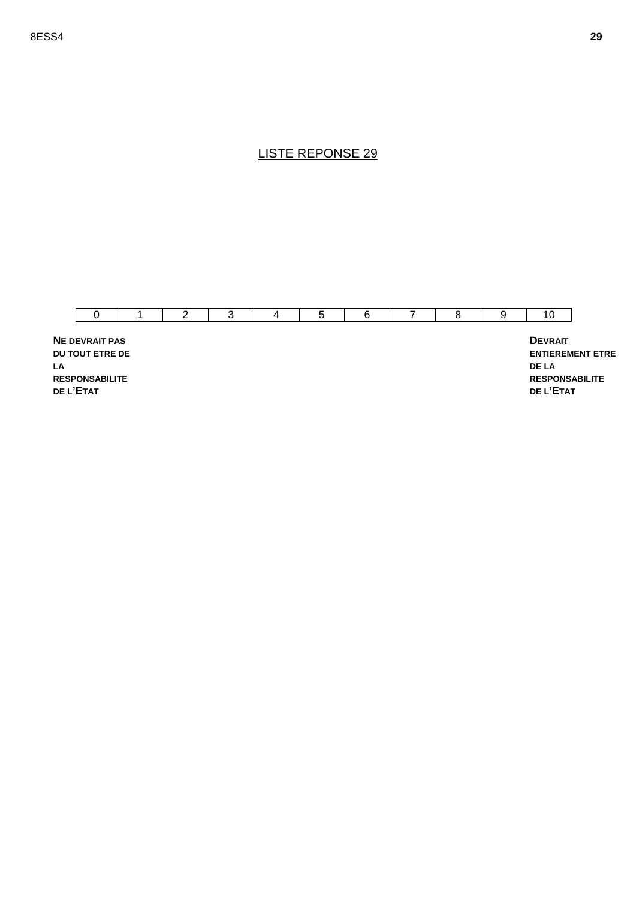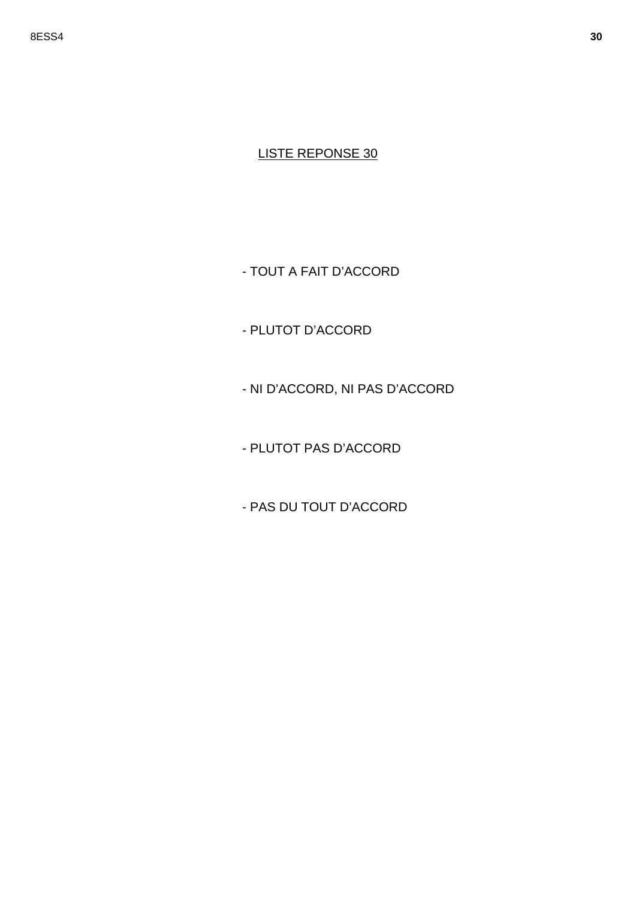- TOUT A FAIT D'ACCORD

- PLUTOT D'ACCORD

- NI D'ACCORD, NI PAS D'ACCORD

- PLUTOT PAS D'ACCORD

- PAS DU TOUT D'ACCORD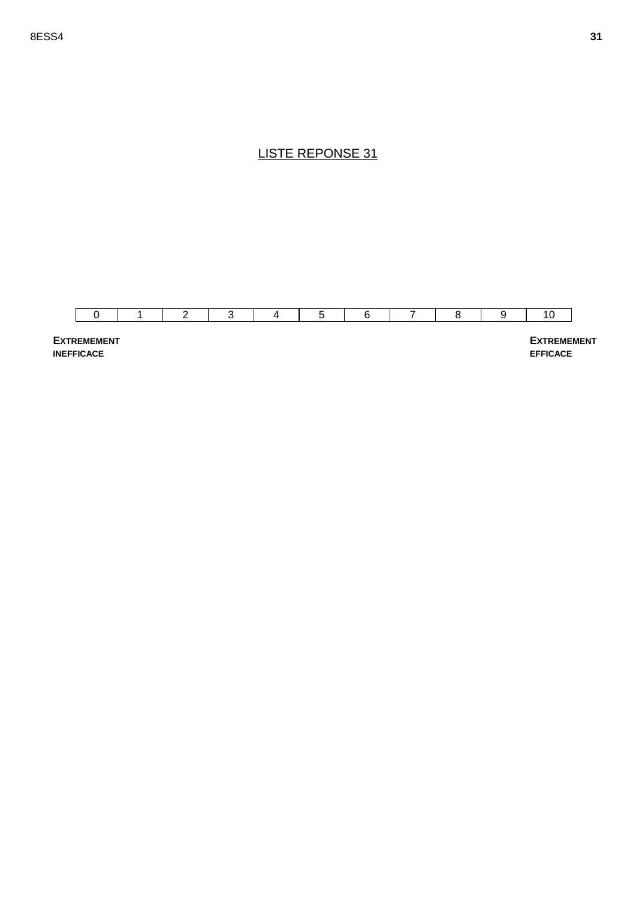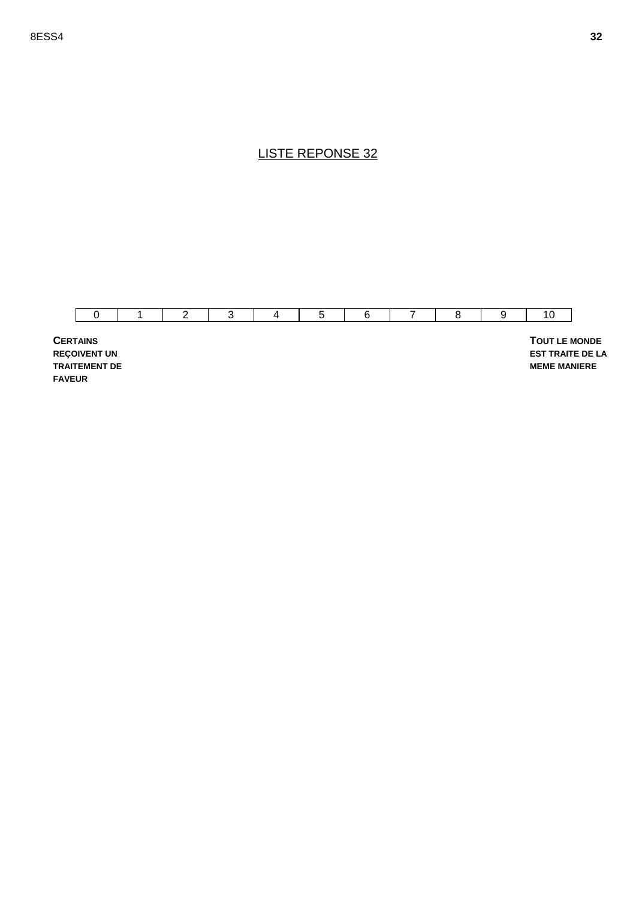

**REÇOIVENT UN TRAITEMENT DE FAVEUR**

 **TOUT LE MONDE EST TRAITE DE LA MEME MANIERE**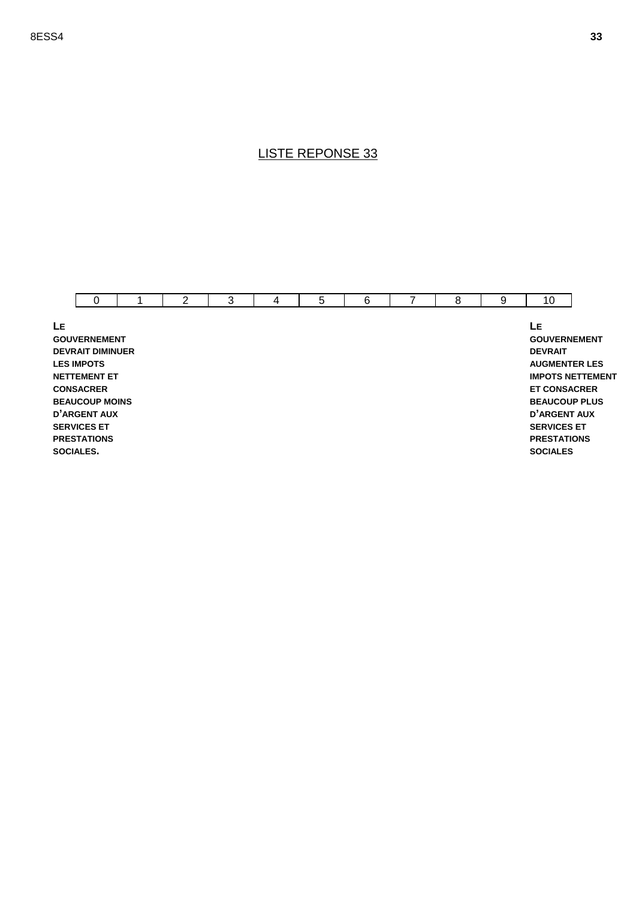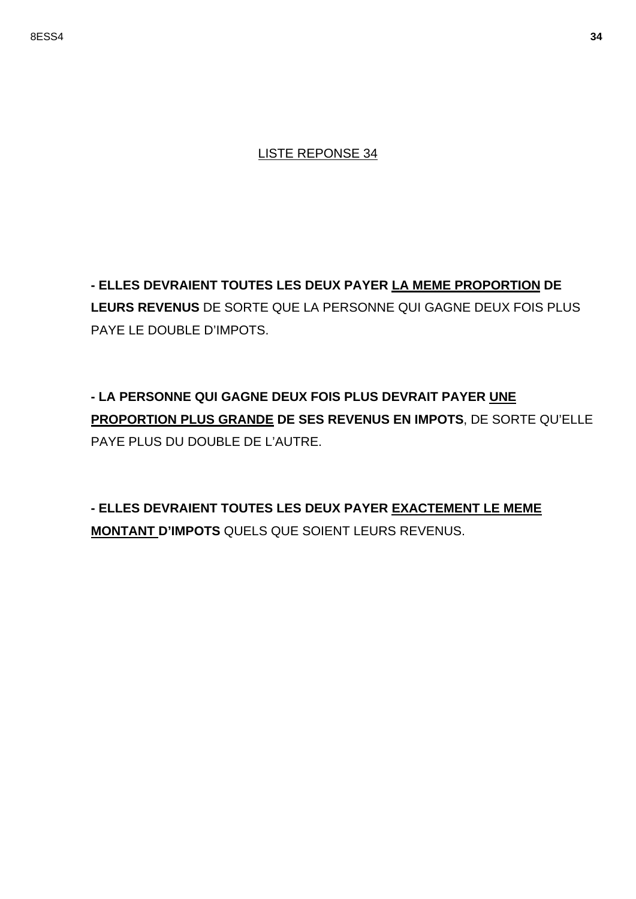**- ELLES DEVRAIENT TOUTES LES DEUX PAYER LA MEME PROPORTION DE LEURS REVENUS** DE SORTE QUE LA PERSONNE QUI GAGNE DEUX FOIS PLUS PAYE LE DOUBLE D'IMPOTS.

**- LA PERSONNE QUI GAGNE DEUX FOIS PLUS DEVRAIT PAYER UNE PROPORTION PLUS GRANDE DE SES REVENUS EN IMPOTS**, DE SORTE QU'ELLE PAYE PLUS DU DOUBLE DE L'AUTRE.

**- ELLES DEVRAIENT TOUTES LES DEUX PAYER EXACTEMENT LE MEME MONTANT D'IMPOTS** QUELS QUE SOIENT LEURS REVENUS.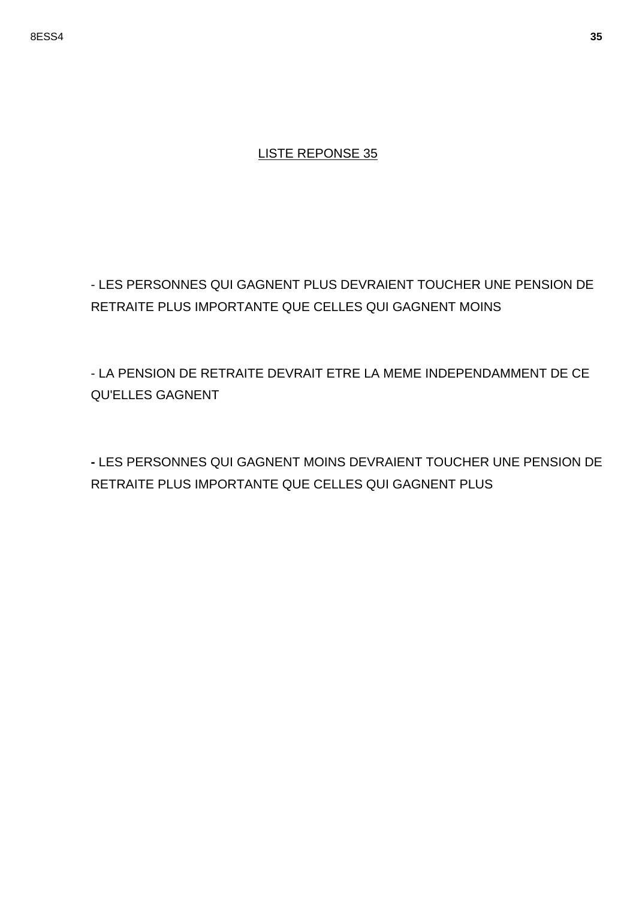- LES PERSONNES QUI GAGNENT PLUS DEVRAIENT TOUCHER UNE PENSION DE RETRAITE PLUS IMPORTANTE QUE CELLES QUI GAGNENT MOINS

- LA PENSION DE RETRAITE DEVRAIT ETRE LA MEME INDEPENDAMMENT DE CE QU'ELLES GAGNENT

**-** LES PERSONNES QUI GAGNENT MOINS DEVRAIENT TOUCHER UNE PENSION DE RETRAITE PLUS IMPORTANTE QUE CELLES QUI GAGNENT PLUS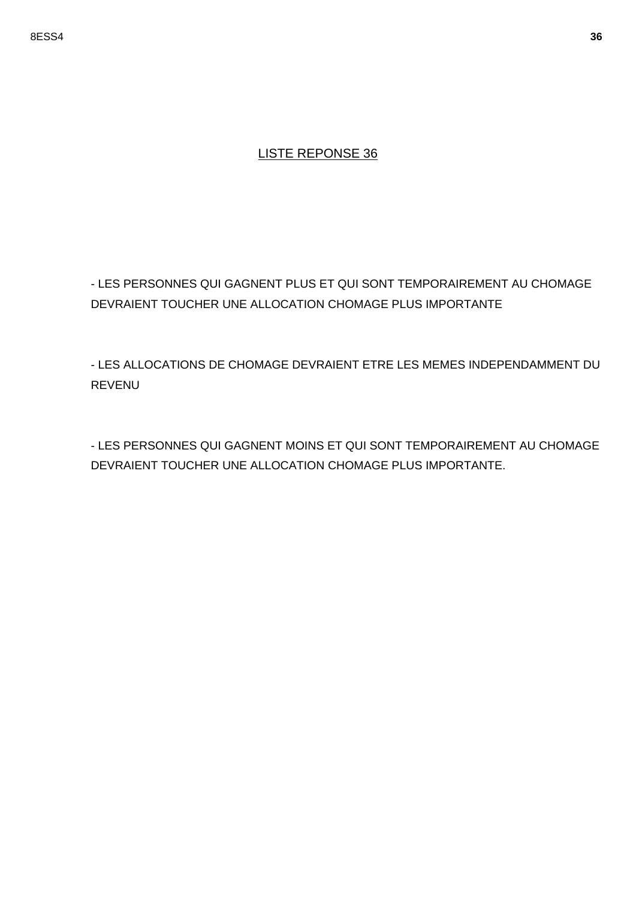- LES PERSONNES QUI GAGNENT PLUS ET QUI SONT TEMPORAIREMENT AU CHOMAGE DEVRAIENT TOUCHER UNE ALLOCATION CHOMAGE PLUS IMPORTANTE

- LES ALLOCATIONS DE CHOMAGE DEVRAIENT ETRE LES MEMES INDEPENDAMMENT DU REVENU

- LES PERSONNES QUI GAGNENT MOINS ET QUI SONT TEMPORAIREMENT AU CHOMAGE DEVRAIENT TOUCHER UNE ALLOCATION CHOMAGE PLUS IMPORTANTE.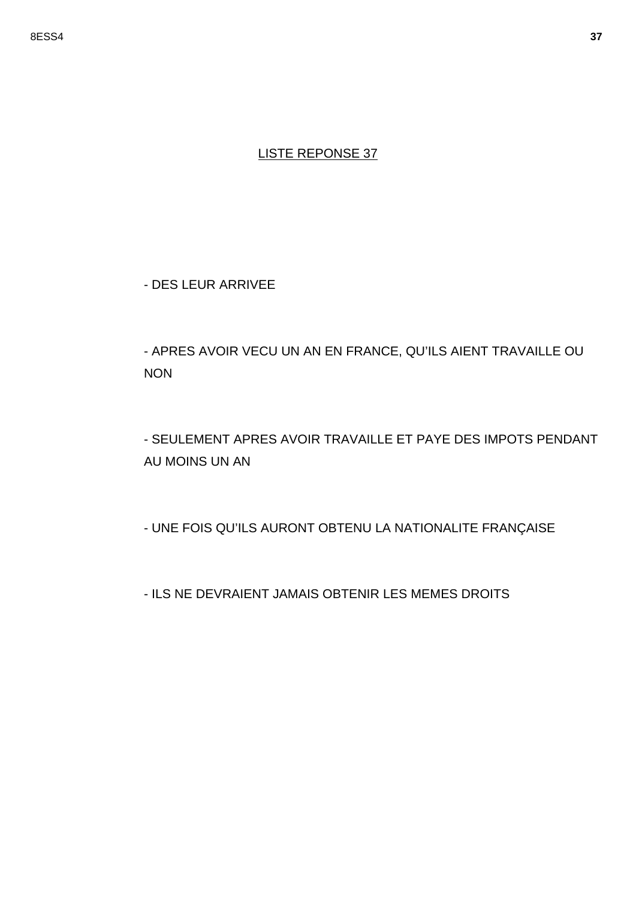- DES LEUR ARRIVEE

- APRES AVOIR VECU UN AN EN FRANCE, QU'ILS AIENT TRAVAILLE OU **NON** 

- SEULEMENT APRES AVOIR TRAVAILLE ET PAYE DES IMPOTS PENDANT AU MOINS UN AN

- UNE FOIS QU'ILS AURONT OBTENU LA NATIONALITE FRANÇAISE

- ILS NE DEVRAIENT JAMAIS OBTENIR LES MEMES DROITS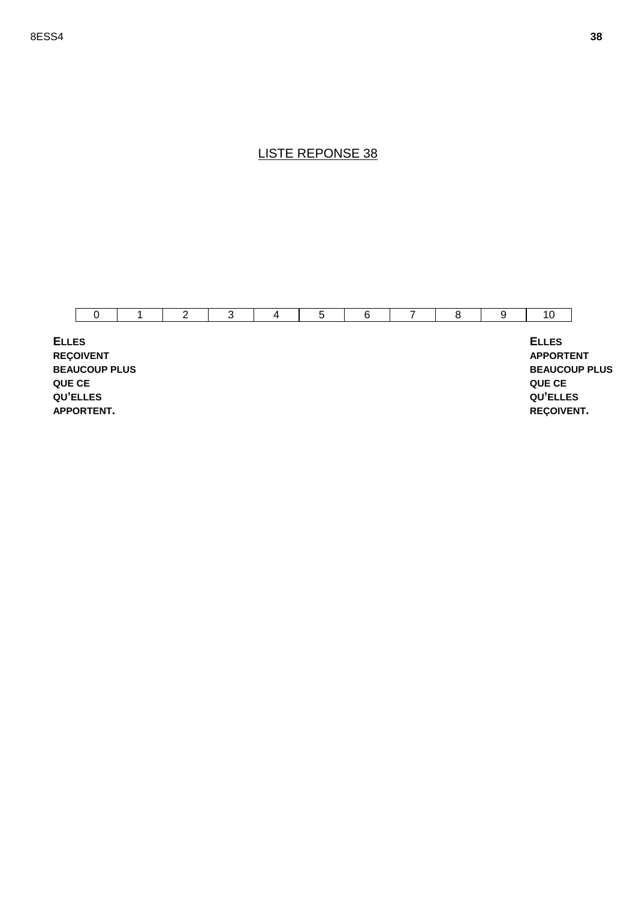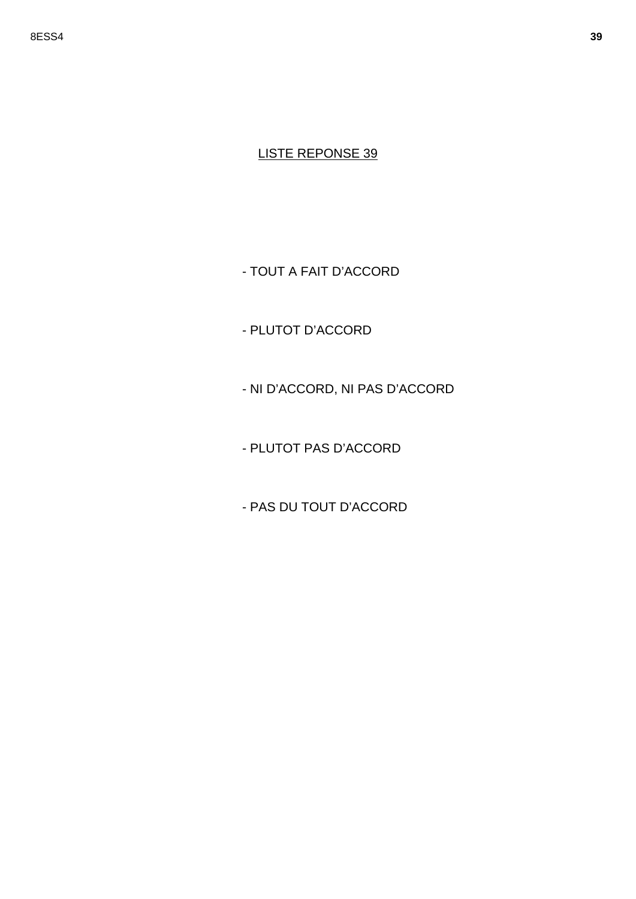- TOUT A FAIT D'ACCORD

- PLUTOT D'ACCORD

- NI D'ACCORD, NI PAS D'ACCORD

- PLUTOT PAS D'ACCORD

- PAS DU TOUT D'ACCORD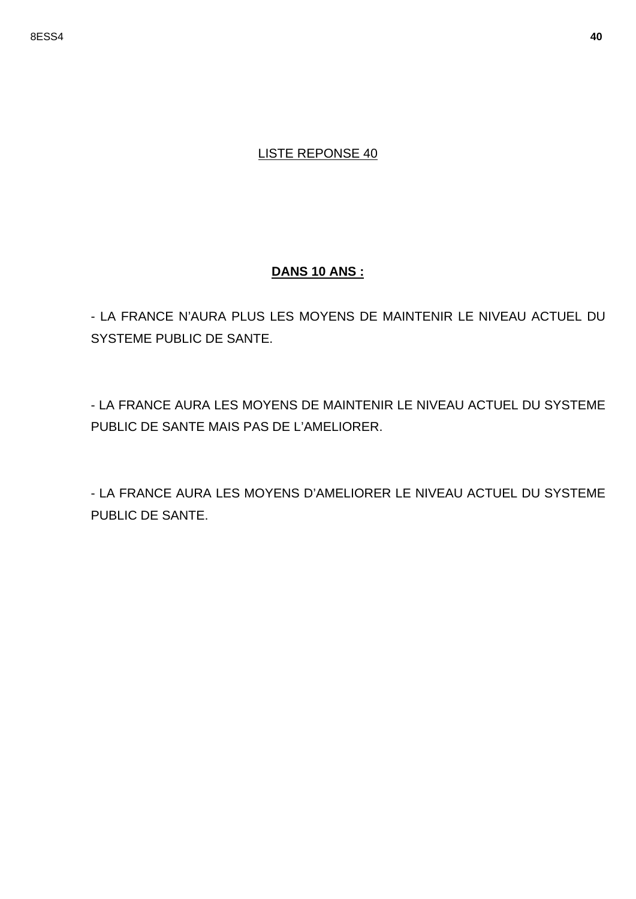#### **DANS 10 ANS :**

- LA FRANCE N'AURA PLUS LES MOYENS DE MAINTENIR LE NIVEAU ACTUEL DU SYSTEME PUBLIC DE SANTE.

- LA FRANCE AURA LES MOYENS DE MAINTENIR LE NIVEAU ACTUEL DU SYSTEME PUBLIC DE SANTE MAIS PAS DE L'AMELIORER.

- LA FRANCE AURA LES MOYENS D'AMELIORER LE NIVEAU ACTUEL DU SYSTEME PUBLIC DE SANTE.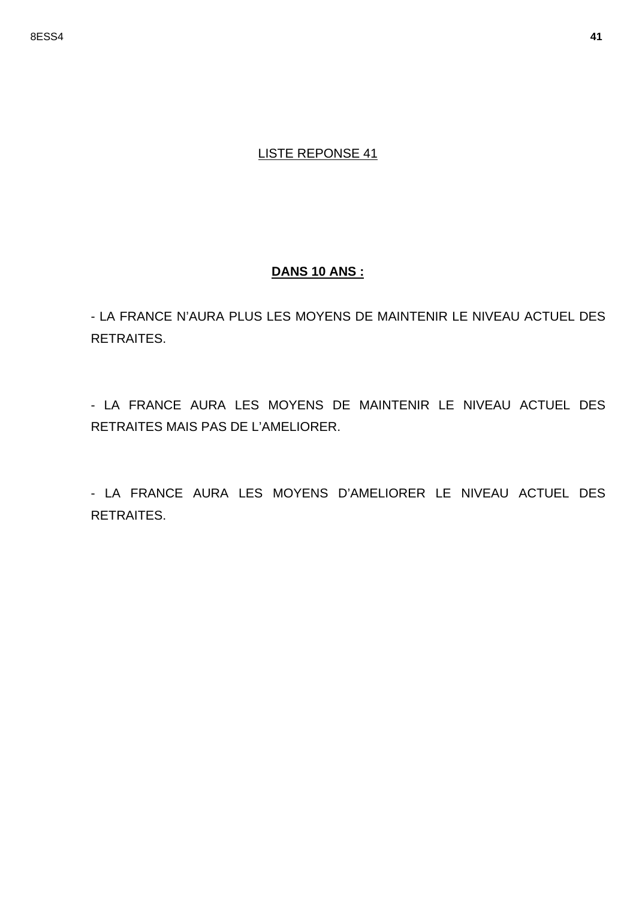# **DANS 10 ANS :**

- LA FRANCE N'AURA PLUS LES MOYENS DE MAINTENIR LE NIVEAU ACTUEL DES **RETRAITES.** 

- LA FRANCE AURA LES MOYENS DE MAINTENIR LE NIVEAU ACTUEL DES RETRAITES MAIS PAS DE L'AMELIORER.

- LA FRANCE AURA LES MOYENS D'AMELIORER LE NIVEAU ACTUEL DES RETRAITES.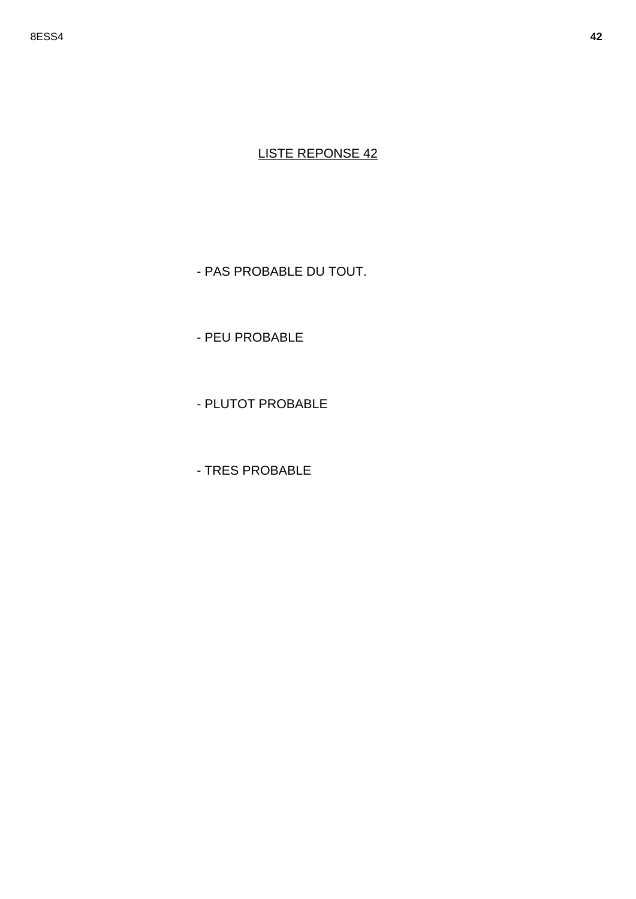- PAS PROBABLE DU TOUT.

- PEU PROBABLE

- PLUTOT PROBABLE

- TRES PROBABLE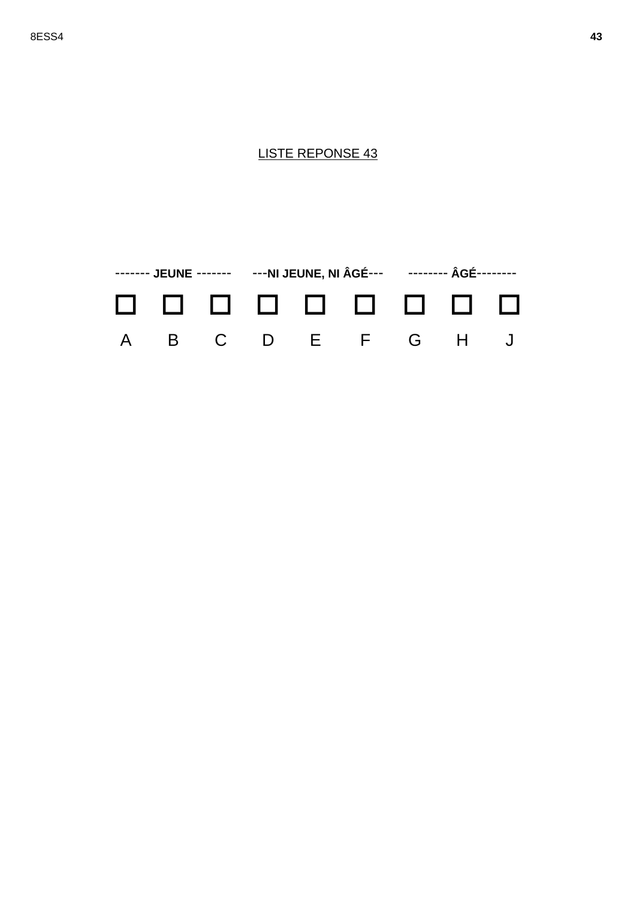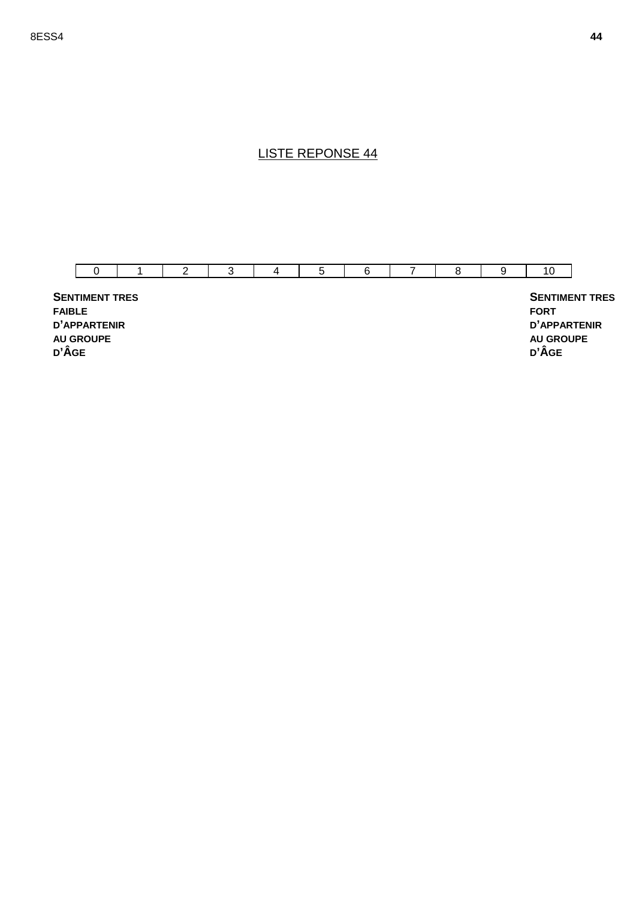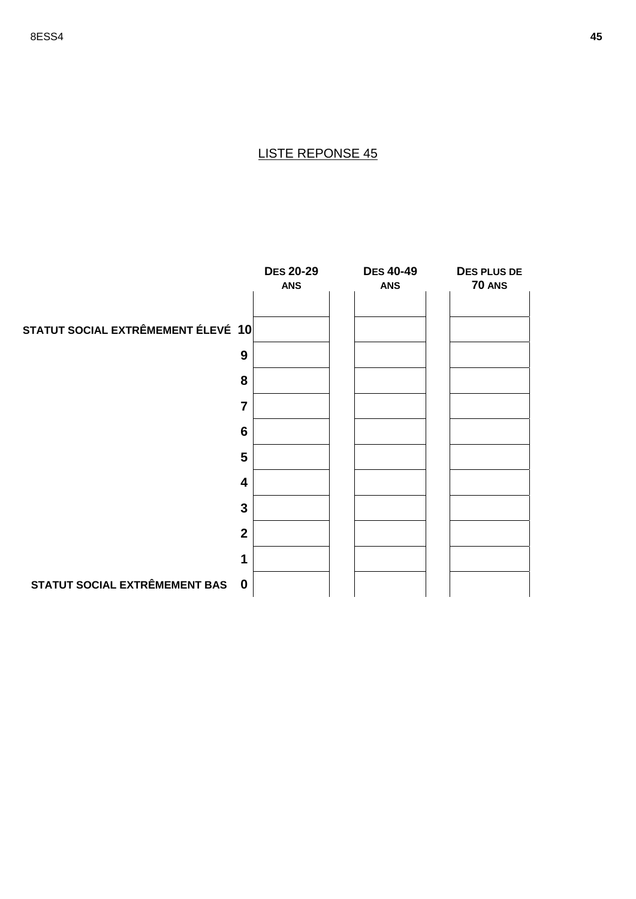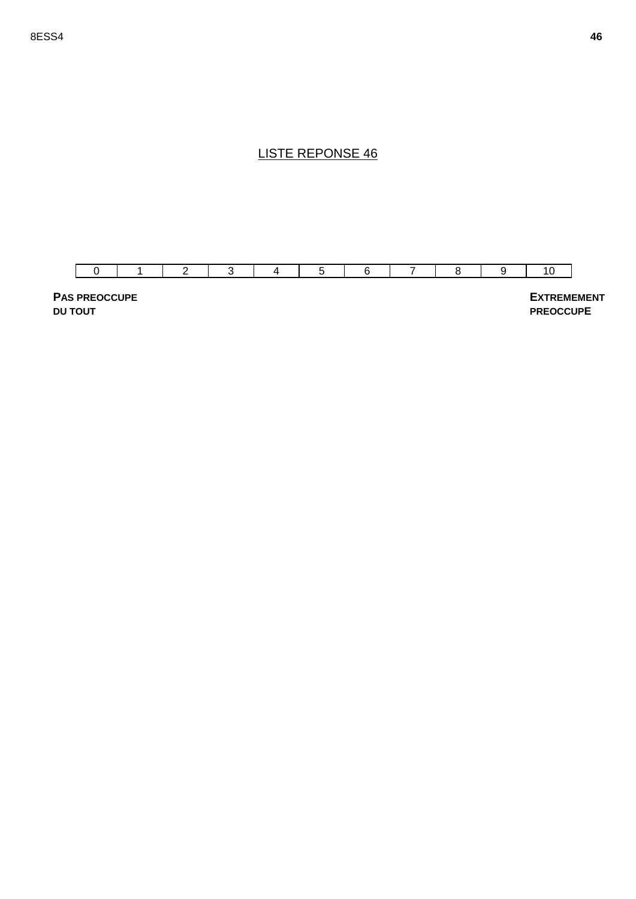

**PAS PREOCCUPE DU TOUT**

 **EXTREMEMENT PREOCCUPE**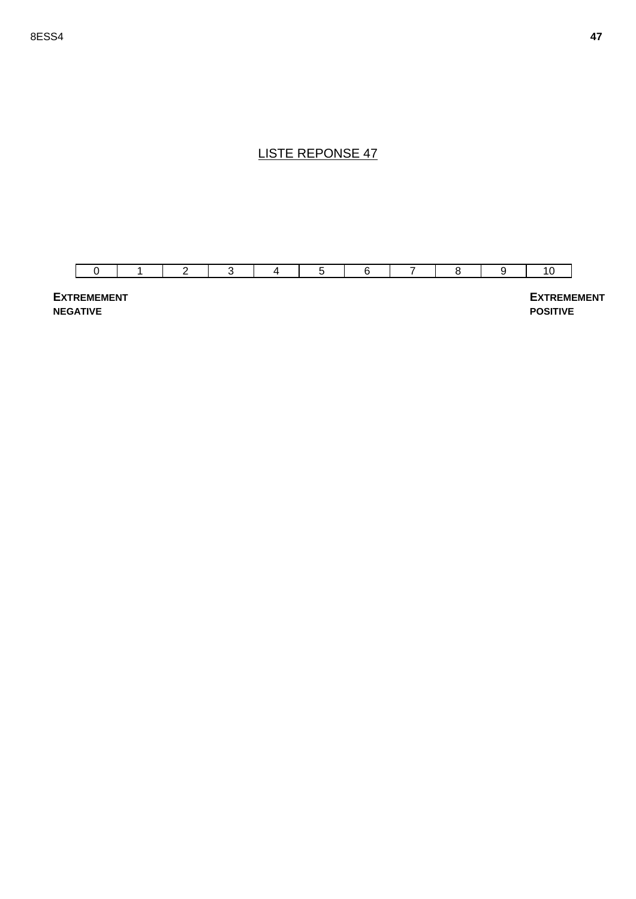

**EXTREMEMENT NEGATIVE**

 **EXTREMEMENT POSITIVE**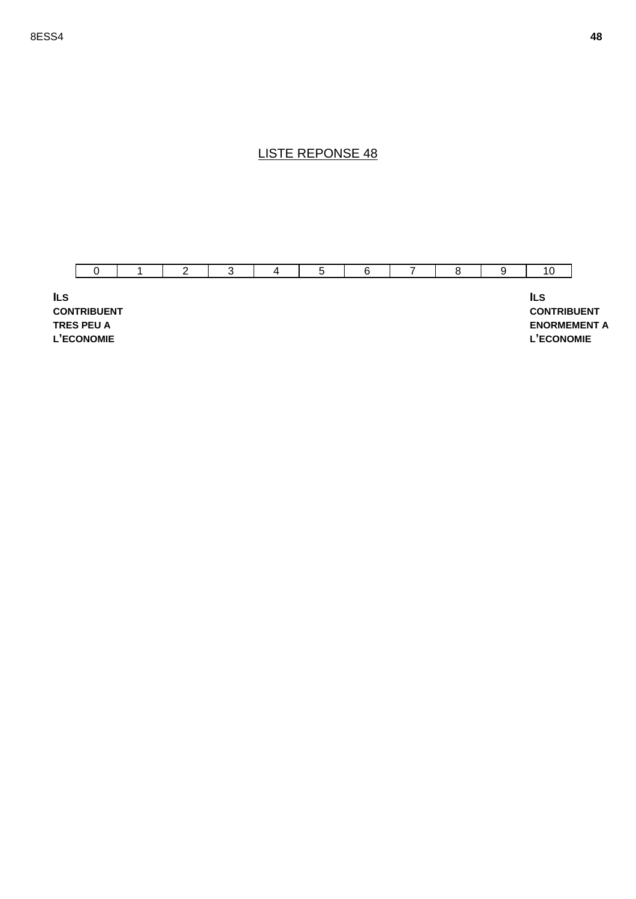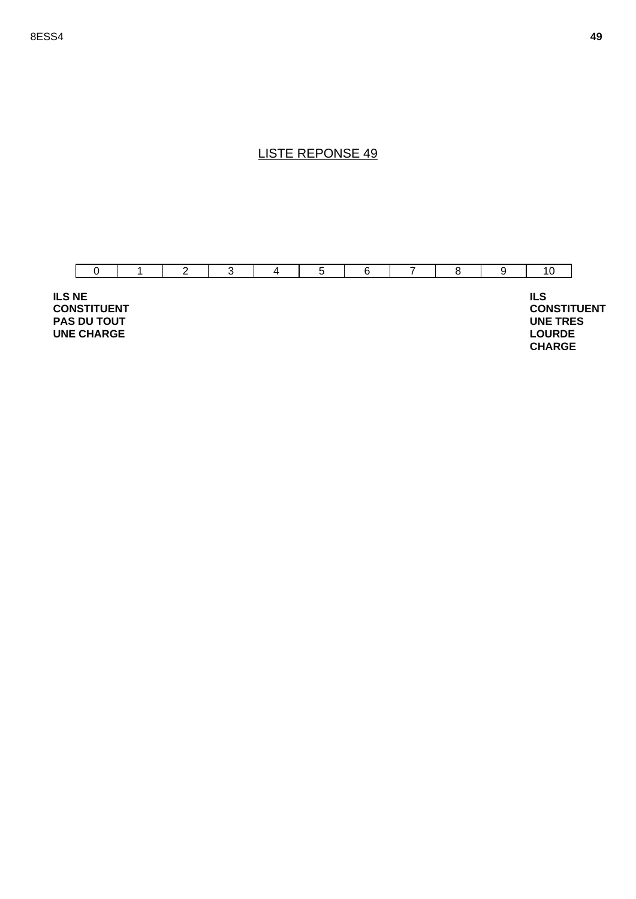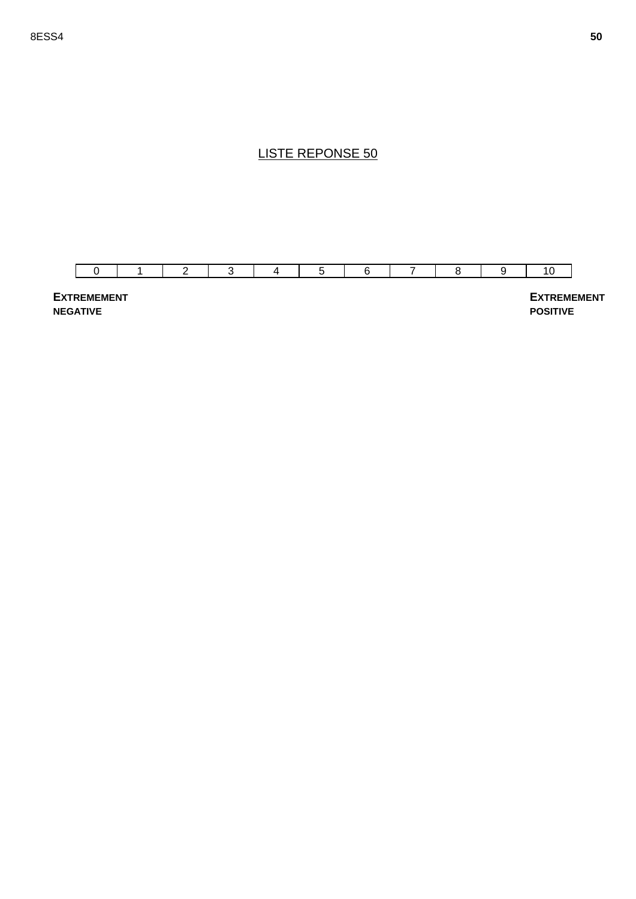

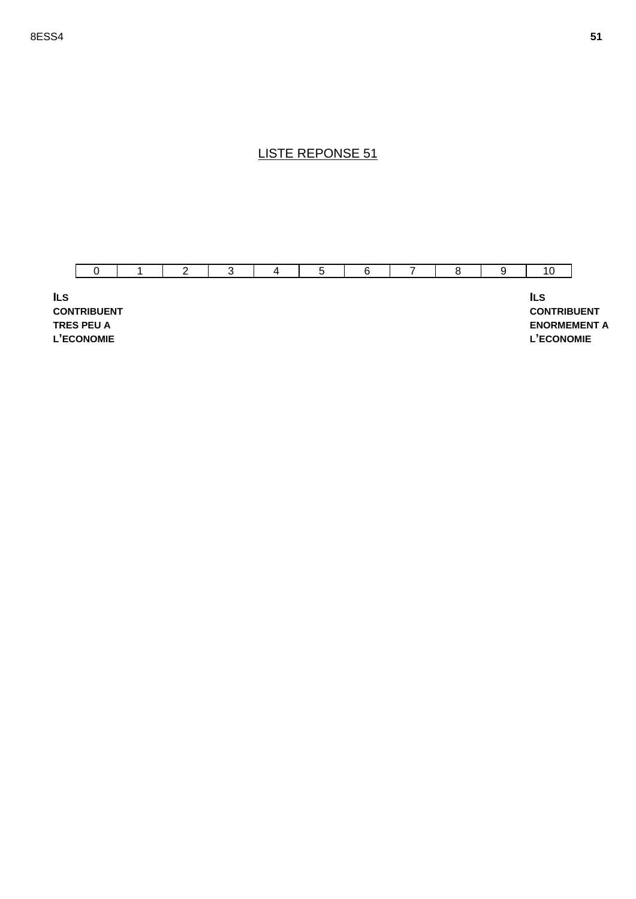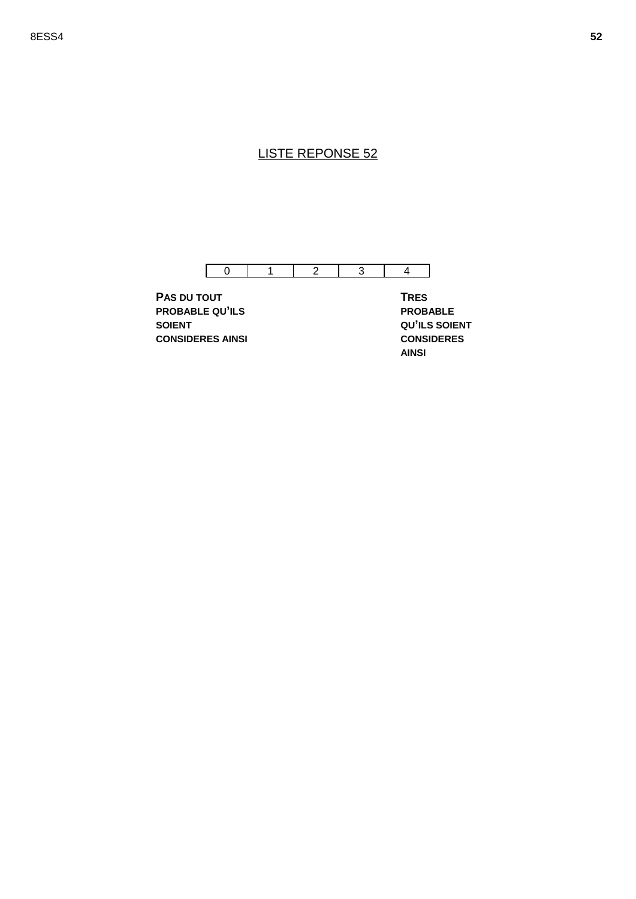

**PAS DU TOUT PROBABLE QU'ILS SOIENT CONSIDERES AINSI** **TRES PROBABLE QU'ILS SOIENT CONSIDERES AINSI**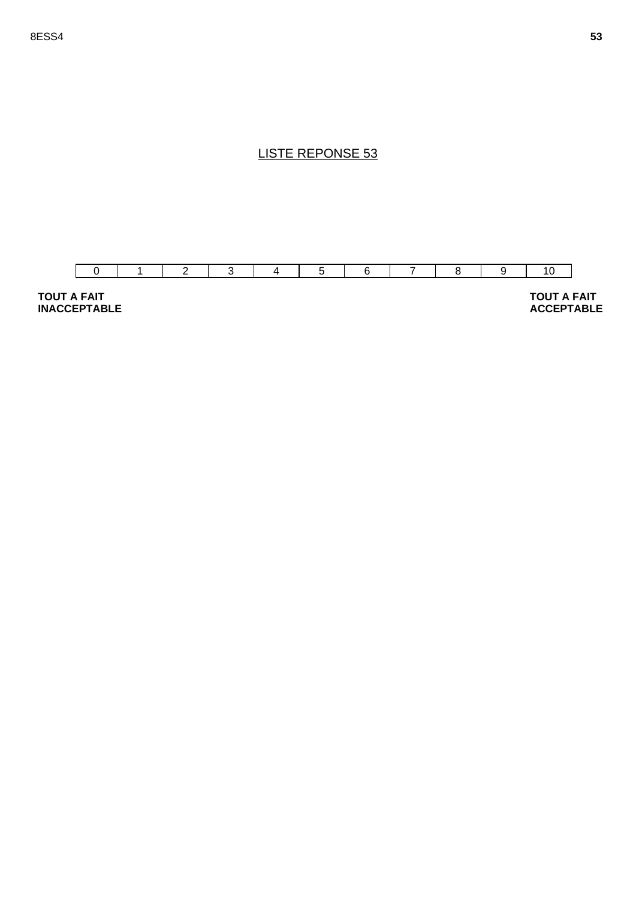



 **TOUT A FAIT ACCEPTABLE**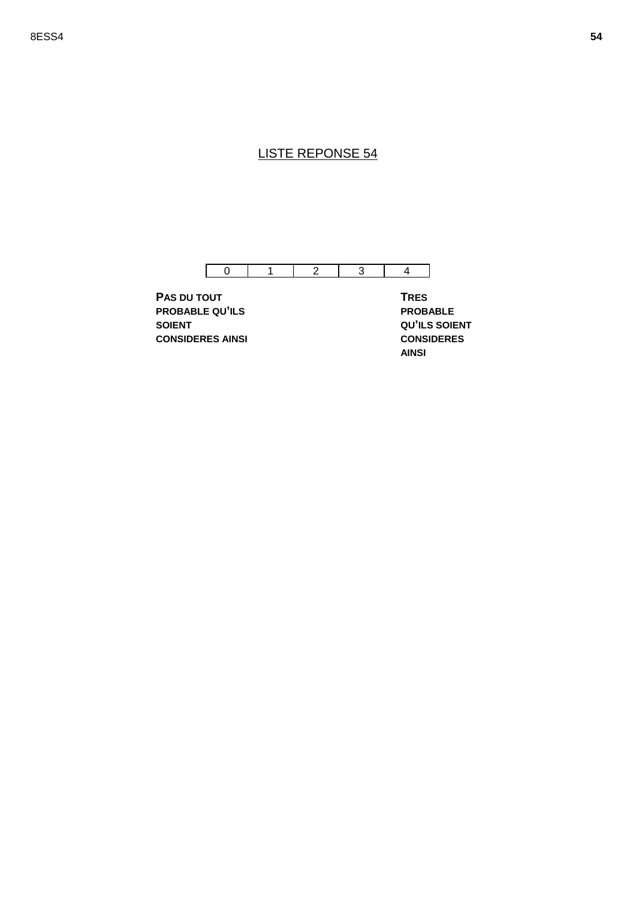

**PAS DU TOUT PROBABLE QU'ILS SOIENT CONSIDERES AINSI** **TRES PROBABLE QU'ILS SOIENT CONSIDERES AINSI**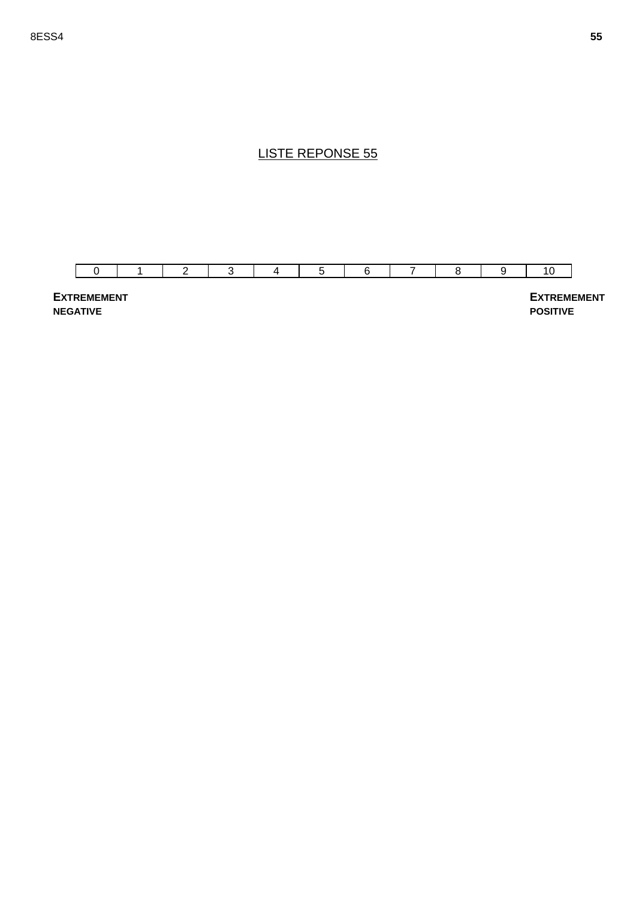

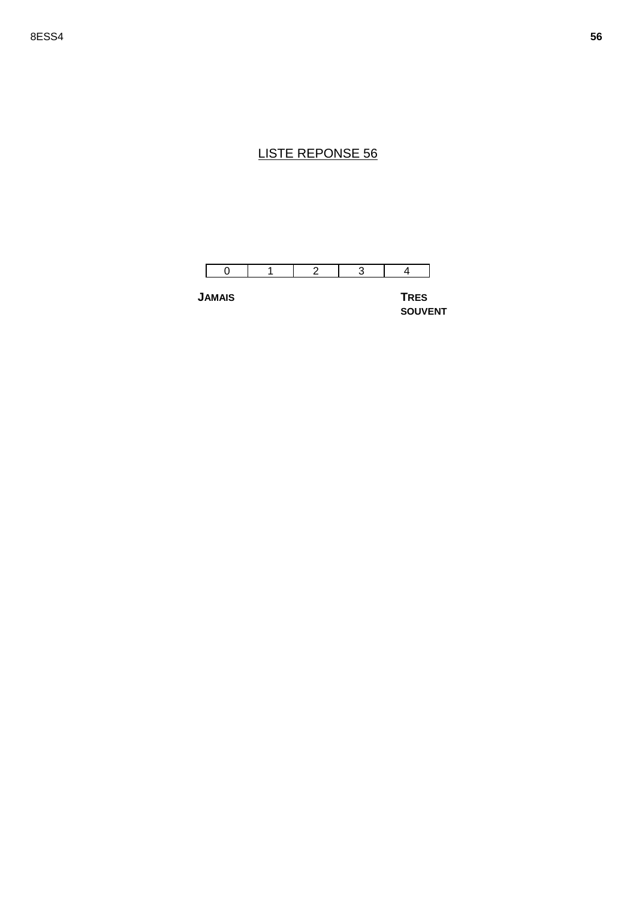

**JAMAIS TRES** 

**SOUVENT**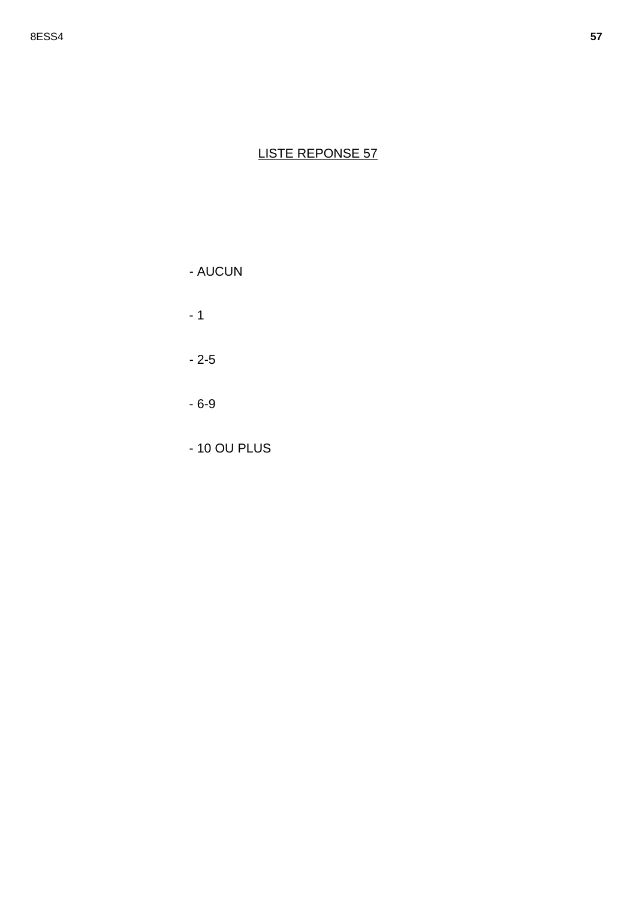- AUCUN

 $-1$ 

 $-2-5$ 

 $-6-9$ 

- 10 OU PLUS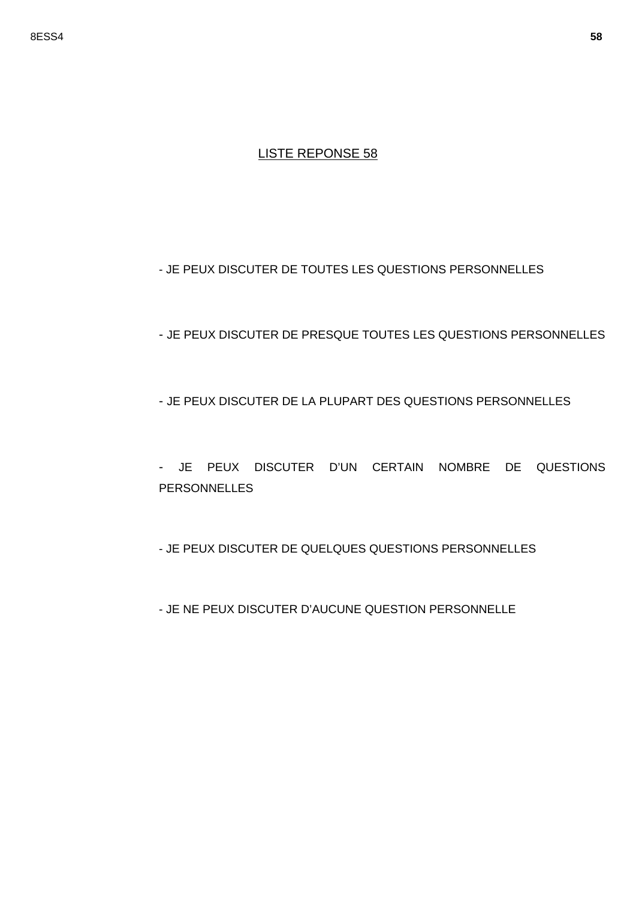#### - JE PEUX DISCUTER DE TOUTES LES QUESTIONS PERSONNELLES

- JE PEUX DISCUTER DE PRESQUE TOUTES LES QUESTIONS PERSONNELLES
- JE PEUX DISCUTER DE LA PLUPART DES QUESTIONS PERSONNELLES
- JE PEUX DISCUTER D'UN CERTAIN NOMBRE DE QUESTIONS **PERSONNELLES**
- JE PEUX DISCUTER DE QUELQUES QUESTIONS PERSONNELLES
- JE NE PEUX DISCUTER D'AUCUNE QUESTION PERSONNELLE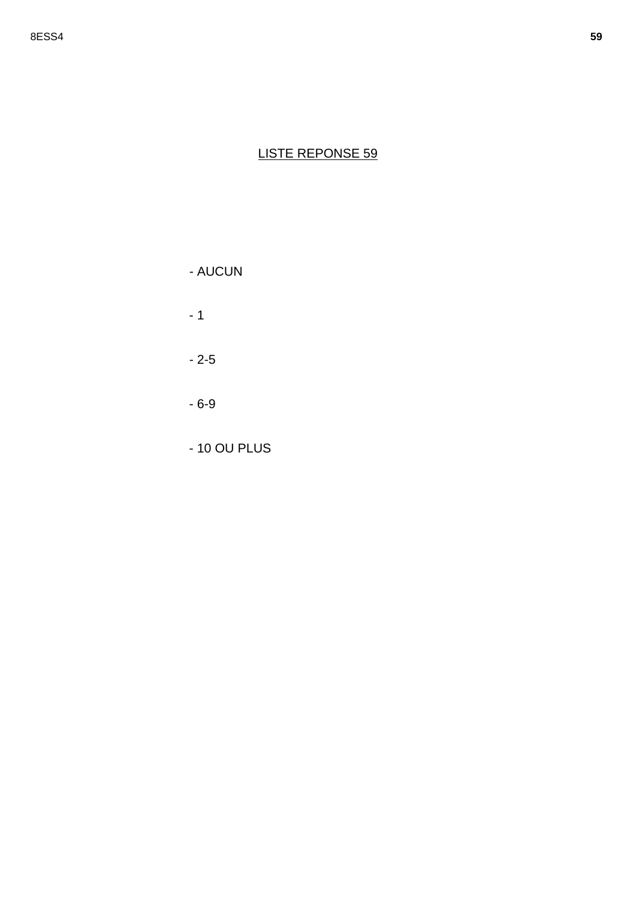- AUCUN

 $-1$ 

 $-2-5$ 

 $-6-9$ 

- 10 OU PLUS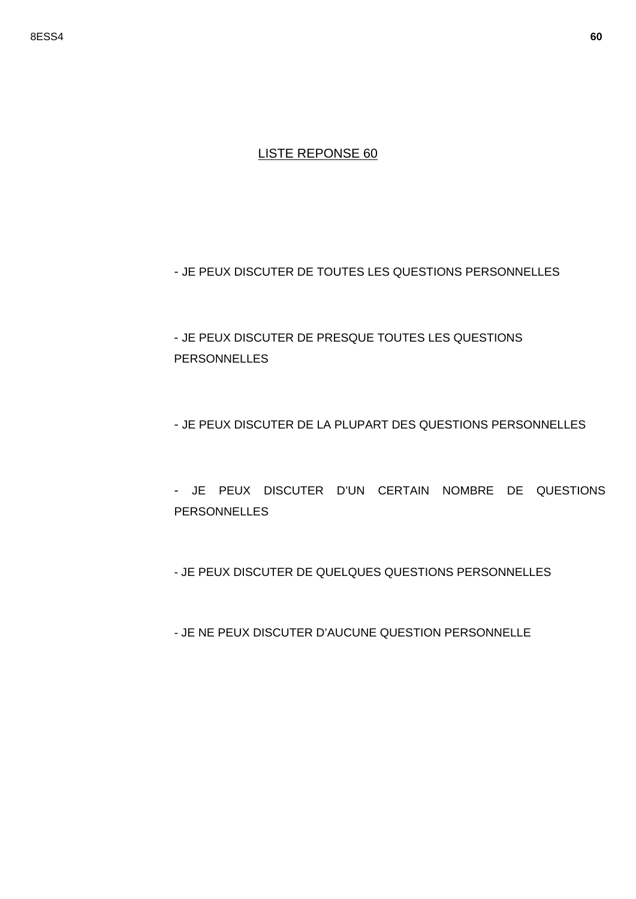- JE PEUX DISCUTER DE TOUTES LES QUESTIONS PERSONNELLES

- JE PEUX DISCUTER DE PRESQUE TOUTES LES QUESTIONS PERSONNELLES

- JE PEUX DISCUTER DE LA PLUPART DES QUESTIONS PERSONNELLES

- JE PEUX DISCUTER D'UN CERTAIN NOMBRE DE QUESTIONS **PERSONNELLES** 

- JE PEUX DISCUTER DE QUELQUES QUESTIONS PERSONNELLES

- JE NE PEUX DISCUTER D'AUCUNE QUESTION PERSONNELLE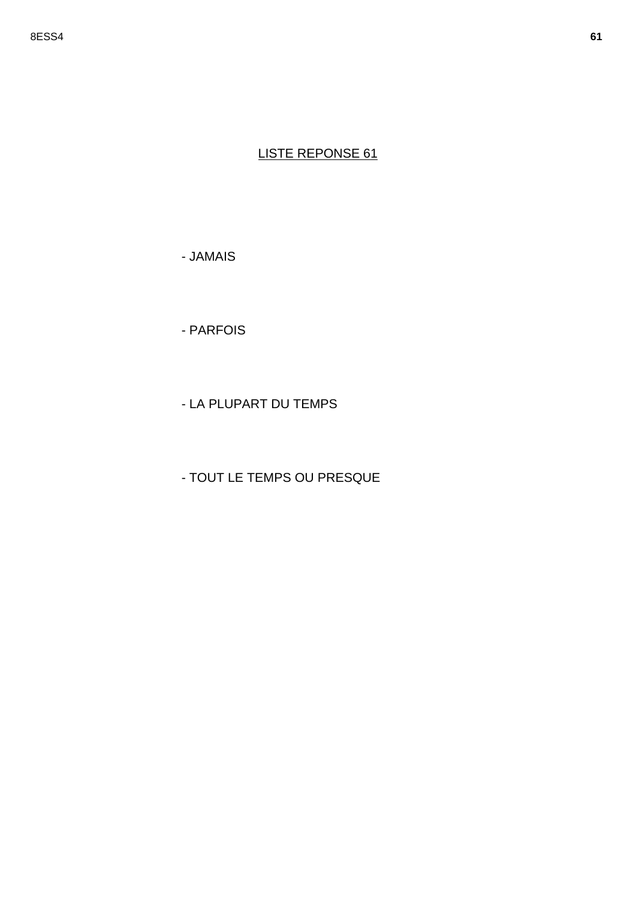- JAMAIS

- PARFOIS

- LA PLUPART DU TEMPS

- TOUT LE TEMPS OU PRESQUE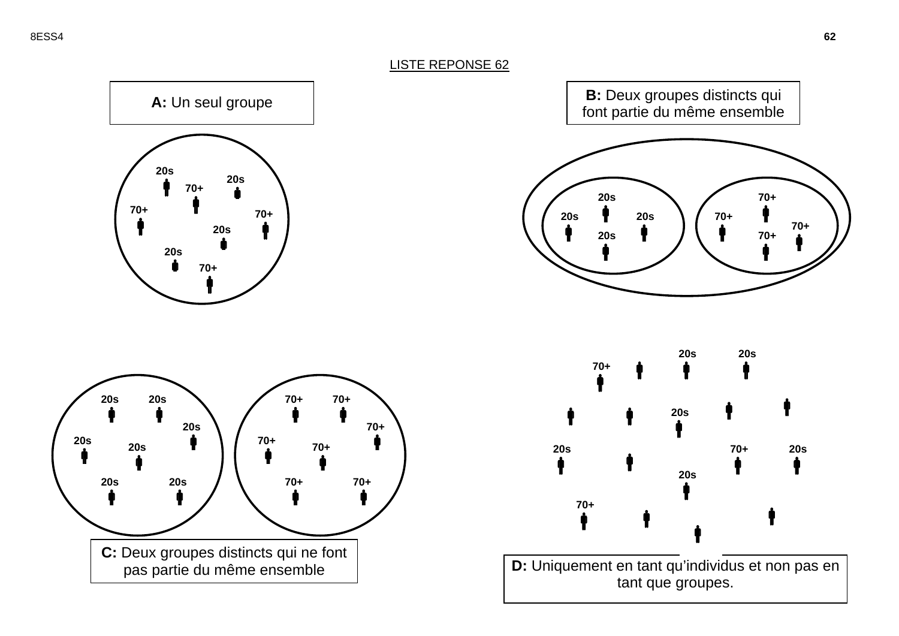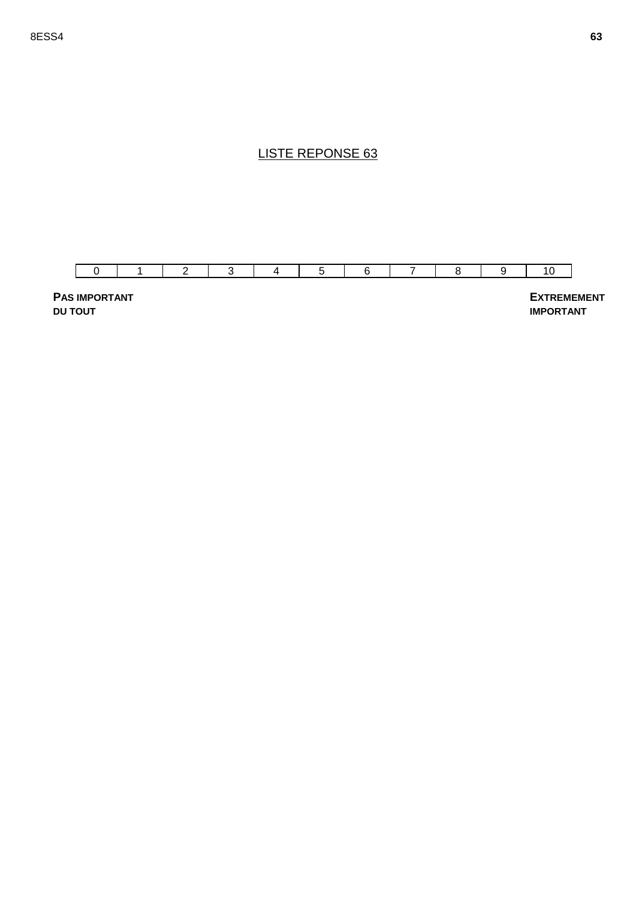

**PAS IMPORTANT DU TOUT**

 **EXTREMEMENT IMPORTANT**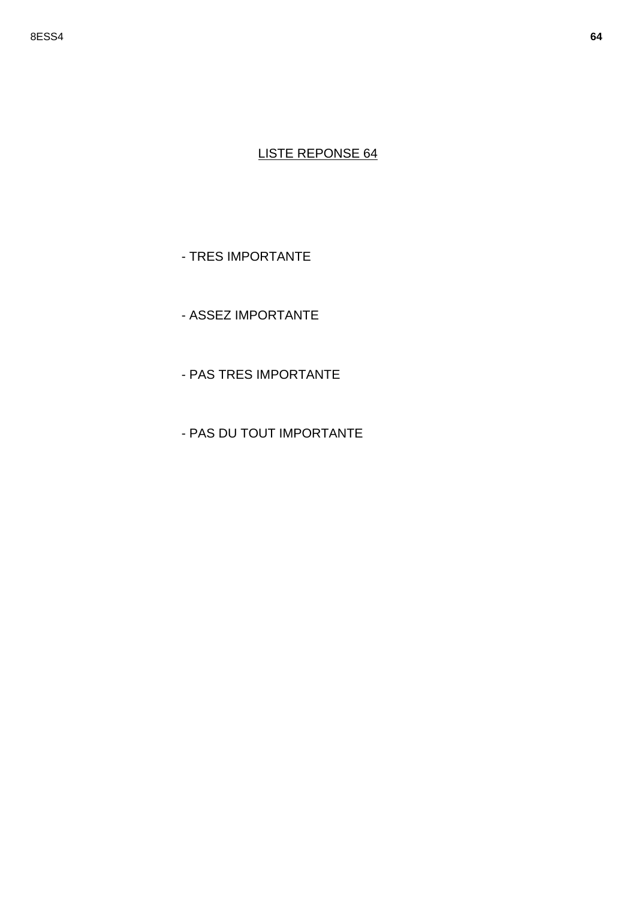- TRES IMPORTANTE

- ASSEZ IMPORTANTE

- PAS TRES IMPORTANTE

- PAS DU TOUT IMPORTANTE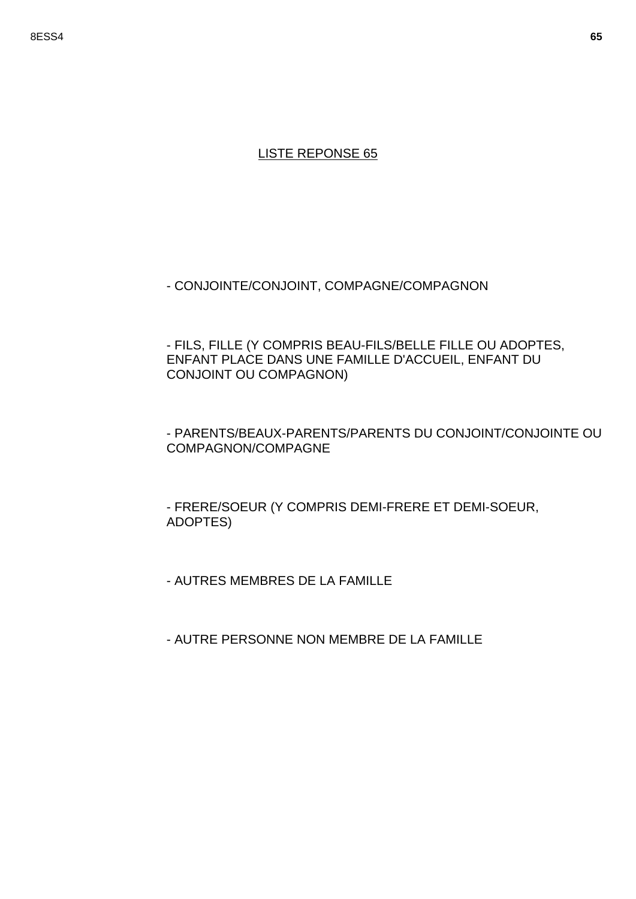- CONJOINTE/CONJOINT, COMPAGNE/COMPAGNON

- FILS, FILLE (Y COMPRIS BEAU-FILS/BELLE FILLE OU ADOPTES, ENFANT PLACE DANS UNE FAMILLE D'ACCUEIL, ENFANT DU CONJOINT OU COMPAGNON)

### - PARENTS/BEAUX-PARENTS/PARENTS DU CONJOINT/CONJOINTE OU COMPAGNON/COMPAGNE

- FRERE/SOEUR (Y COMPRIS DEMI-FRERE ET DEMI-SOEUR, ADOPTES)

- AUTRES MEMBRES DE LA FAMILLE

- AUTRE PERSONNE NON MEMBRE DE LA FAMILLE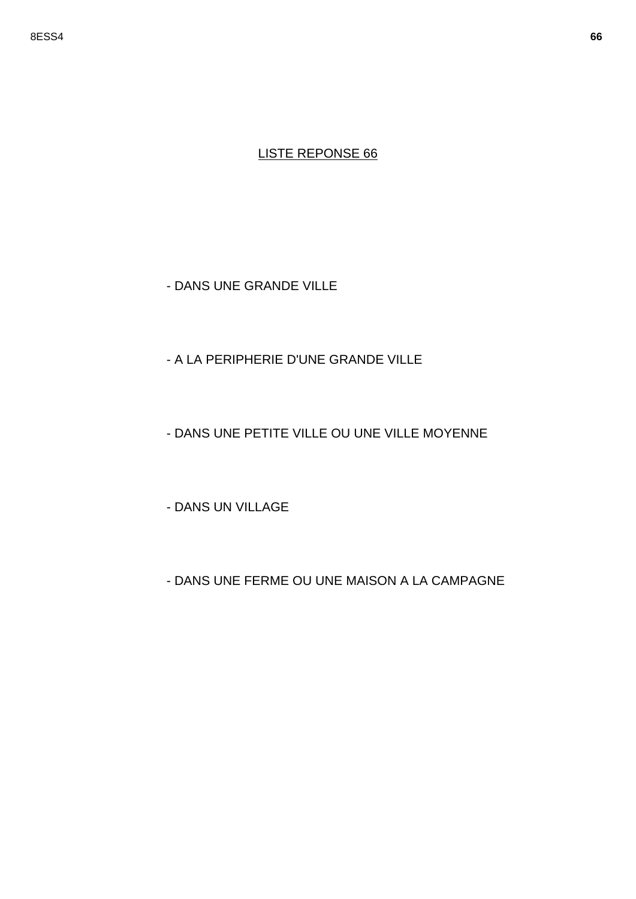- DANS UNE GRANDE VILLE

# - A LA PERIPHERIE D'UNE GRANDE VILLE

# - DANS UNE PETITE VILLE OU UNE VILLE MOYENNE

- DANS UN VILLAGE

# - DANS UNE FERME OU UNE MAISON A LA CAMPAGNE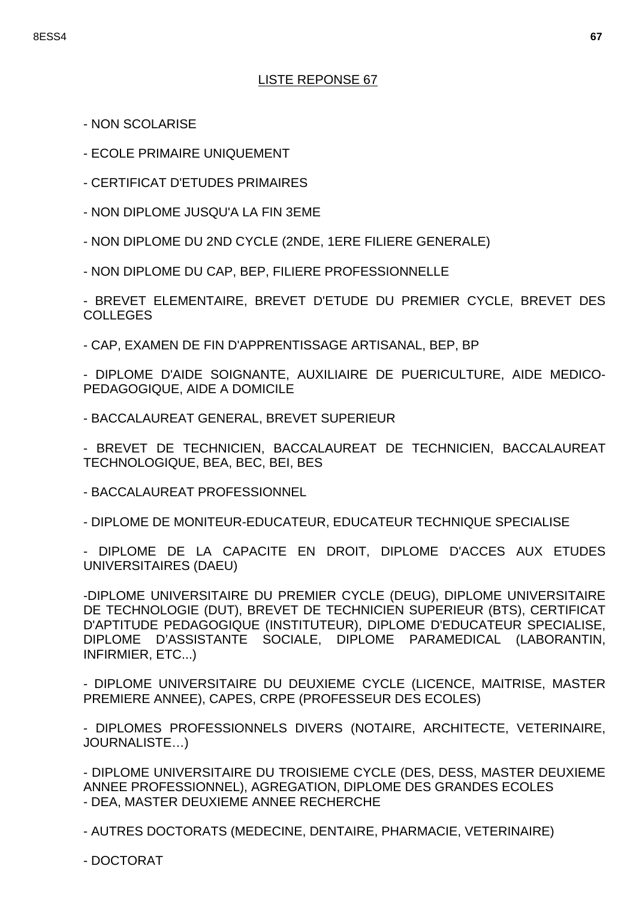- NON SCOLARISE
- ECOLE PRIMAIRE UNIQUEMENT
- CERTIFICAT D'ETUDES PRIMAIRES
- NON DIPLOME JUSQU'A LA FIN 3EME
- NON DIPLOME DU 2ND CYCLE (2NDE, 1ERE FILIERE GENERALE)
- NON DIPLOME DU CAP, BEP, FILIERE PROFESSIONNELLE

- BREVET ELEMENTAIRE, BREVET D'ETUDE DU PREMIER CYCLE, BREVET DES COLLEGES

- CAP, EXAMEN DE FIN D'APPRENTISSAGE ARTISANAL, BEP, BP

- DIPLOME D'AIDE SOIGNANTE, AUXILIAIRE DE PUERICULTURE, AIDE MEDICO-PEDAGOGIQUE, AIDE A DOMICILE

- BACCALAUREAT GENERAL, BREVET SUPERIEUR

- BREVET DE TECHNICIEN, BACCALAUREAT DE TECHNICIEN, BACCALAUREAT TECHNOLOGIQUE, BEA, BEC, BEI, BES

- BACCALAUREAT PROFESSIONNEL

- DIPLOME DE MONITEUR-EDUCATEUR, EDUCATEUR TECHNIQUE SPECIALISE

- DIPLOME DE LA CAPACITE EN DROIT, DIPLOME D'ACCES AUX ETUDES UNIVERSITAIRES (DAEU)

-DIPLOME UNIVERSITAIRE DU PREMIER CYCLE (DEUG), DIPLOME UNIVERSITAIRE DE TECHNOLOGIE (DUT), BREVET DE TECHNICIEN SUPERIEUR (BTS), CERTIFICAT D'APTITUDE PEDAGOGIQUE (INSTITUTEUR), DIPLOME D'EDUCATEUR SPECIALISE, DIPLOME D'ASSISTANTE SOCIALE, DIPLOME PARAMEDICAL (LABORANTIN, INFIRMIER, ETC...)

- DIPLOME UNIVERSITAIRE DU DEUXIEME CYCLE (LICENCE, MAITRISE, MASTER PREMIERE ANNEE), CAPES, CRPE (PROFESSEUR DES ECOLES)

- DIPLOMES PROFESSIONNELS DIVERS (NOTAIRE, ARCHITECTE, VETERINAIRE, JOURNALISTE…)

- DIPLOME UNIVERSITAIRE DU TROISIEME CYCLE (DES, DESS, MASTER DEUXIEME ANNEE PROFESSIONNEL), AGREGATION, DIPLOME DES GRANDES ECOLES - DEA, MASTER DEUXIEME ANNEE RECHERCHE

- AUTRES DOCTORATS (MEDECINE, DENTAIRE, PHARMACIE, VETERINAIRE)

- DOCTORAT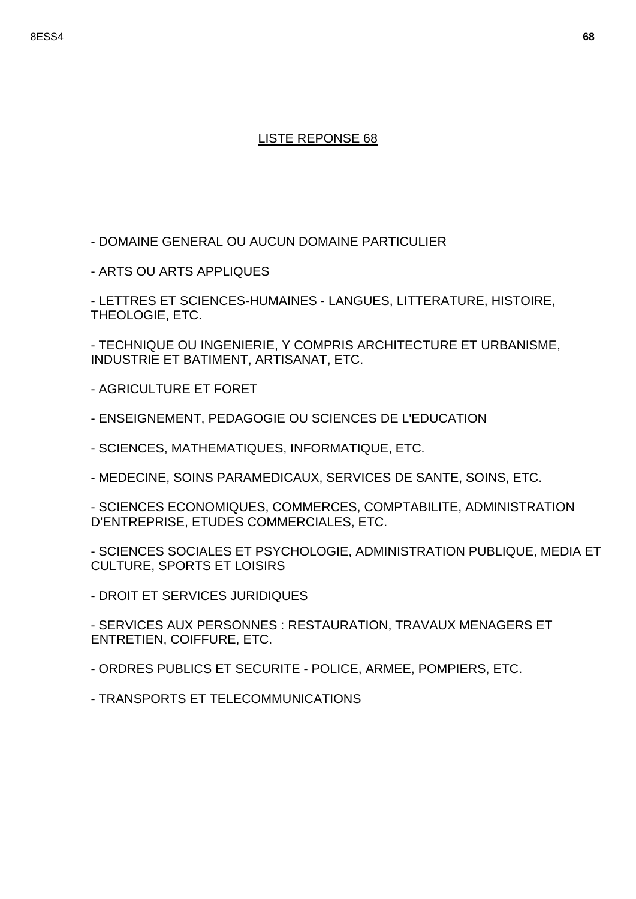- DOMAINE GENERAL OU AUCUN DOMAINE PARTICULIER

- ARTS OU ARTS APPLIQUES

- LETTRES ET SCIENCES-HUMAINES - LANGUES, LITTERATURE, HISTOIRE, THEOLOGIE, ETC.

- TECHNIQUE OU INGENIERIE, Y COMPRIS ARCHITECTURE ET URBANISME, INDUSTRIE ET BATIMENT, ARTISANAT, ETC.

- AGRICULTURE ET FORET

- ENSEIGNEMENT, PEDAGOGIE OU SCIENCES DE L'EDUCATION

- SCIENCES, MATHEMATIQUES, INFORMATIQUE, ETC.

- MEDECINE, SOINS PARAMEDICAUX, SERVICES DE SANTE, SOINS, ETC.

- SCIENCES ECONOMIQUES, COMMERCES, COMPTABILITE, ADMINISTRATION D'ENTREPRISE, ETUDES COMMERCIALES, ETC.

- SCIENCES SOCIALES ET PSYCHOLOGIE, ADMINISTRATION PUBLIQUE, MEDIA ET CULTURE, SPORTS ET LOISIRS

- DROIT ET SERVICES JURIDIQUES

- SERVICES AUX PERSONNES : RESTAURATION, TRAVAUX MENAGERS ET ENTRETIEN, COIFFURE, ETC.

- ORDRES PUBLICS ET SECURITE - POLICE, ARMEE, POMPIERS, ETC.

- TRANSPORTS ET TELECOMMUNICATIONS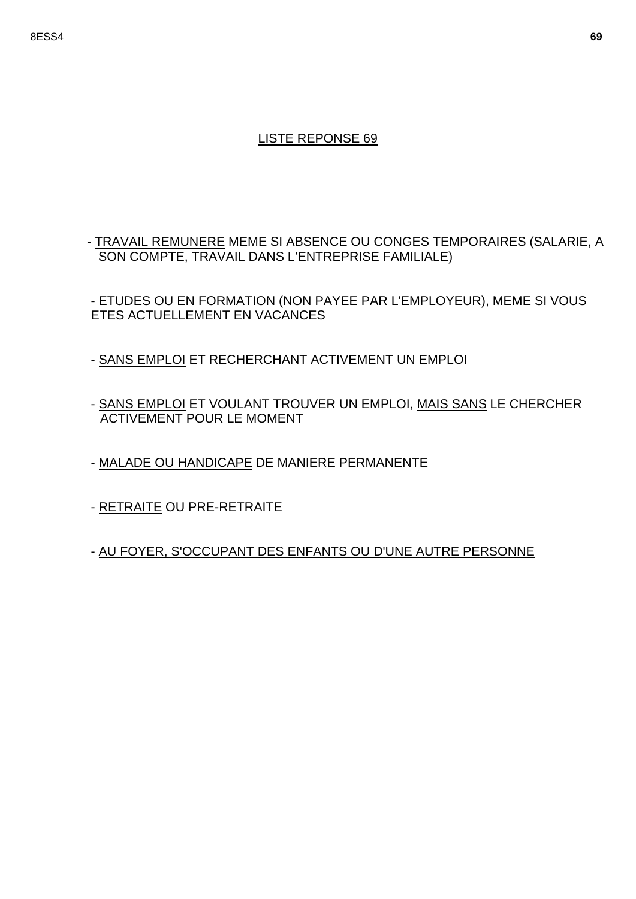#### 8ESS4 **69**

### LISTE REPONSE 69

- TRAVAIL REMUNERE MEME SI ABSENCE OU CONGES TEMPORAIRES (SALARIE, A SON COMPTE, TRAVAIL DANS L'ENTREPRISE FAMILIALE)

- ETUDES OU EN FORMATION (NON PAYEE PAR L'EMPLOYEUR), MEME SI VOUS ETES ACTUELLEMENT EN VACANCES

- SANS EMPLOI ET RECHERCHANT ACTIVEMENT UN EMPLOI
- SANS EMPLOI ET VOULANT TROUVER UN EMPLOI, MAIS SANS LE CHERCHER ACTIVEMENT POUR LE MOMENT
- MALADE OU HANDICAPE DE MANIERE PERMANENTE
- RETRAITE OU PRE-RETRAITE

- AU FOYER, S'OCCUPANT DES ENFANTS OU D'UNE AUTRE PERSONNE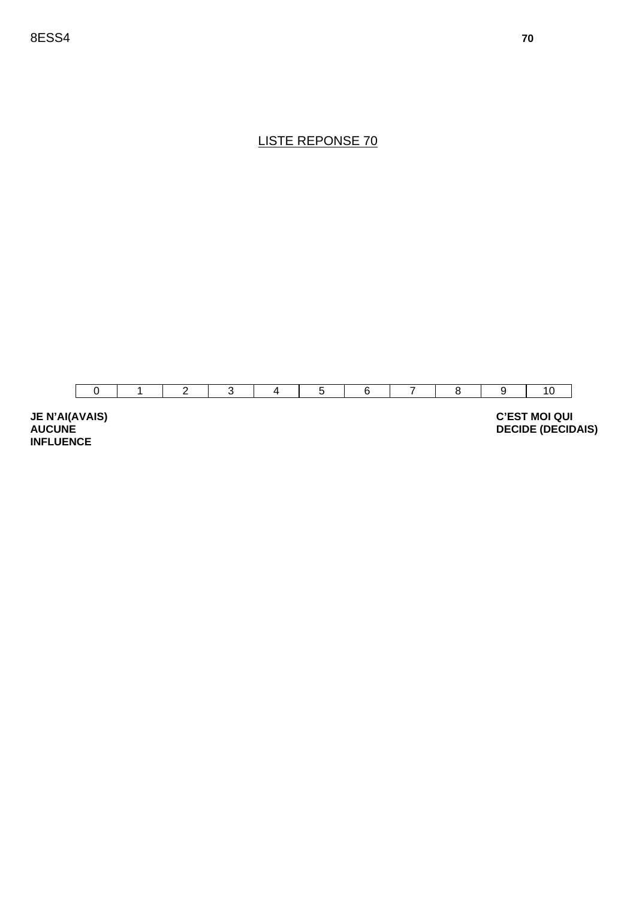

**JE N'AI(AVAIS) AUCUNE INFLUENCE** 

 **C'EST MOI QUI DECIDE (DECIDAIS)**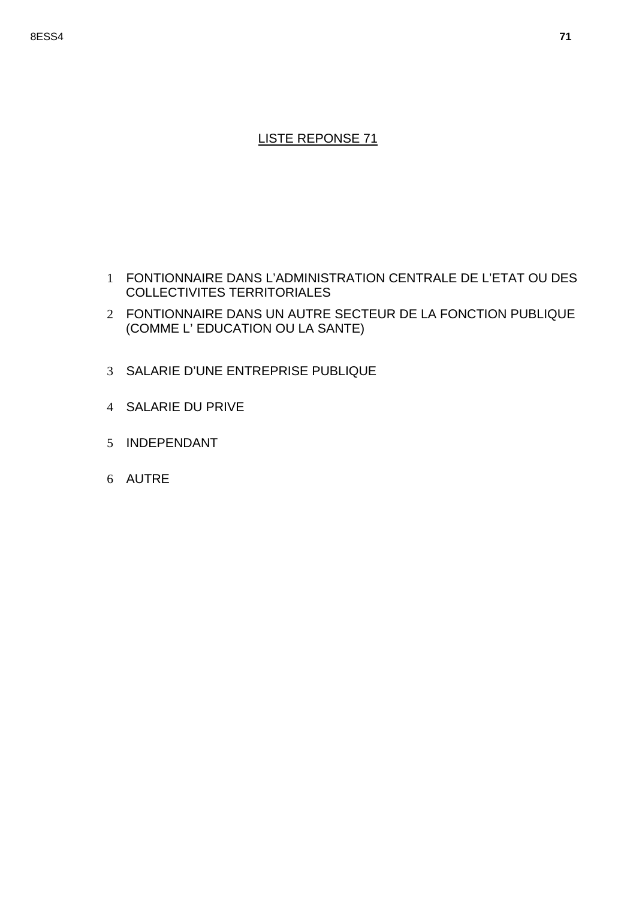- 1 FONTIONNAIRE DANS L'ADMINISTRATION CENTRALE DE L'ETAT OU DES COLLECTIVITES TERRITORIALES
- 2 FONTIONNAIRE DANS UN AUTRE SECTEUR DE LA FONCTION PUBLIQUE (COMME L' EDUCATION OU LA SANTE)
- 3 SALARIE D'UNE ENTREPRISE PUBLIQUE
- 4 SALARIE DU PRIVE
- 5 INDEPENDANT
- 6 AUTRE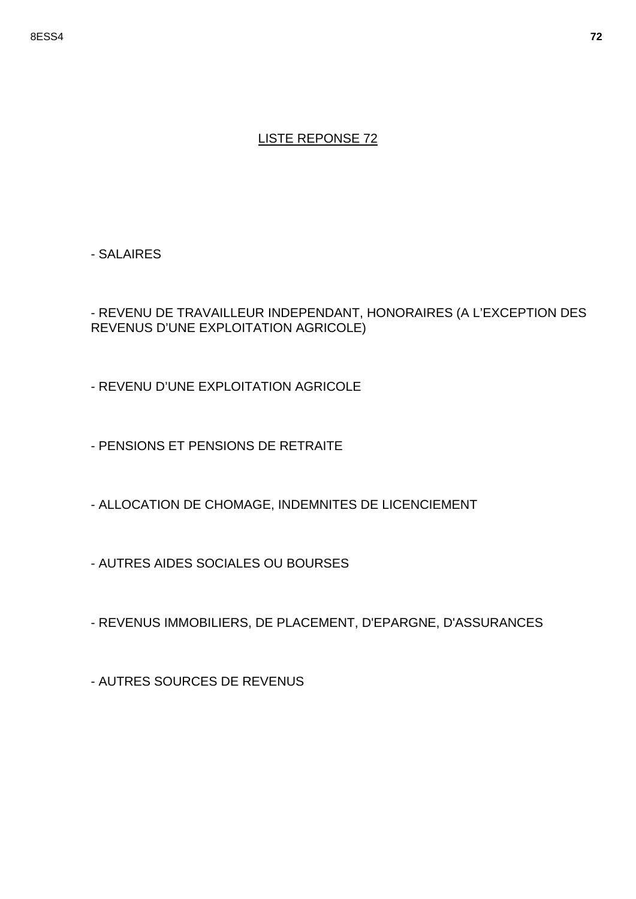- SALAIRES

- REVENU DE TRAVAILLEUR INDEPENDANT, HONORAIRES (A L'EXCEPTION DES REVENUS D'UNE EXPLOITATION AGRICOLE)

- REVENU D'UNE EXPLOITATION AGRICOLE

- PENSIONS ET PENSIONS DE RETRAITE

- ALLOCATION DE CHOMAGE, INDEMNITES DE LICENCIEMENT

- AUTRES AIDES SOCIALES OU BOURSES

- REVENUS IMMOBILIERS, DE PLACEMENT, D'EPARGNE, D'ASSURANCES

- AUTRES SOURCES DE REVENUS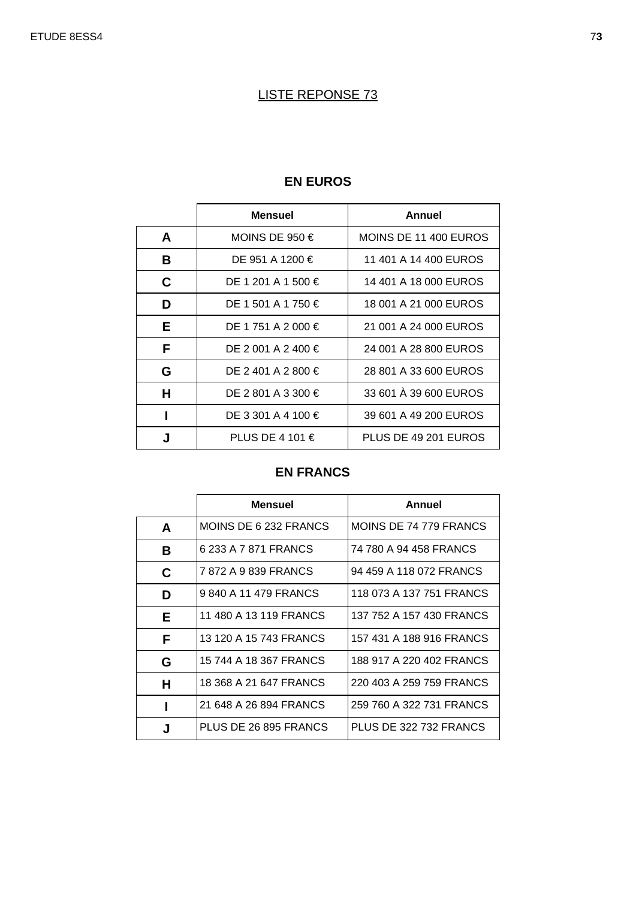|   | <b>Mensuel</b>     | Annuel                |
|---|--------------------|-----------------------|
| A | MOINS DE 950 $\in$ | MOINS DE 11 400 EUROS |
| В | DE 951 A 1200 €    | 11 401 A 14 400 EUROS |
| C | DE 1 201 A 1 500 € | 14 401 A 18 000 EUROS |
| D | DE 1 501 A 1 750 € | 18 001 A 21 000 EUROS |
| Е | DE 1 751 A 2 000 € | 21 001 A 24 000 EUROS |
| F | DE 2 001 A 2 400 € | 24 001 A 28 800 EUROS |
| G | DE 2 401 A 2 800 € | 28 801 A 33 600 EUROS |
| н | DE 2 801 A 3 300 € | 33 601 A 39 600 EUROS |
|   | DE 3 301 A 4 100 € | 39 601 A 49 200 EUROS |
| J | PLUS DE 4 101 €    | PLUS DE 49 201 EUROS  |

#### **EN EUROS**

# **EN FRANCS**

|   | <b>Mensuel</b>         | Annuel                   |
|---|------------------------|--------------------------|
| A | MOINS DE 6 232 FRANCS  | MOINS DE 74 779 FRANCS   |
| В | 6 233 A 7 871 FRANCS   | 74 780 A 94 458 FRANCS   |
| C | 7872 A 9839 FRANCS     | 94 459 A 118 072 FRANCS  |
| D | 9840 A 11479 FRANCS    | 118 073 A 137 751 FRANCS |
| Е | 11 480 A 13 119 FRANCS | 137 752 A 157 430 FRANCS |
| F | 13 120 A 15 743 FRANCS | 157 431 A 188 916 FRANCS |
| G | 15 744 A 18 367 FRANCS | 188 917 A 220 402 FRANCS |
| н | 18 368 A 21 647 FRANCS | 220 403 A 259 759 FRANCS |
|   | 21 648 A 26 894 FRANCS | 259 760 A 322 731 FRANCS |
| J | PLUS DE 26 895 FRANCS  | PLUS DE 322 732 FRANCS   |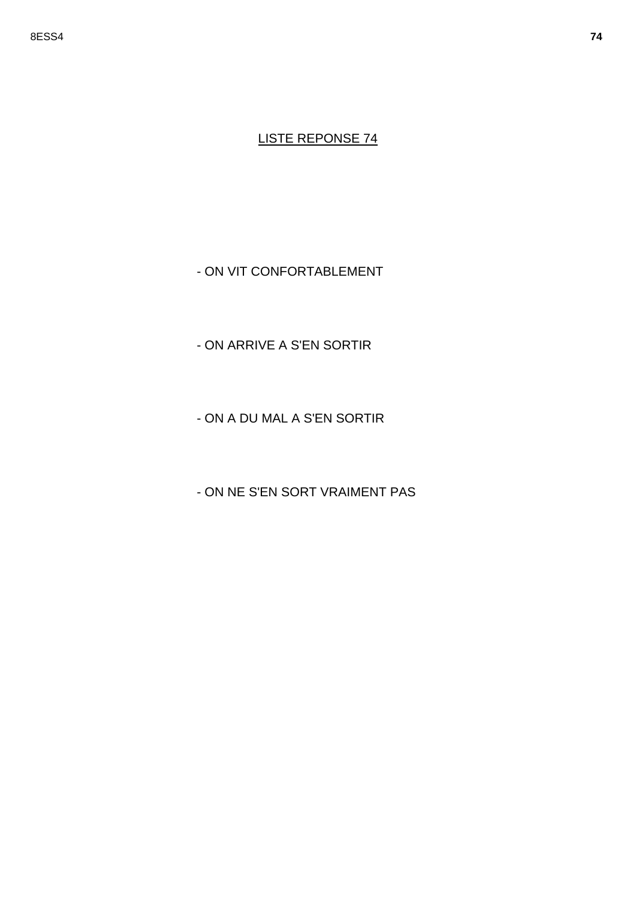- ON VIT CONFORTABLEMENT

- ON ARRIVE A S'EN SORTIR

- ON A DU MAL A S'EN SORTIR

- ON NE S'EN SORT VRAIMENT PAS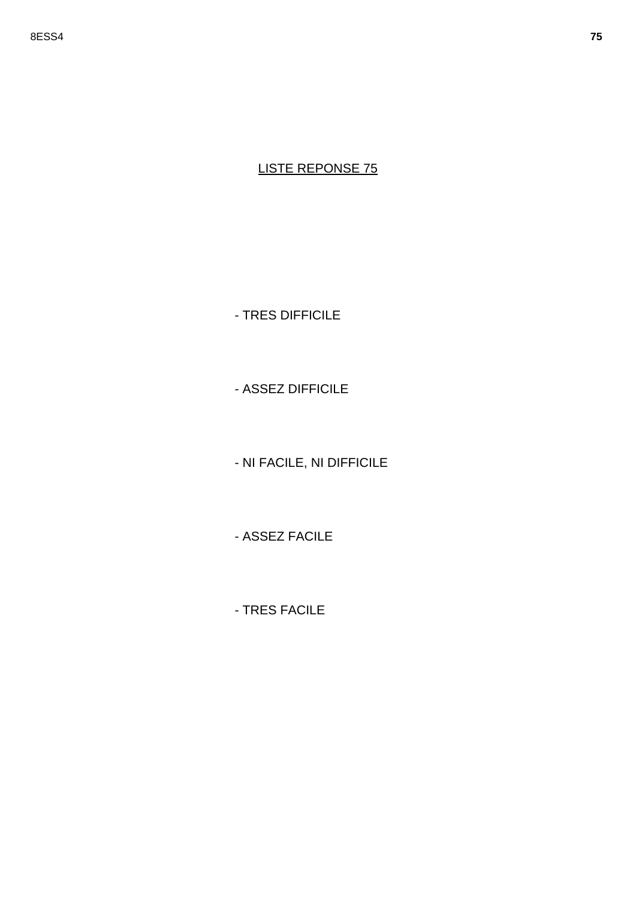- TRES DIFFICILE

- ASSEZ DIFFICILE

- NI FACILE, NI DIFFICILE

- ASSEZ FACILE

- TRES FACILE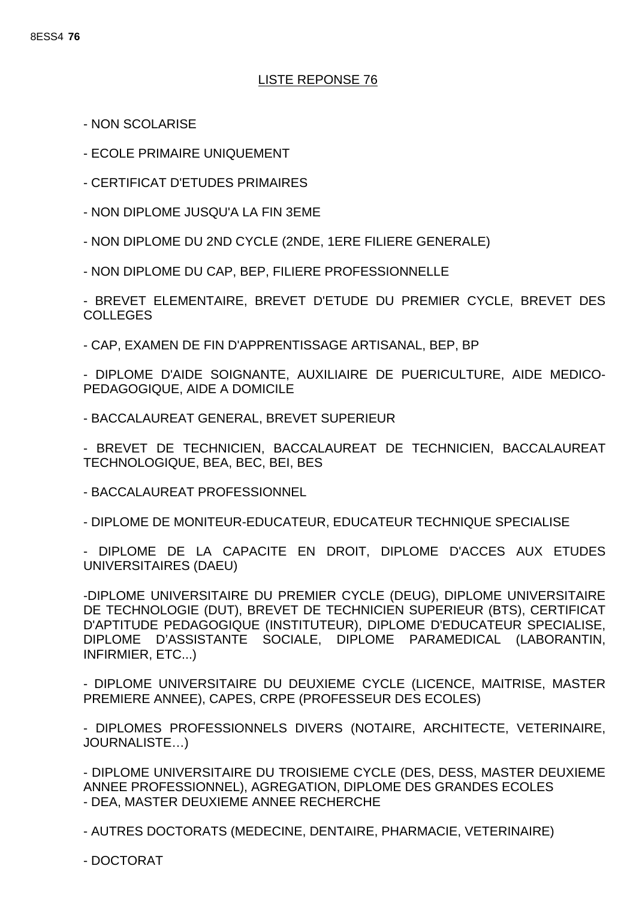- NON SCOLARISE

- ECOLE PRIMAIRE UNIQUEMENT

- CERTIFICAT D'ETUDES PRIMAIRES

- NON DIPLOME JUSQU'A LA FIN 3EME

- NON DIPLOME DU 2ND CYCLE (2NDE, 1ERE FILIERE GENERALE)

- NON DIPLOME DU CAP, BEP, FILIERE PROFESSIONNELLE

- BREVET ELEMENTAIRE, BREVET D'ETUDE DU PREMIER CYCLE, BREVET DES COLLEGES

- CAP, EXAMEN DE FIN D'APPRENTISSAGE ARTISANAL, BEP, BP

- DIPLOME D'AIDE SOIGNANTE, AUXILIAIRE DE PUERICULTURE, AIDE MEDICO-PEDAGOGIQUE, AIDE A DOMICILE

- BACCALAUREAT GENERAL, BREVET SUPERIEUR

- BREVET DE TECHNICIEN, BACCALAUREAT DE TECHNICIEN, BACCALAUREAT TECHNOLOGIQUE, BEA, BEC, BEI, BES

- BACCALAUREAT PROFESSIONNEL

- DIPLOME DE MONITEUR-EDUCATEUR, EDUCATEUR TECHNIQUE SPECIALISE

- DIPLOME DE LA CAPACITE EN DROIT, DIPLOME D'ACCES AUX ETUDES UNIVERSITAIRES (DAEU)

-DIPLOME UNIVERSITAIRE DU PREMIER CYCLE (DEUG), DIPLOME UNIVERSITAIRE DE TECHNOLOGIE (DUT), BREVET DE TECHNICIEN SUPERIEUR (BTS), CERTIFICAT D'APTITUDE PEDAGOGIQUE (INSTITUTEUR), DIPLOME D'EDUCATEUR SPECIALISE, DIPLOME D'ASSISTANTE SOCIALE, DIPLOME PARAMEDICAL (LABORANTIN, INFIRMIER, ETC...)

- DIPLOME UNIVERSITAIRE DU DEUXIEME CYCLE (LICENCE, MAITRISE, MASTER PREMIERE ANNEE), CAPES, CRPE (PROFESSEUR DES ECOLES)

- DIPLOMES PROFESSIONNELS DIVERS (NOTAIRE, ARCHITECTE, VETERINAIRE, JOURNALISTE…)

- DIPLOME UNIVERSITAIRE DU TROISIEME CYCLE (DES, DESS, MASTER DEUXIEME ANNEE PROFESSIONNEL), AGREGATION, DIPLOME DES GRANDES ECOLES - DEA, MASTER DEUXIEME ANNEE RECHERCHE

- AUTRES DOCTORATS (MEDECINE, DENTAIRE, PHARMACIE, VETERINAIRE)

- DOCTORAT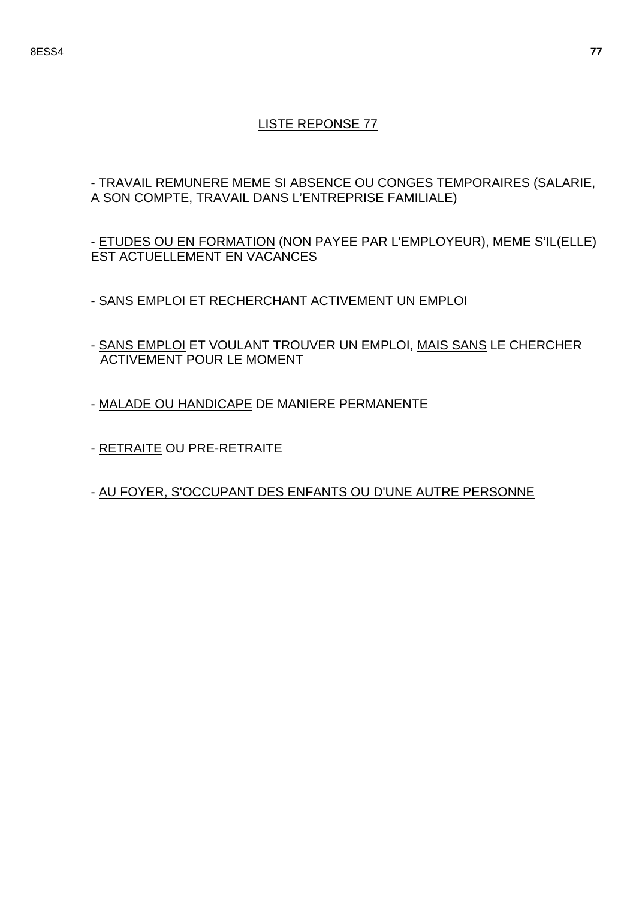- TRAVAIL REMUNERE MEME SI ABSENCE OU CONGES TEMPORAIRES (SALARIE, A SON COMPTE, TRAVAIL DANS L'ENTREPRISE FAMILIALE)

- ETUDES OU EN FORMATION (NON PAYEE PAR L'EMPLOYEUR), MEME S'IL(ELLE) EST ACTUELLEMENT EN VACANCES

- SANS EMPLOI ET RECHERCHANT ACTIVEMENT UN EMPLOI
- SANS EMPLOI ET VOULANT TROUVER UN EMPLOI, MAIS SANS LE CHERCHER ACTIVEMENT POUR LE MOMENT
- MALADE OU HANDICAPE DE MANIERE PERMANENTE
- RETRAITE OU PRE-RETRAITE
- AU FOYER, S'OCCUPANT DES ENFANTS OU D'UNE AUTRE PERSONNE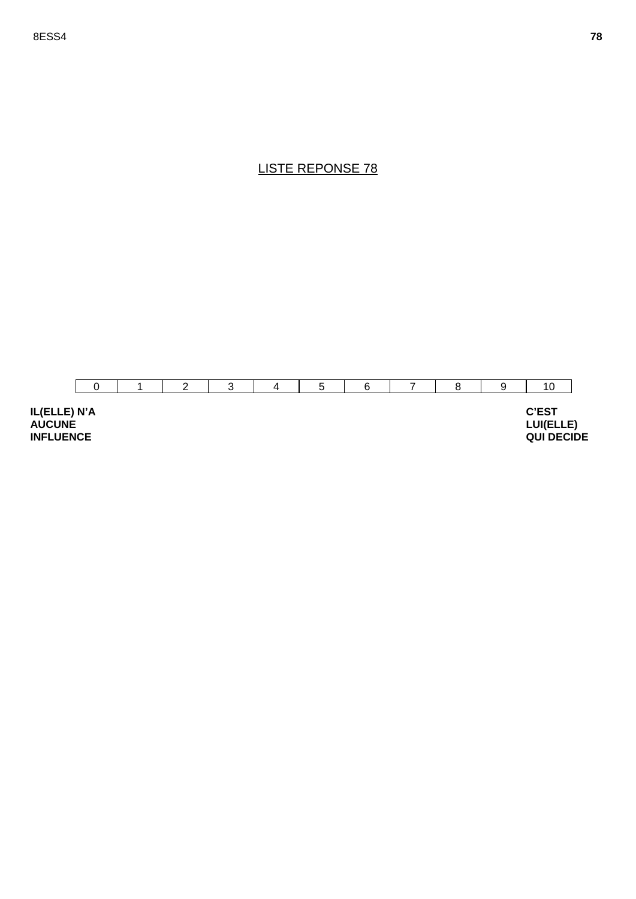



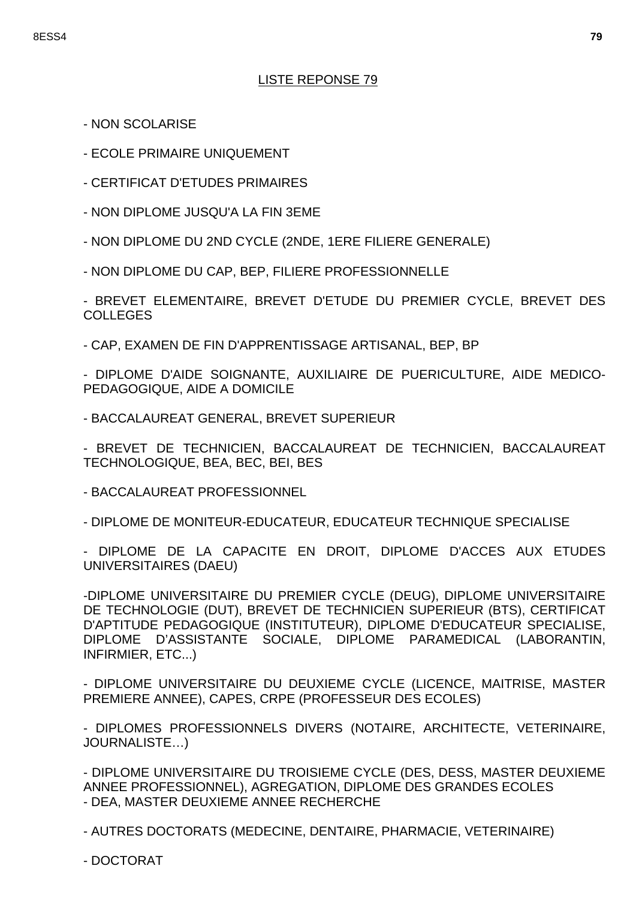- NON SCOLARISE
- ECOLE PRIMAIRE UNIQUEMENT
- CERTIFICAT D'ETUDES PRIMAIRES
- NON DIPLOME JUSQU'A LA FIN 3EME
- NON DIPLOME DU 2ND CYCLE (2NDE, 1ERE FILIERE GENERALE)
- NON DIPLOME DU CAP, BEP, FILIERE PROFESSIONNELLE

- BREVET ELEMENTAIRE, BREVET D'ETUDE DU PREMIER CYCLE, BREVET DES COLLEGES

- CAP, EXAMEN DE FIN D'APPRENTISSAGE ARTISANAL, BEP, BP

- DIPLOME D'AIDE SOIGNANTE, AUXILIAIRE DE PUERICULTURE, AIDE MEDICO-PEDAGOGIQUE, AIDE A DOMICILE

- BACCALAUREAT GENERAL, BREVET SUPERIEUR

- BREVET DE TECHNICIEN, BACCALAUREAT DE TECHNICIEN, BACCALAUREAT TECHNOLOGIQUE, BEA, BEC, BEI, BES

- BACCALAUREAT PROFESSIONNEL

- DIPLOME DE MONITEUR-EDUCATEUR, EDUCATEUR TECHNIQUE SPECIALISE

- DIPLOME DE LA CAPACITE EN DROIT, DIPLOME D'ACCES AUX ETUDES UNIVERSITAIRES (DAEU)

-DIPLOME UNIVERSITAIRE DU PREMIER CYCLE (DEUG), DIPLOME UNIVERSITAIRE DE TECHNOLOGIE (DUT), BREVET DE TECHNICIEN SUPERIEUR (BTS), CERTIFICAT D'APTITUDE PEDAGOGIQUE (INSTITUTEUR), DIPLOME D'EDUCATEUR SPECIALISE, DIPLOME D'ASSISTANTE SOCIALE, DIPLOME PARAMEDICAL (LABORANTIN, INFIRMIER, ETC...)

- DIPLOME UNIVERSITAIRE DU DEUXIEME CYCLE (LICENCE, MAITRISE, MASTER PREMIERE ANNEE), CAPES, CRPE (PROFESSEUR DES ECOLES)

- DIPLOMES PROFESSIONNELS DIVERS (NOTAIRE, ARCHITECTE, VETERINAIRE, JOURNALISTE…)

- DIPLOME UNIVERSITAIRE DU TROISIEME CYCLE (DES, DESS, MASTER DEUXIEME ANNEE PROFESSIONNEL), AGREGATION, DIPLOME DES GRANDES ECOLES - DEA, MASTER DEUXIEME ANNEE RECHERCHE

- AUTRES DOCTORATS (MEDECINE, DENTAIRE, PHARMACIE, VETERINAIRE)

- DOCTORAT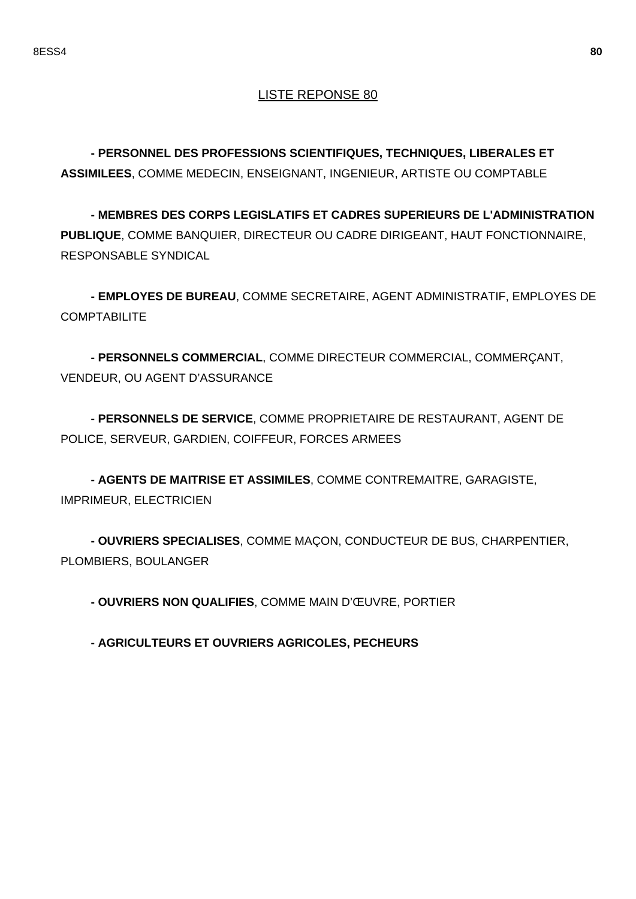**- PERSONNEL DES PROFESSIONS SCIENTIFIQUES, TECHNIQUES, LIBERALES ET ASSIMILEES**, COMME MEDECIN, ENSEIGNANT, INGENIEUR, ARTISTE OU COMPTABLE

**- MEMBRES DES CORPS LEGISLATIFS ET CADRES SUPERIEURS DE L'ADMINISTRATION PUBLIQUE**, COMME BANQUIER, DIRECTEUR OU CADRE DIRIGEANT, HAUT FONCTIONNAIRE, RESPONSABLE SYNDICAL

**- EMPLOYES DE BUREAU**, COMME SECRETAIRE, AGENT ADMINISTRATIF, EMPLOYES DE **COMPTABILITE** 

**- PERSONNELS COMMERCIAL**, COMME DIRECTEUR COMMERCIAL, COMMERÇANT, VENDEUR, OU AGENT D'ASSURANCE

**- PERSONNELS DE SERVICE**, COMME PROPRIETAIRE DE RESTAURANT, AGENT DE POLICE, SERVEUR, GARDIEN, COIFFEUR, FORCES ARMEES

**- AGENTS DE MAITRISE ET ASSIMILES**, COMME CONTREMAITRE, GARAGISTE, IMPRIMEUR, ELECTRICIEN

**- OUVRIERS SPECIALISES**, COMME MAÇON, CONDUCTEUR DE BUS, CHARPENTIER, PLOMBIERS, BOULANGER

**- OUVRIERS NON QUALIFIES**, COMME MAIN D'ŒUVRE, PORTIER

**- AGRICULTEURS ET OUVRIERS AGRICOLES, PECHEURS**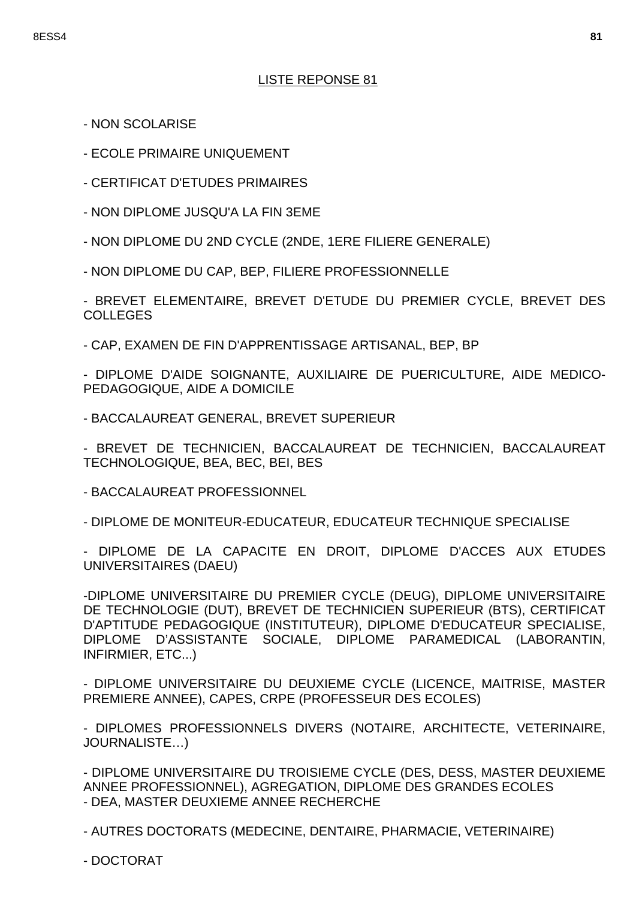- NON SCOLARISE
- ECOLE PRIMAIRE UNIQUEMENT
- CERTIFICAT D'ETUDES PRIMAIRES
- NON DIPLOME JUSQU'A LA FIN 3EME
- NON DIPLOME DU 2ND CYCLE (2NDE, 1ERE FILIERE GENERALE)
- NON DIPLOME DU CAP, BEP, FILIERE PROFESSIONNELLE

- BREVET ELEMENTAIRE, BREVET D'ETUDE DU PREMIER CYCLE, BREVET DES COLLEGES

- CAP, EXAMEN DE FIN D'APPRENTISSAGE ARTISANAL, BEP, BP

- DIPLOME D'AIDE SOIGNANTE, AUXILIAIRE DE PUERICULTURE, AIDE MEDICO-PEDAGOGIQUE, AIDE A DOMICILE

- BACCALAUREAT GENERAL, BREVET SUPERIEUR

- BREVET DE TECHNICIEN, BACCALAUREAT DE TECHNICIEN, BACCALAUREAT TECHNOLOGIQUE, BEA, BEC, BEI, BES

- BACCALAUREAT PROFESSIONNEL

- DIPLOME DE MONITEUR-EDUCATEUR, EDUCATEUR TECHNIQUE SPECIALISE

- DIPLOME DE LA CAPACITE EN DROIT, DIPLOME D'ACCES AUX ETUDES UNIVERSITAIRES (DAEU)

-DIPLOME UNIVERSITAIRE DU PREMIER CYCLE (DEUG), DIPLOME UNIVERSITAIRE DE TECHNOLOGIE (DUT), BREVET DE TECHNICIEN SUPERIEUR (BTS), CERTIFICAT D'APTITUDE PEDAGOGIQUE (INSTITUTEUR), DIPLOME D'EDUCATEUR SPECIALISE, DIPLOME D'ASSISTANTE SOCIALE, DIPLOME PARAMEDICAL (LABORANTIN, INFIRMIER, ETC...)

- DIPLOME UNIVERSITAIRE DU DEUXIEME CYCLE (LICENCE, MAITRISE, MASTER PREMIERE ANNEE), CAPES, CRPE (PROFESSEUR DES ECOLES)

- DIPLOMES PROFESSIONNELS DIVERS (NOTAIRE, ARCHITECTE, VETERINAIRE, JOURNALISTE…)

- DIPLOME UNIVERSITAIRE DU TROISIEME CYCLE (DES, DESS, MASTER DEUXIEME ANNEE PROFESSIONNEL), AGREGATION, DIPLOME DES GRANDES ECOLES - DEA, MASTER DEUXIEME ANNEE RECHERCHE

- AUTRES DOCTORATS (MEDECINE, DENTAIRE, PHARMACIE, VETERINAIRE)

- DOCTORAT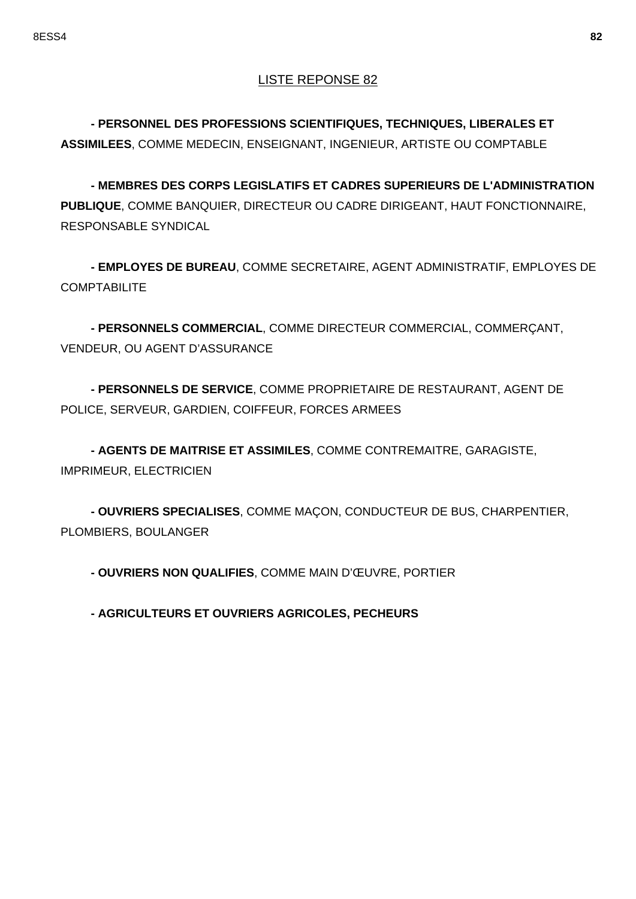**- PERSONNEL DES PROFESSIONS SCIENTIFIQUES, TECHNIQUES, LIBERALES ET ASSIMILEES**, COMME MEDECIN, ENSEIGNANT, INGENIEUR, ARTISTE OU COMPTABLE

**- MEMBRES DES CORPS LEGISLATIFS ET CADRES SUPERIEURS DE L'ADMINISTRATION PUBLIQUE**, COMME BANQUIER, DIRECTEUR OU CADRE DIRIGEANT, HAUT FONCTIONNAIRE, RESPONSABLE SYNDICAL

**- EMPLOYES DE BUREAU**, COMME SECRETAIRE, AGENT ADMINISTRATIF, EMPLOYES DE **COMPTABILITE** 

**- PERSONNELS COMMERCIAL**, COMME DIRECTEUR COMMERCIAL, COMMERÇANT, VENDEUR, OU AGENT D'ASSURANCE

**- PERSONNELS DE SERVICE**, COMME PROPRIETAIRE DE RESTAURANT, AGENT DE POLICE, SERVEUR, GARDIEN, COIFFEUR, FORCES ARMEES

**- AGENTS DE MAITRISE ET ASSIMILES**, COMME CONTREMAITRE, GARAGISTE, IMPRIMEUR, ELECTRICIEN

**- OUVRIERS SPECIALISES**, COMME MAÇON, CONDUCTEUR DE BUS, CHARPENTIER, PLOMBIERS, BOULANGER

**- OUVRIERS NON QUALIFIES**, COMME MAIN D'ŒUVRE, PORTIER

**- AGRICULTEURS ET OUVRIERS AGRICOLES, PECHEURS**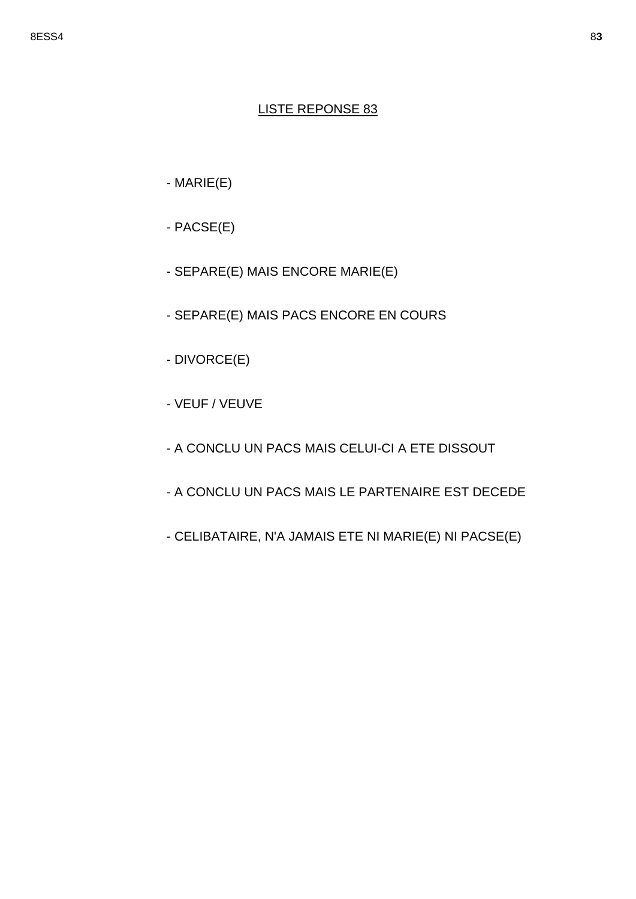- $-MARIE(E)$
- $-$  PACSE $(E)$
- SEPARE(E) MAIS ENCORE MARIE(E)
- SEPARE(E) MAIS PACS ENCORE EN COURS
- DIVORCE(E)
- VEUF / VEUVE
- A CONCLU UN PACS MAIS CELUI-CI A ETE DISSOUT
- A CONCLU UN PACS MAIS LE PARTENAIRE EST DECEDE
- CELIBATAIRE, N'A JAMAIS ETE NI MARIE(E) NI PACSE(E)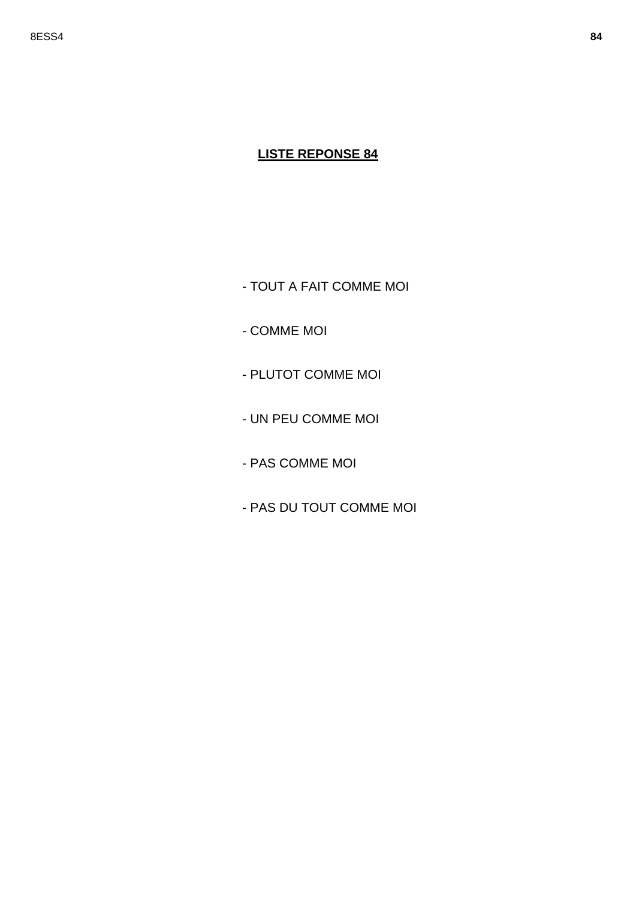- TOUT A FAIT COMME MOI

- COMME MOI

- PLUTOT COMME MOI

- UN PEU COMME MOI

- PAS COMME MOI

- PAS DU TOUT COMME MOI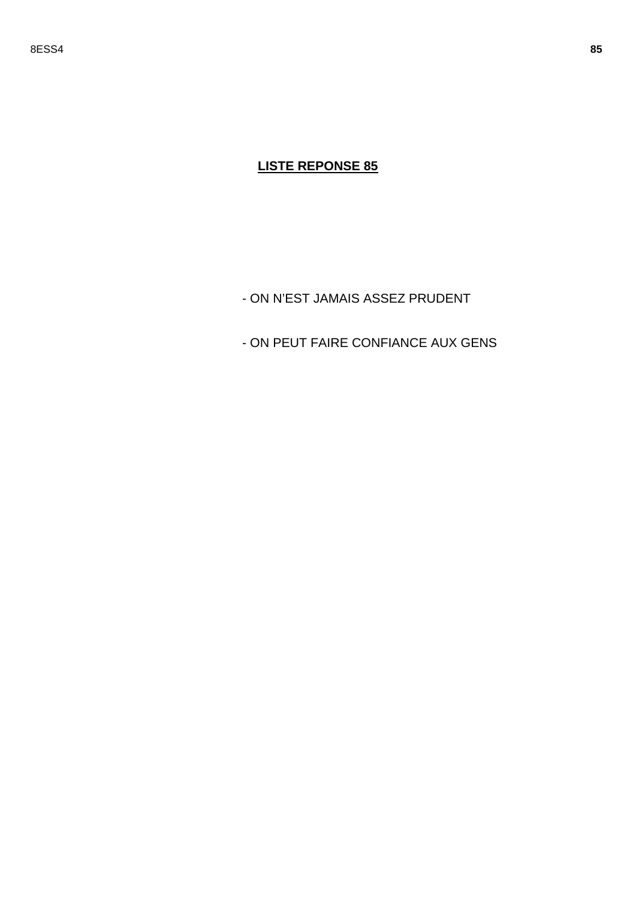- ON N'EST JAMAIS ASSEZ PRUDENT

- ON PEUT FAIRE CONFIANCE AUX GENS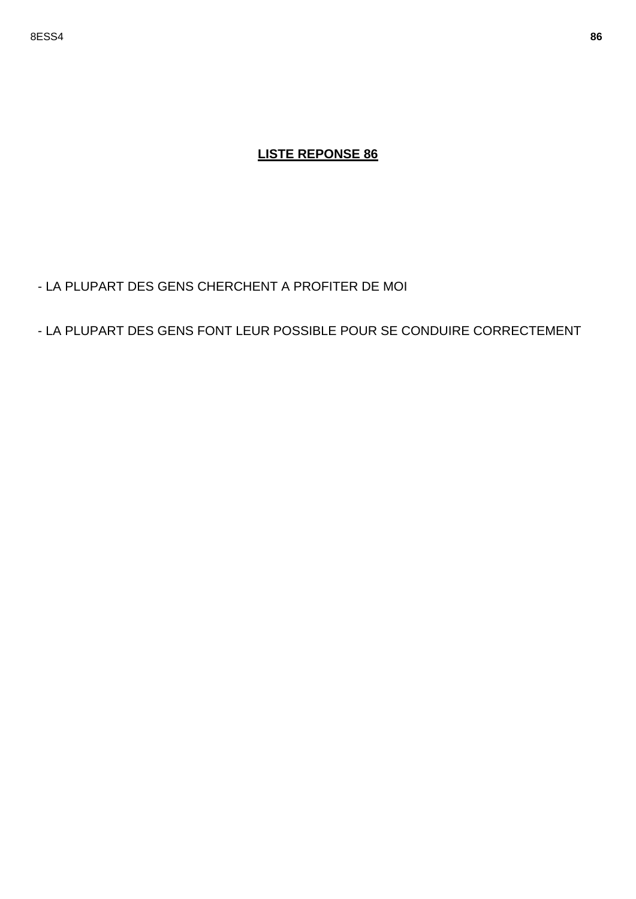- LA PLUPART DES GENS CHERCHENT A PROFITER DE MOI
- LA PLUPART DES GENS FONT LEUR POSSIBLE POUR SE CONDUIRE CORRECTEMENT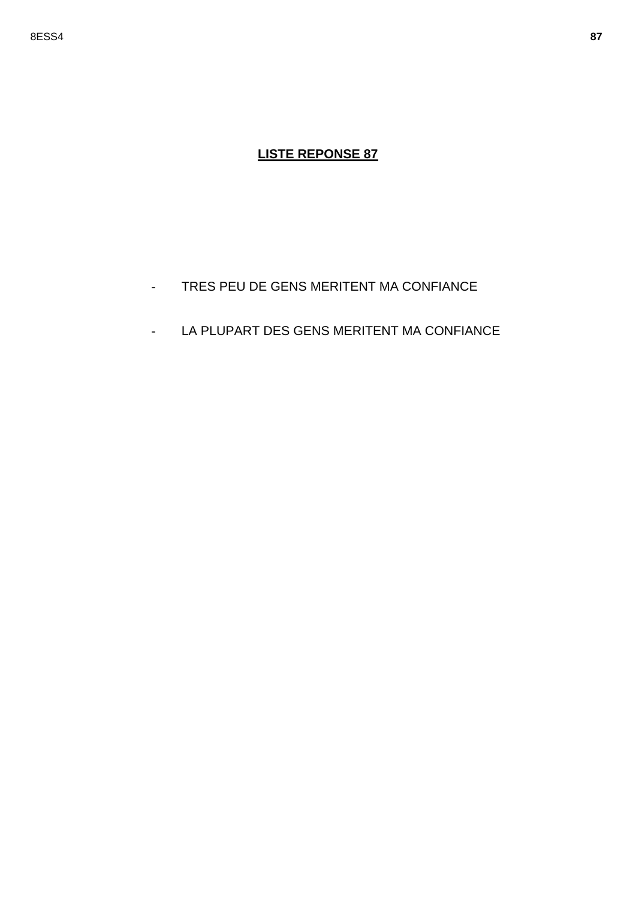- TRES PEU DE GENS MERITENT MA CONFIANCE  $\mathbb{L}^{\mathbb{N}}$
- LA PLUPART DES GENS MERITENT MA CONFIANCE  $\omega_{\rm{max}}$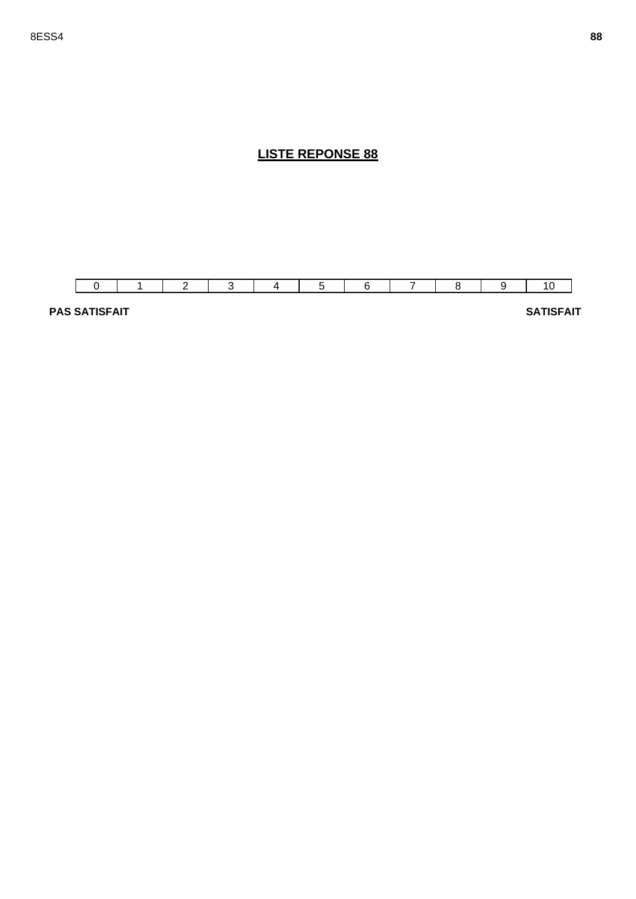

**PAS SATISFAIT** SATISFAIT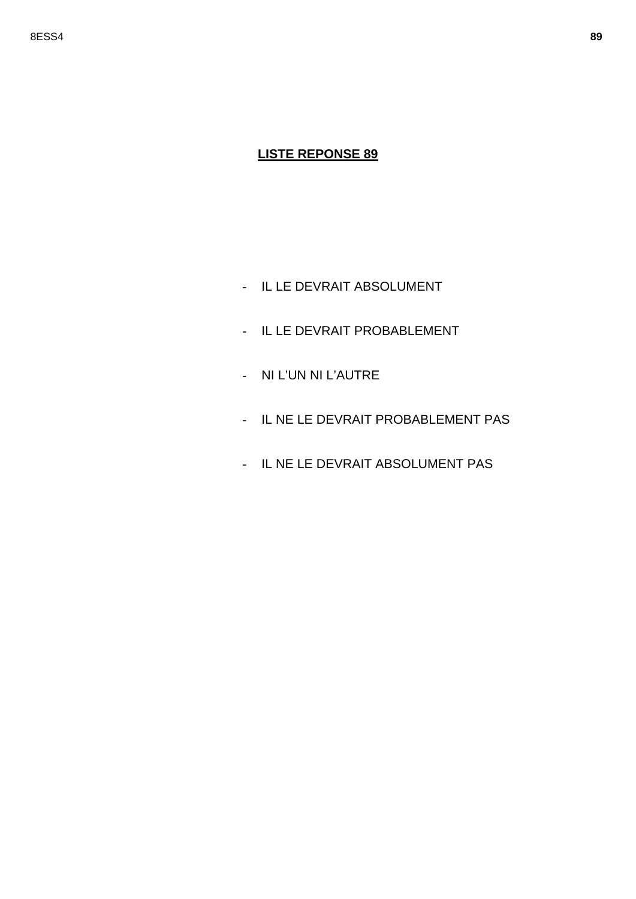- IL LE DEVRAIT ABSOLUMENT
- IL LE DEVRAIT PROBABLEMENT
- NI L'UN NI L'AUTRE
- IL NE LE DEVRAIT PROBABLEMENT PAS
- IL NE LE DEVRAIT ABSOLUMENT PAS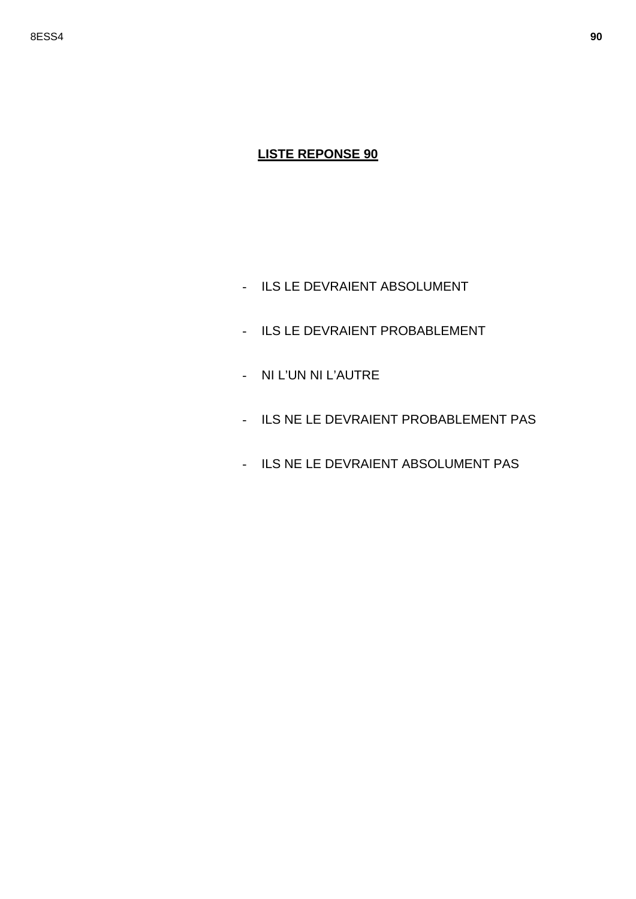- ILS LE DEVRAIENT ABSOLUMENT
- ILS LE DEVRAIENT PROBABLEMENT
- NI L'UN NI L'AUTRE
- ILS NE LE DEVRAIENT PROBABLEMENT PAS
- ILS NE LE DEVRAIENT ABSOLUMENT PAS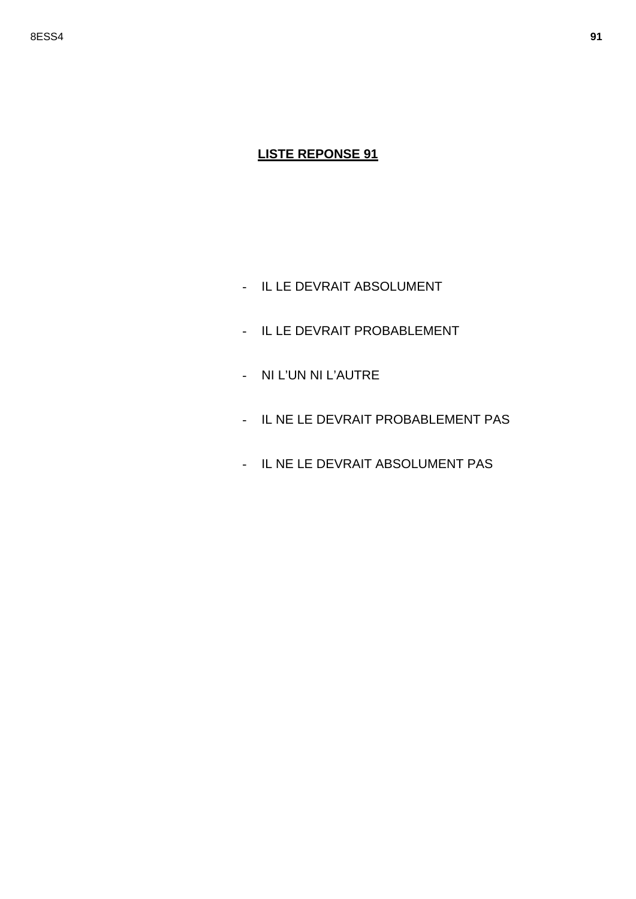- IL LE DEVRAIT ABSOLUMENT
- IL LE DEVRAIT PROBABLEMENT
- NI L'UN NI L'AUTRE
- IL NE LE DEVRAIT PROBABLEMENT PAS
- IL NE LE DEVRAIT ABSOLUMENT PAS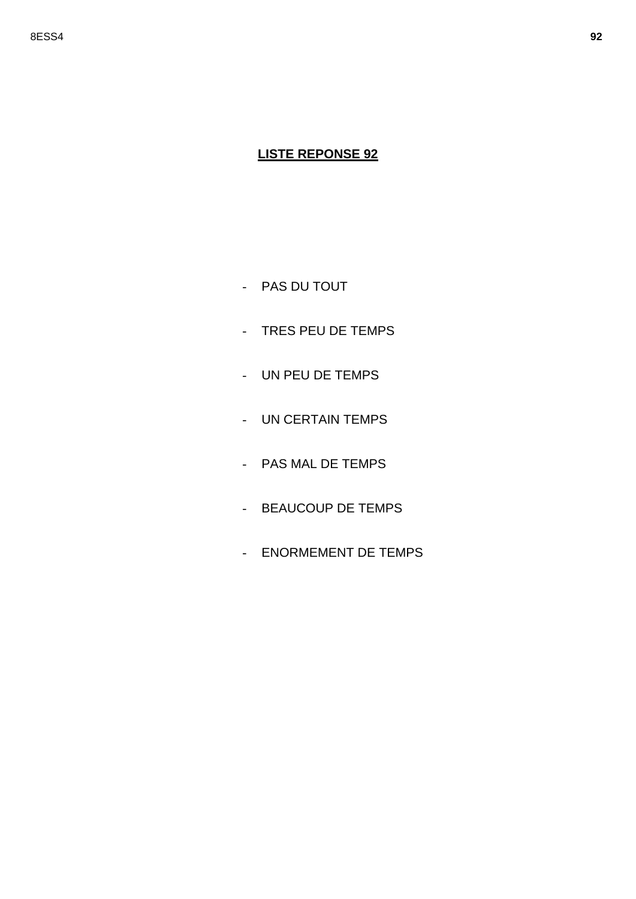- PAS DU TOUT
- TRES PEU DE TEMPS
- UN PEU DE TEMPS
- UN CERTAIN TEMPS
- PAS MAL DE TEMPS
- BEAUCOUP DE TEMPS
- ENORMEMENT DE TEMPS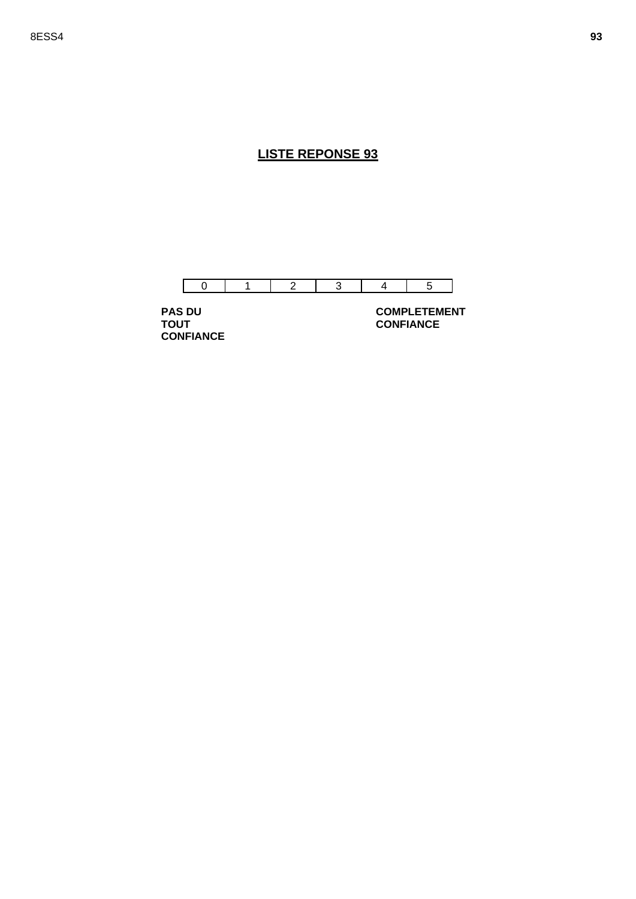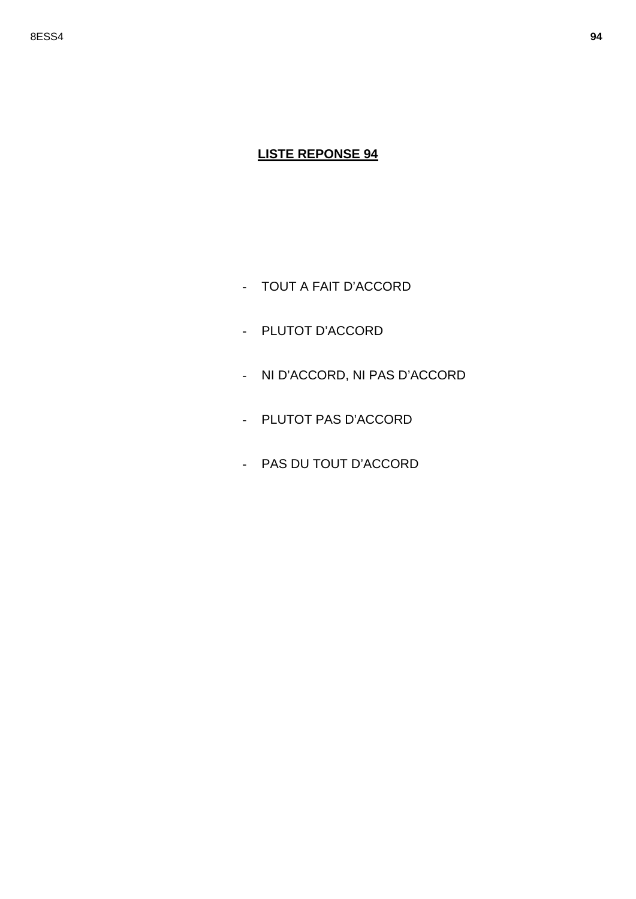- TOUT A FAIT D'ACCORD
- PLUTOT D'ACCORD
- NI D'ACCORD, NI PAS D'ACCORD
- PLUTOT PAS D'ACCORD
- PAS DU TOUT D'ACCORD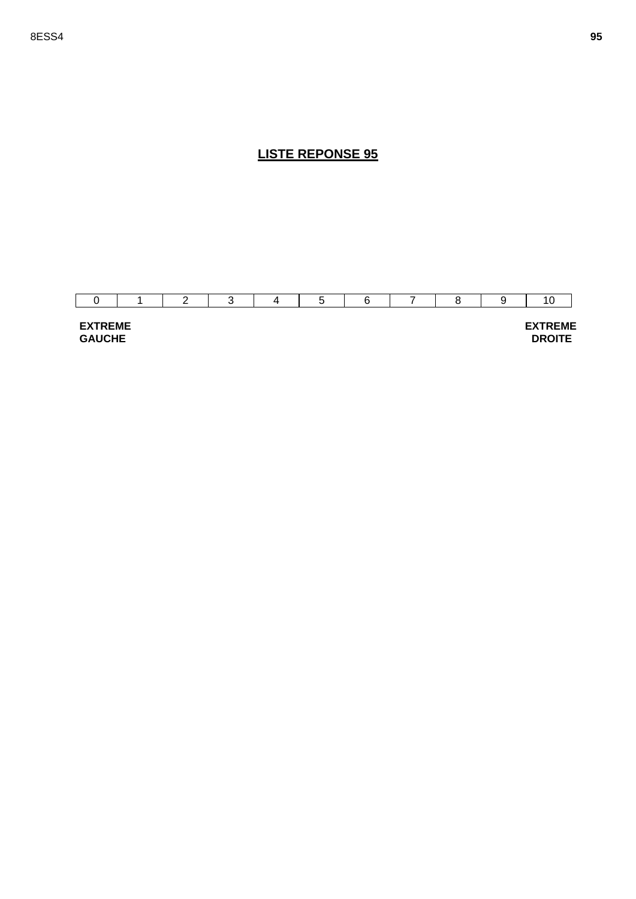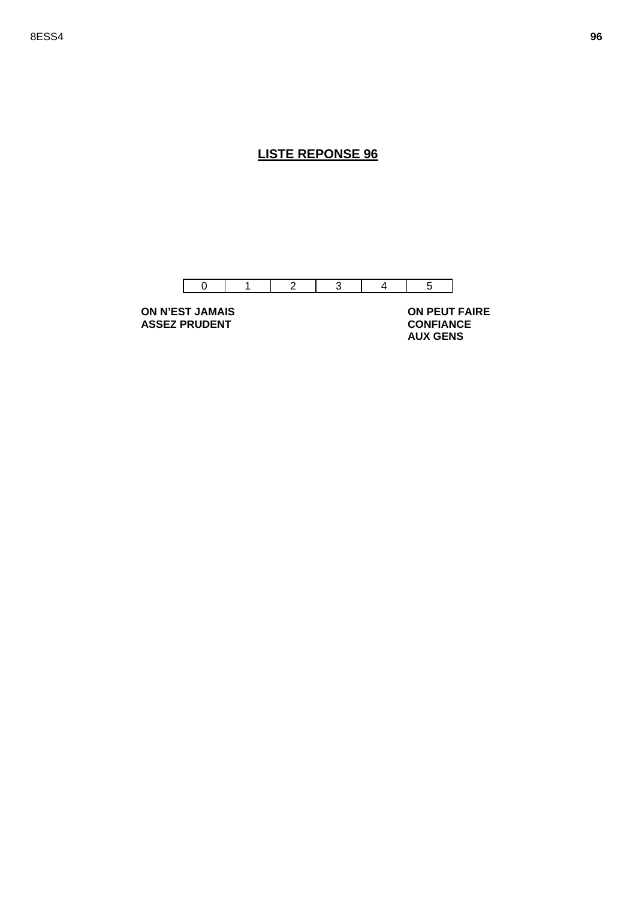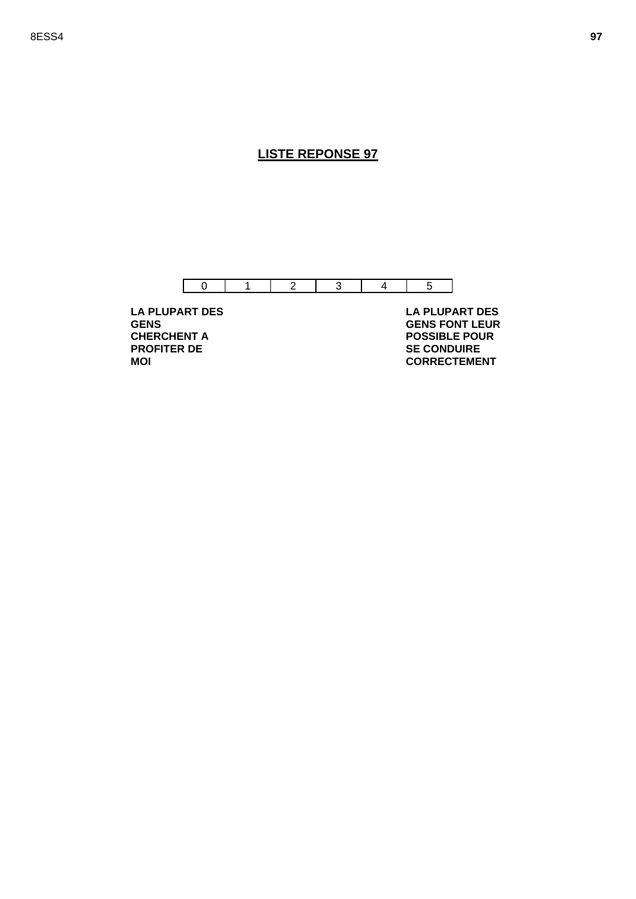

**LA PLUPART DES GENS CHERCHENT A PROFITER DE MOI** 

 **LA PLUPART DES GENS FONT LEUR POSSIBLE POUR SE CONDUIRE CORRECTEMENT**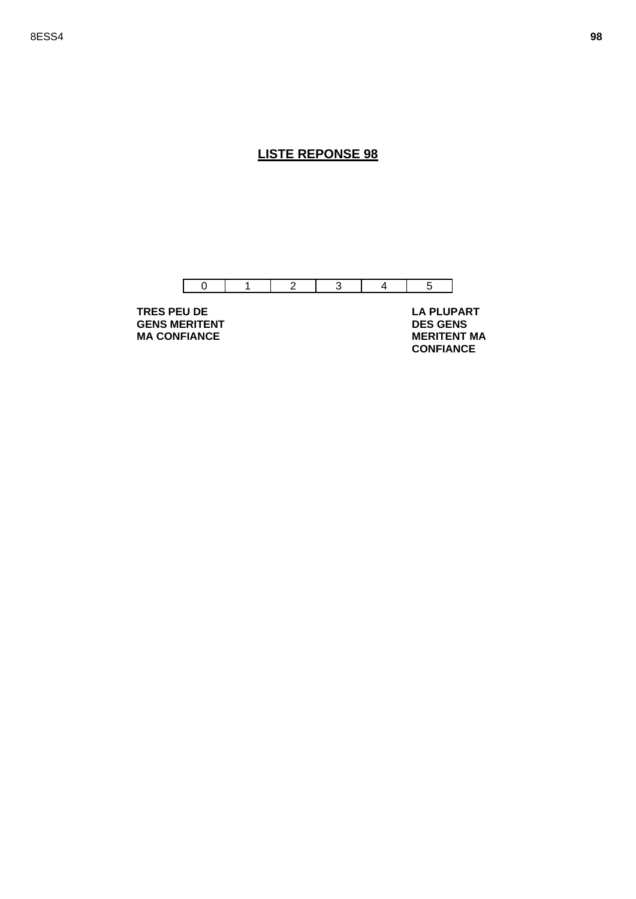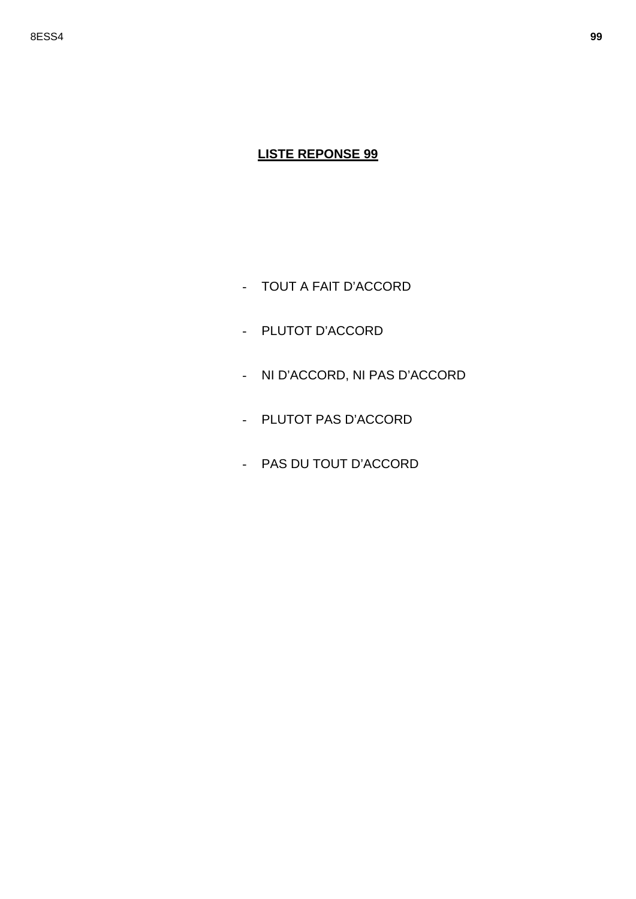- TOUT A FAIT D'ACCORD
- PLUTOT D'ACCORD
- NI D'ACCORD, NI PAS D'ACCORD
- PLUTOT PAS D'ACCORD
- PAS DU TOUT D'ACCORD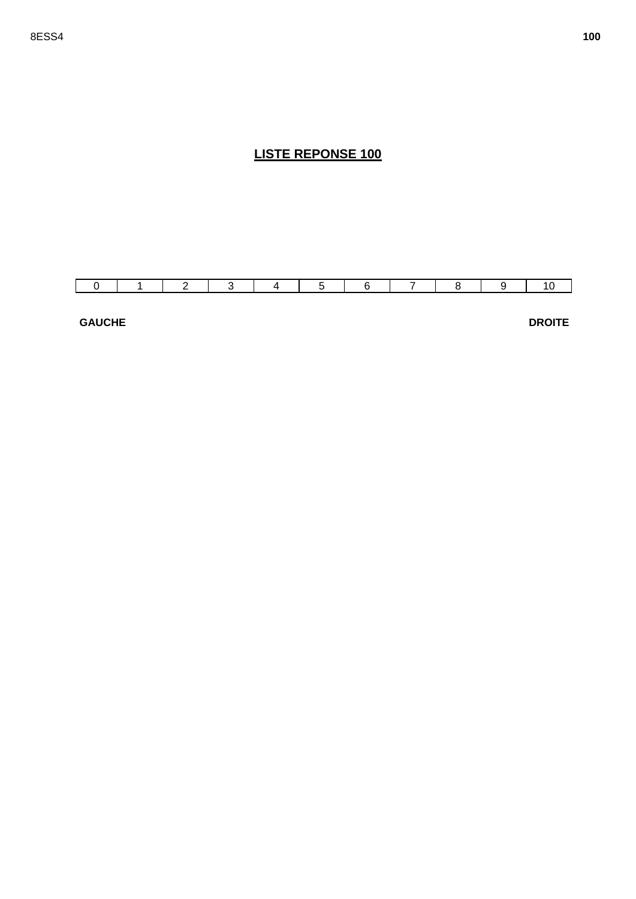

**GAUCHE** 

**DROITE**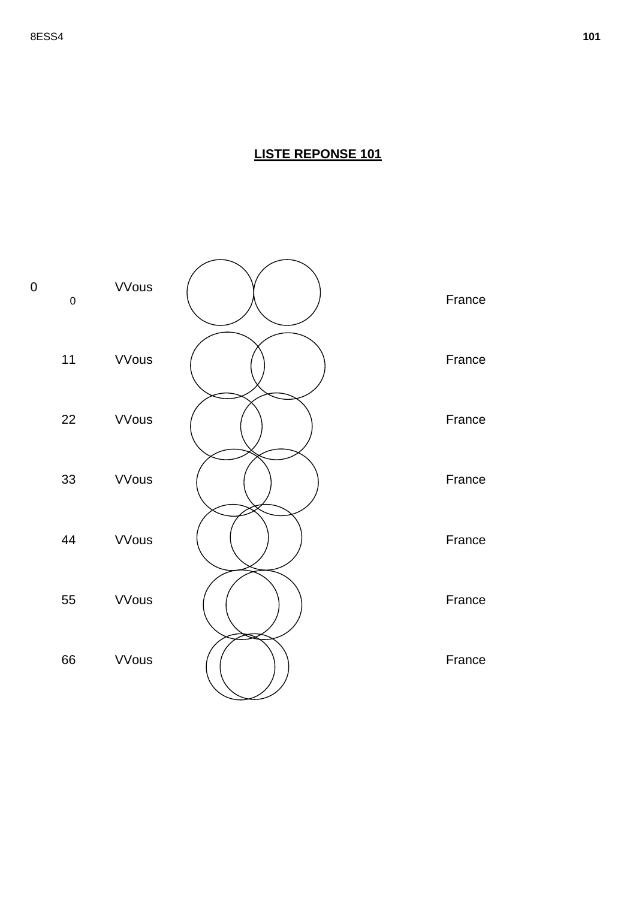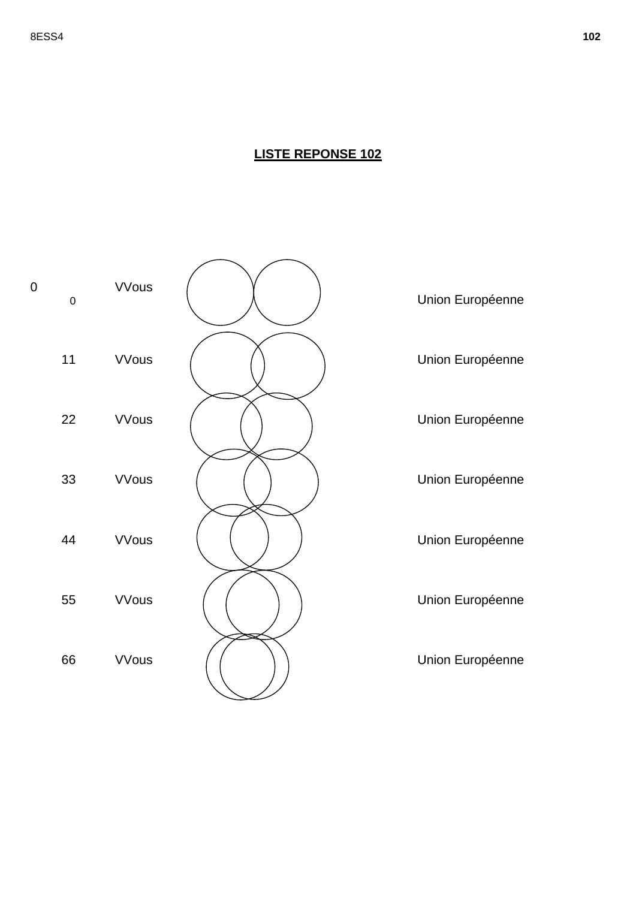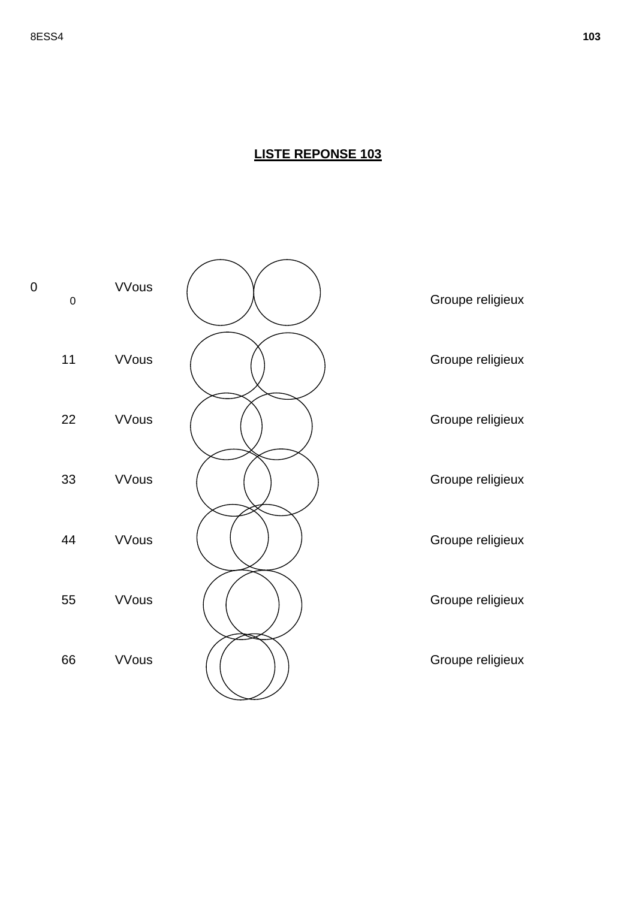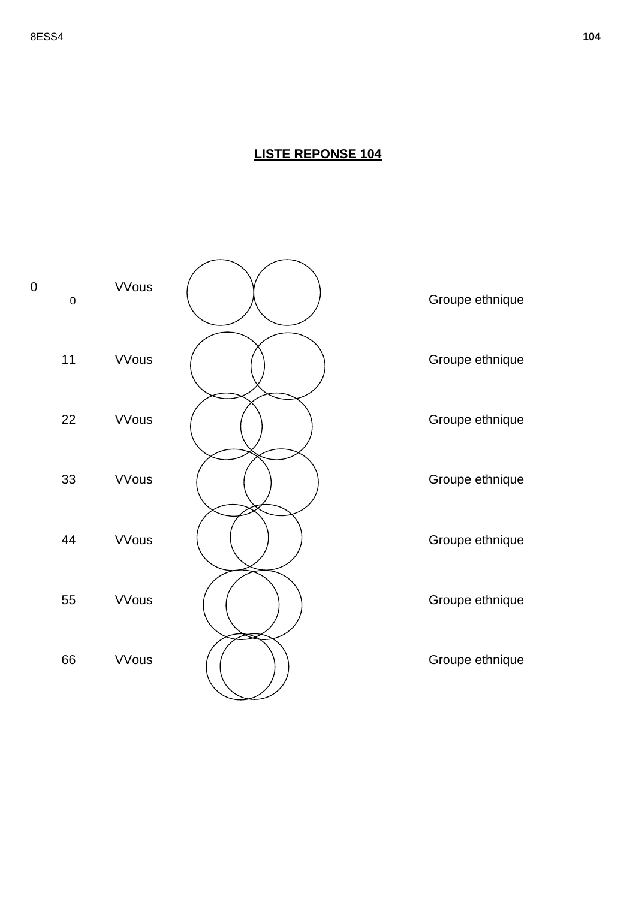